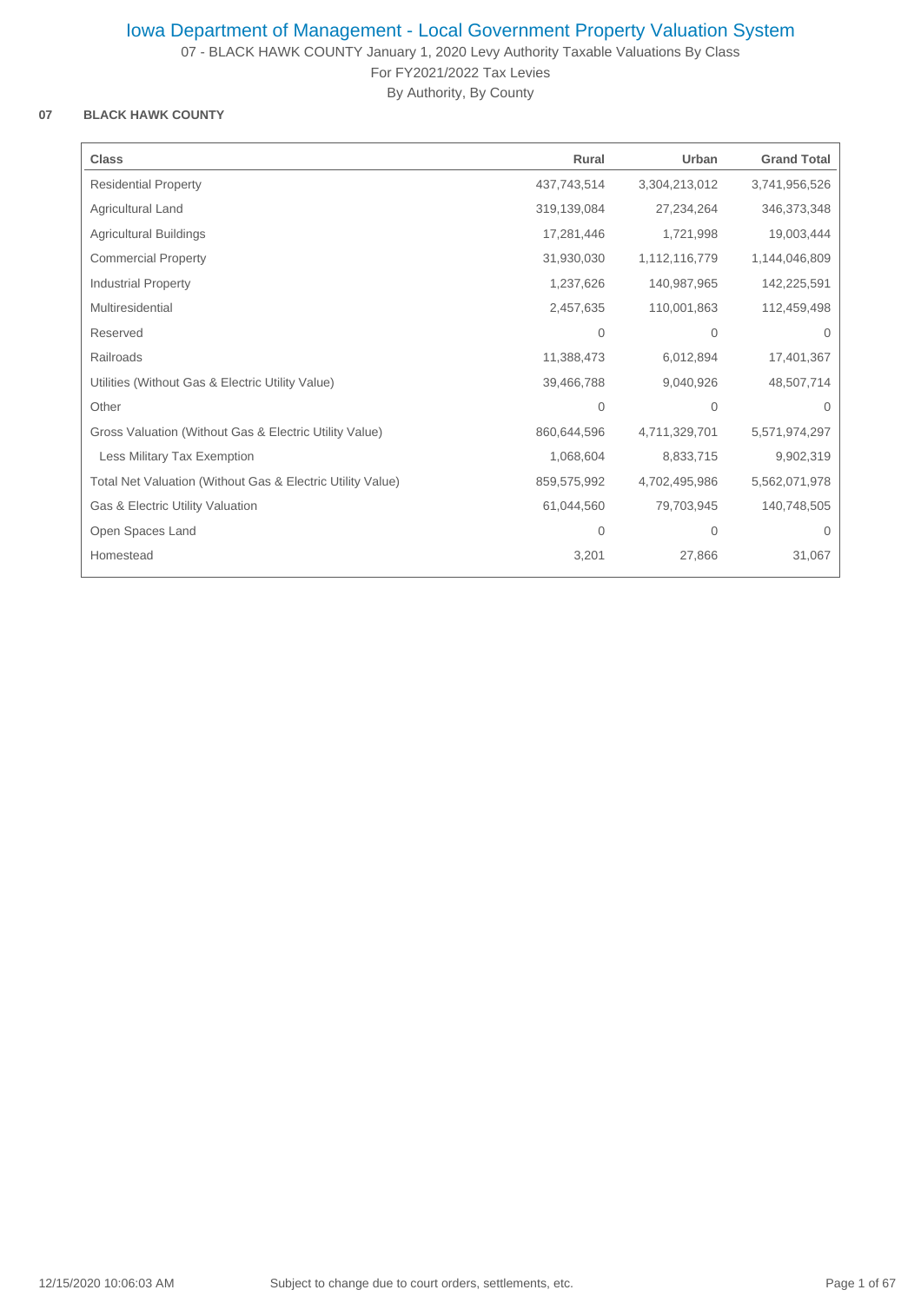07 - BLACK HAWK COUNTY January 1, 2020 Levy Authority Taxable Valuations By Class For FY2021/2022 Tax Levies

By Authority, By County

## **07 BLACK HAWK COUNTY**

| <b>Class</b>                                               | Rural          | Urban         | <b>Grand Total</b> |
|------------------------------------------------------------|----------------|---------------|--------------------|
|                                                            |                |               |                    |
| <b>Residential Property</b>                                | 437,743,514    | 3,304,213,012 | 3,741,956,526      |
| Agricultural Land                                          | 319,139,084    | 27,234,264    | 346,373,348        |
| <b>Agricultural Buildings</b>                              | 17,281,446     | 1,721,998     | 19,003,444         |
| <b>Commercial Property</b>                                 | 31,930,030     | 1,112,116,779 | 1,144,046,809      |
| <b>Industrial Property</b>                                 | 1,237,626      | 140,987,965   | 142,225,591        |
| Multiresidential                                           | 2,457,635      | 110,001,863   | 112,459,498        |
| Reserved                                                   | $\mathbf{0}$   | $\mathbf 0$   | $\mathbf 0$        |
| Railroads                                                  | 11,388,473     | 6,012,894     | 17,401,367         |
| Utilities (Without Gas & Electric Utility Value)           | 39,466,788     | 9,040,926     | 48,507,714         |
| Other                                                      | $\overline{0}$ | $\mathbf 0$   | $\Omega$           |
| Gross Valuation (Without Gas & Electric Utility Value)     | 860,644,596    | 4,711,329,701 | 5,571,974,297      |
| Less Military Tax Exemption                                | 1,068,604      | 8,833,715     | 9,902,319          |
| Total Net Valuation (Without Gas & Electric Utility Value) | 859,575,992    | 4,702,495,986 | 5,562,071,978      |
| Gas & Electric Utility Valuation                           | 61,044,560     | 79,703,945    | 140,748,505        |
| Open Spaces Land                                           | $\mathbf{0}$   | $\mathbf 0$   | 0                  |
| Homestead                                                  | 3,201          | 27,866        | 31,067             |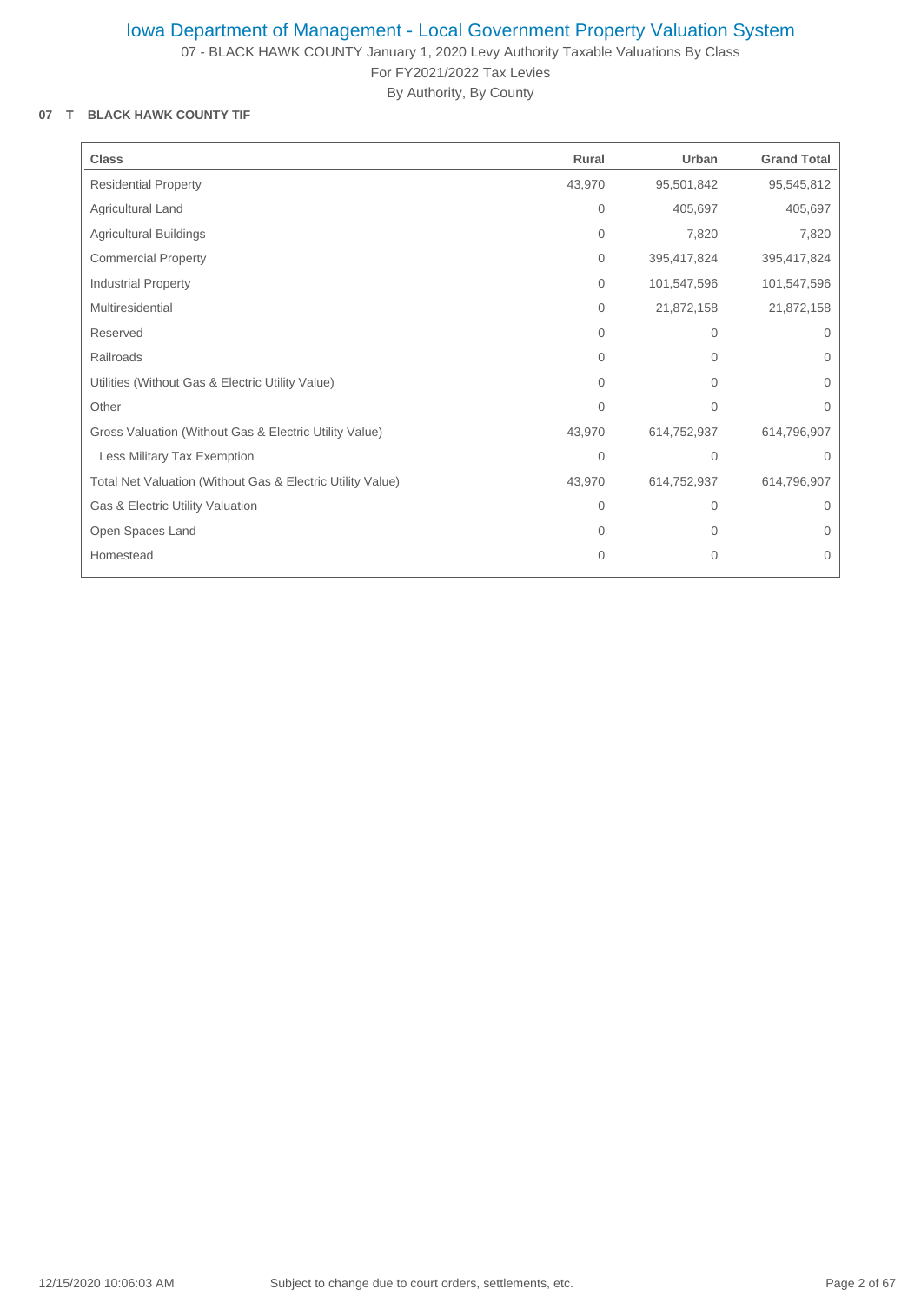07 - BLACK HAWK COUNTY January 1, 2020 Levy Authority Taxable Valuations By Class For FY2021/2022 Tax Levies

By Authority, By County

## **07 T BLACK HAWK COUNTY TIF**

| <b>Class</b>                                               | Rural          | Urban        | <b>Grand Total</b> |
|------------------------------------------------------------|----------------|--------------|--------------------|
| <b>Residential Property</b>                                | 43,970         | 95,501,842   | 95,545,812         |
| Agricultural Land                                          | $\mathbf{0}$   | 405,697      | 405,697            |
| <b>Agricultural Buildings</b>                              | $\mathbf{0}$   | 7,820        | 7,820              |
| <b>Commercial Property</b>                                 | $\mathbf{0}$   | 395,417,824  | 395,417,824        |
| <b>Industrial Property</b>                                 | $\mathbf{0}$   | 101,547,596  | 101,547,596        |
| Multiresidential                                           | $\mathbf{0}$   | 21,872,158   | 21,872,158         |
| Reserved                                                   | $\Omega$       | $\mathbf{0}$ | $\Omega$           |
| Railroads                                                  | 0              | $\mathbf 0$  | $\Omega$           |
| Utilities (Without Gas & Electric Utility Value)           | 0              | $\mathbf{0}$ | $\mathbf{0}$       |
| Other                                                      | $\overline{0}$ | $\mathbf{0}$ | $\mathbf{0}$       |
| Gross Valuation (Without Gas & Electric Utility Value)     | 43,970         | 614,752,937  | 614,796,907        |
| Less Military Tax Exemption                                | $\overline{0}$ | $\mathbf{0}$ | $\Omega$           |
| Total Net Valuation (Without Gas & Electric Utility Value) | 43,970         | 614,752,937  | 614,796,907        |
| Gas & Electric Utility Valuation                           | $\mathbf{0}$   | $\mathbf 0$  | $\Omega$           |
| Open Spaces Land                                           | $\Omega$       | $\mathbf 0$  | $\Omega$           |
| Homestead                                                  | $\overline{0}$ | $\mathbf{0}$ | $\mathbf 0$        |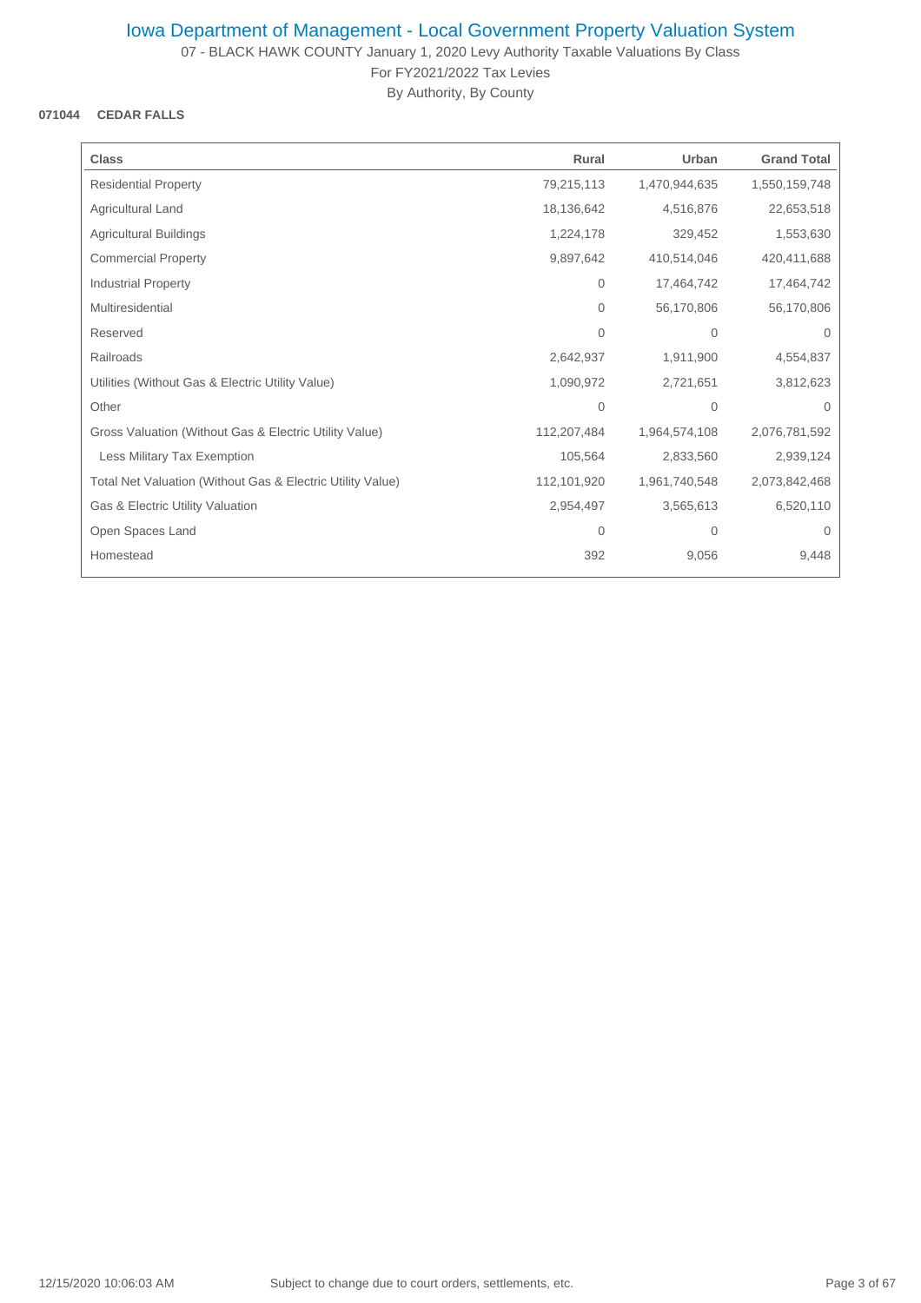07 - BLACK HAWK COUNTY January 1, 2020 Levy Authority Taxable Valuations By Class For FY2021/2022 Tax Levies

By Authority, By County

## **071044 CEDAR FALLS**

| <b>Class</b>                                               | Rural       | Urban          | <b>Grand Total</b> |
|------------------------------------------------------------|-------------|----------------|--------------------|
| <b>Residential Property</b>                                | 79,215,113  | 1,470,944,635  | 1,550,159,748      |
| Agricultural Land                                          | 18,136,642  | 4,516,876      | 22,653,518         |
| <b>Agricultural Buildings</b>                              | 1,224,178   | 329,452        | 1,553,630          |
| <b>Commercial Property</b>                                 | 9,897,642   | 410,514,046    | 420,411,688        |
| <b>Industrial Property</b>                                 | 0           | 17,464,742     | 17,464,742         |
| Multiresidential                                           | $\Omega$    | 56,170,806     | 56,170,806         |
| Reserved                                                   | $\Omega$    | $\overline{0}$ | $\Omega$           |
| Railroads                                                  | 2,642,937   | 1,911,900      | 4,554,837          |
| Utilities (Without Gas & Electric Utility Value)           | 1,090,972   | 2,721,651      | 3,812,623          |
| Other                                                      | 0           | $\mathbf{0}$   | $\Omega$           |
| Gross Valuation (Without Gas & Electric Utility Value)     | 112,207,484 | 1,964,574,108  | 2,076,781,592      |
| Less Military Tax Exemption                                | 105,564     | 2,833,560      | 2,939,124          |
| Total Net Valuation (Without Gas & Electric Utility Value) | 112,101,920 | 1,961,740,548  | 2,073,842,468      |
| Gas & Electric Utility Valuation                           | 2,954,497   | 3,565,613      | 6,520,110          |
| Open Spaces Land                                           | 0           | 0              | 0                  |
| Homestead                                                  | 392         | 9,056          | 9,448              |
|                                                            |             |                |                    |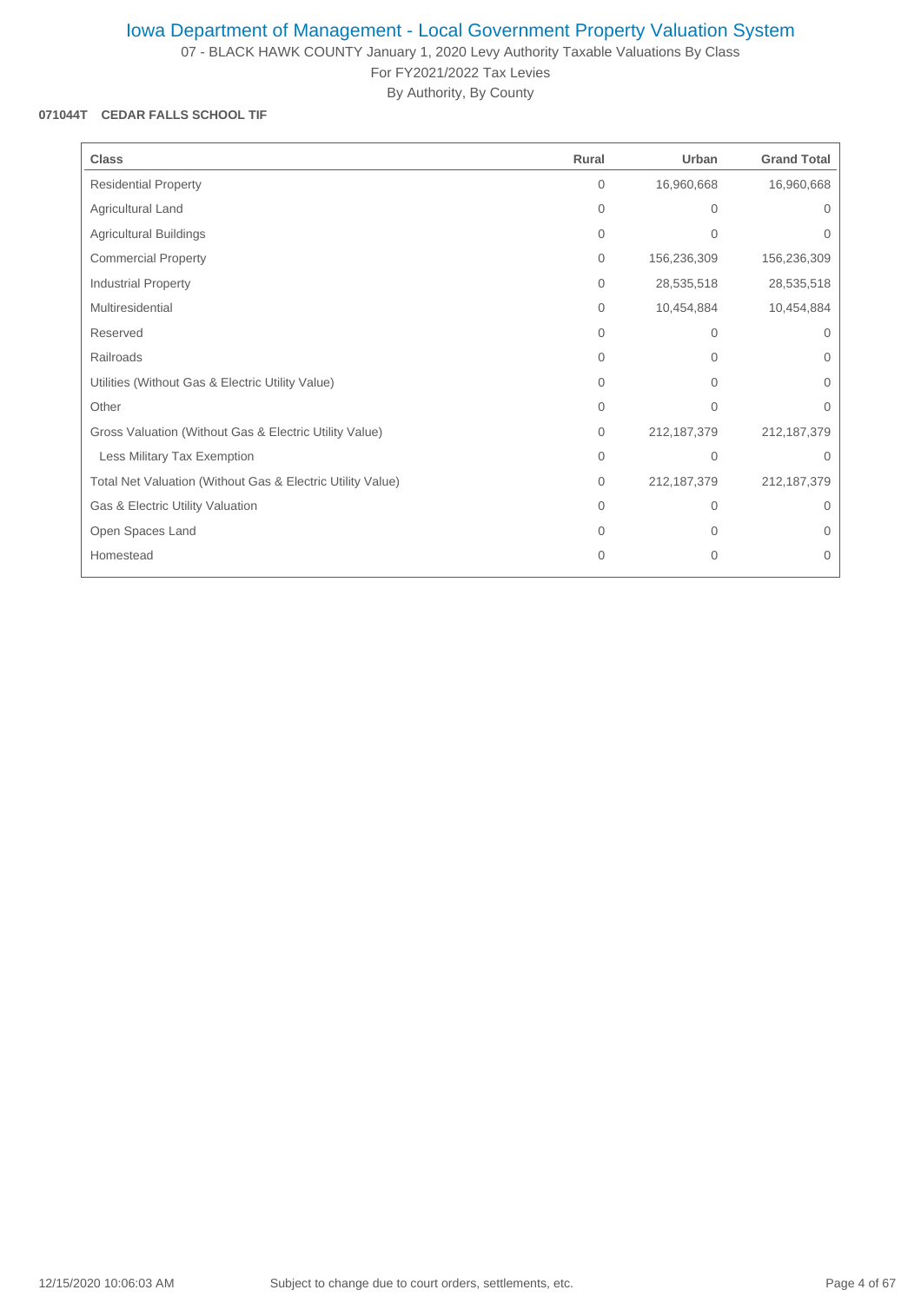07 - BLACK HAWK COUNTY January 1, 2020 Levy Authority Taxable Valuations By Class For FY2021/2022 Tax Levies

By Authority, By County

### **071044T CEDAR FALLS SCHOOL TIF**

| <b>Class</b>                                               | Rural        | Urban         | <b>Grand Total</b> |
|------------------------------------------------------------|--------------|---------------|--------------------|
| <b>Residential Property</b>                                | $\mathbf{0}$ | 16,960,668    | 16,960,668         |
| Agricultural Land                                          | $\mathbf{0}$ | $\mathbf{0}$  | 0                  |
| Agricultural Buildings                                     | $\mathbf{0}$ | $\mathbf{0}$  | 0                  |
| <b>Commercial Property</b>                                 | $\mathbf{0}$ | 156,236,309   | 156,236,309        |
| <b>Industrial Property</b>                                 | $\mathbf{0}$ | 28,535,518    | 28,535,518         |
| Multiresidential                                           | $\mathbf{0}$ | 10,454,884    | 10,454,884         |
| Reserved                                                   | $\Omega$     | $\mathbf{0}$  | $\Omega$           |
| Railroads                                                  | $\Omega$     | $\Omega$      | $\Omega$           |
| Utilities (Without Gas & Electric Utility Value)           | 0            | $\mathbf{0}$  | 0                  |
| Other                                                      | $\mathbf{0}$ | $\mathbf{0}$  | $\Omega$           |
| Gross Valuation (Without Gas & Electric Utility Value)     | $\mathbf{0}$ | 212, 187, 379 | 212, 187, 379      |
| Less Military Tax Exemption                                | $\Omega$     | $\Omega$      | $\Omega$           |
| Total Net Valuation (Without Gas & Electric Utility Value) | $\mathbf{0}$ | 212, 187, 379 | 212, 187, 379      |
| Gas & Electric Utility Valuation                           | $\Omega$     | $\Omega$      | $\Omega$           |
| Open Spaces Land                                           | $\Omega$     | $\Omega$      | $\Omega$           |
| Homestead                                                  | 0            | $\mathbf{0}$  | $\mathbf 0$        |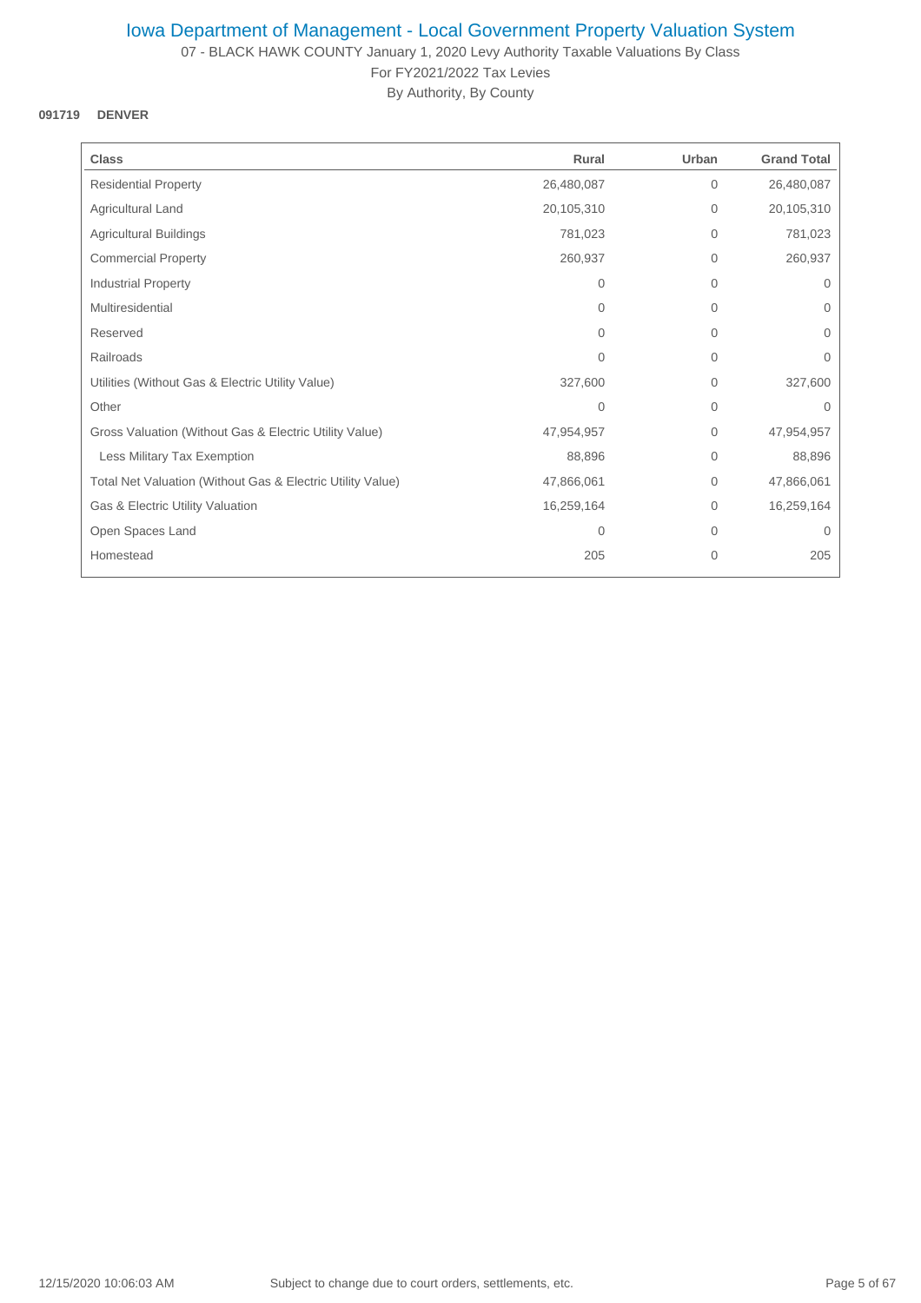07 - BLACK HAWK COUNTY January 1, 2020 Levy Authority Taxable Valuations By Class For FY2021/2022 Tax Levies

By Authority, By County

## **091719 DENVER**

| <b>Class</b>                                               | Rural          | Urban          | <b>Grand Total</b> |
|------------------------------------------------------------|----------------|----------------|--------------------|
| <b>Residential Property</b>                                | 26,480,087     | $\overline{0}$ | 26,480,087         |
| Agricultural Land                                          | 20,105,310     | $\overline{0}$ | 20,105,310         |
| <b>Agricultural Buildings</b>                              | 781,023        | $\mathbf{0}$   | 781,023            |
| <b>Commercial Property</b>                                 | 260,937        | $\mathbf{0}$   | 260,937            |
| <b>Industrial Property</b>                                 | $\Omega$       | $\mathbf{0}$   | $\mathbf{0}$       |
| Multiresidential                                           | $\Omega$       | $\Omega$       | $\Omega$           |
| Reserved                                                   | $\Omega$       | $\mathbf 0$    | $\mathbf 0$        |
| Railroads                                                  | 0              | $\mathbf{0}$   | 0                  |
| Utilities (Without Gas & Electric Utility Value)           | 327,600        | $\overline{0}$ | 327,600            |
| Other                                                      | $\overline{0}$ | $\mathbf{0}$   | $\Omega$           |
| Gross Valuation (Without Gas & Electric Utility Value)     | 47,954,957     | $\overline{0}$ | 47,954,957         |
| Less Military Tax Exemption                                | 88,896         | $\mathbf{0}$   | 88,896             |
| Total Net Valuation (Without Gas & Electric Utility Value) | 47,866,061     | $\mathbf{0}$   | 47,866,061         |
| Gas & Electric Utility Valuation                           | 16,259,164     | 0              | 16,259,164         |
| Open Spaces Land                                           | $\mathbf 0$    | $\mathbf 0$    | $\mathbf 0$        |
| Homestead                                                  | 205            | $\mathbf 0$    | 205                |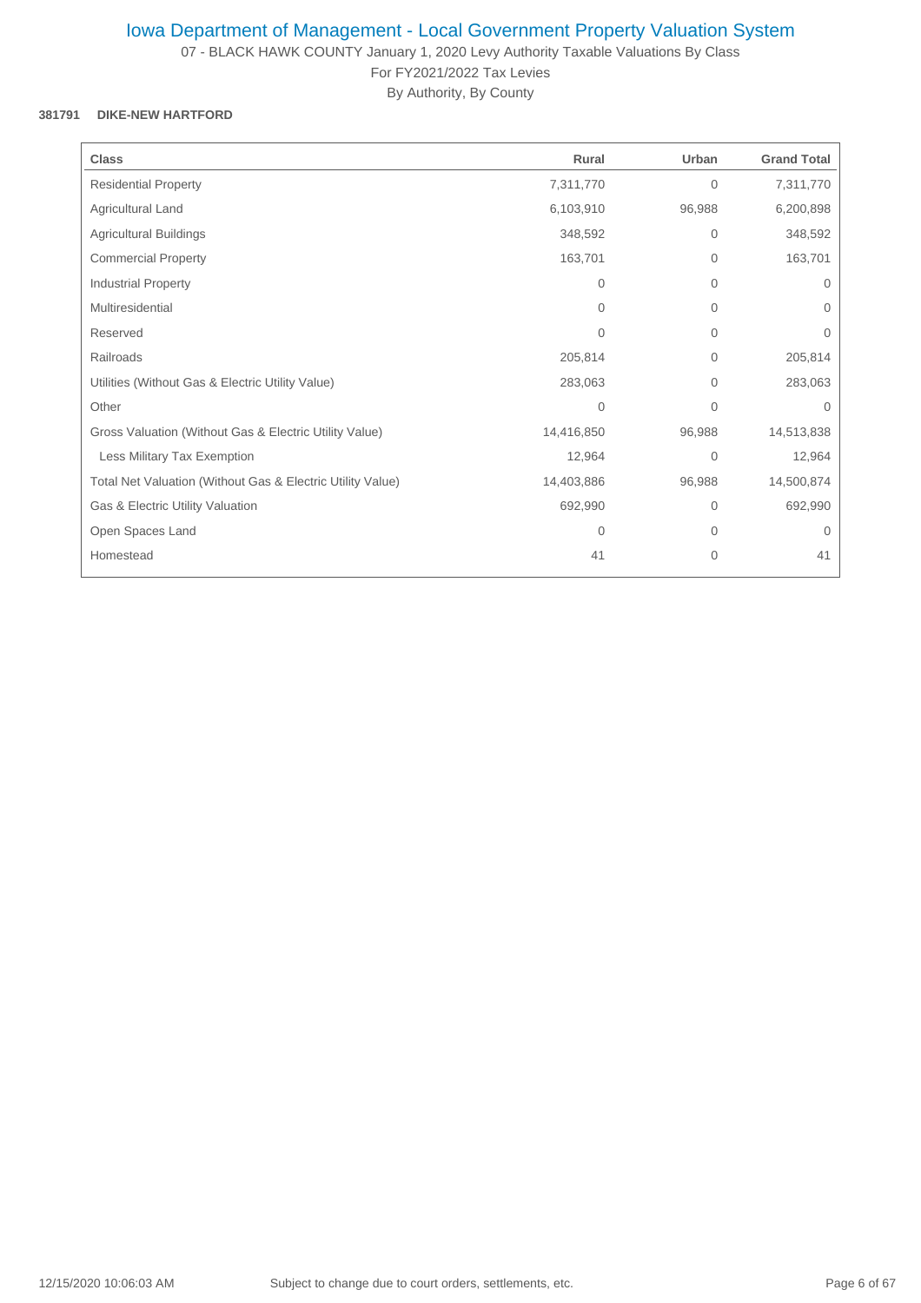07 - BLACK HAWK COUNTY January 1, 2020 Levy Authority Taxable Valuations By Class For FY2021/2022 Tax Levies

By Authority, By County

## **381791 DIKE-NEW HARTFORD**

| <b>Class</b>                                               | Rural        | Urban          | <b>Grand Total</b> |
|------------------------------------------------------------|--------------|----------------|--------------------|
| <b>Residential Property</b>                                | 7,311,770    | $\mathbf{0}$   | 7,311,770          |
| Agricultural Land                                          | 6,103,910    | 96,988         | 6,200,898          |
| <b>Agricultural Buildings</b>                              | 348,592      | $\mathbf{0}$   | 348,592            |
| <b>Commercial Property</b>                                 | 163,701      | $\mathbf{0}$   | 163,701            |
| <b>Industrial Property</b>                                 | $\Omega$     | $\overline{0}$ | $\mathbf{0}$       |
| Multiresidential                                           | $\Omega$     | $\Omega$       | $\Omega$           |
| Reserved                                                   | $\Omega$     | 0              | $\mathbf{0}$       |
| Railroads                                                  | 205,814      | 0              | 205,814            |
| Utilities (Without Gas & Electric Utility Value)           | 283,063      | $\overline{0}$ | 283,063            |
| Other                                                      | $\mathbf{0}$ | $\mathbf{0}$   | $\Omega$           |
| Gross Valuation (Without Gas & Electric Utility Value)     | 14,416,850   | 96,988         | 14,513,838         |
| Less Military Tax Exemption                                | 12,964       | $\mathbf{0}$   | 12,964             |
| Total Net Valuation (Without Gas & Electric Utility Value) | 14,403,886   | 96,988         | 14,500,874         |
| Gas & Electric Utility Valuation                           | 692,990      | $\overline{0}$ | 692,990            |
| Open Spaces Land                                           | 0            | 0              | $\mathbf{0}$       |
| Homestead                                                  | 41           | $\mathbf 0$    | 41                 |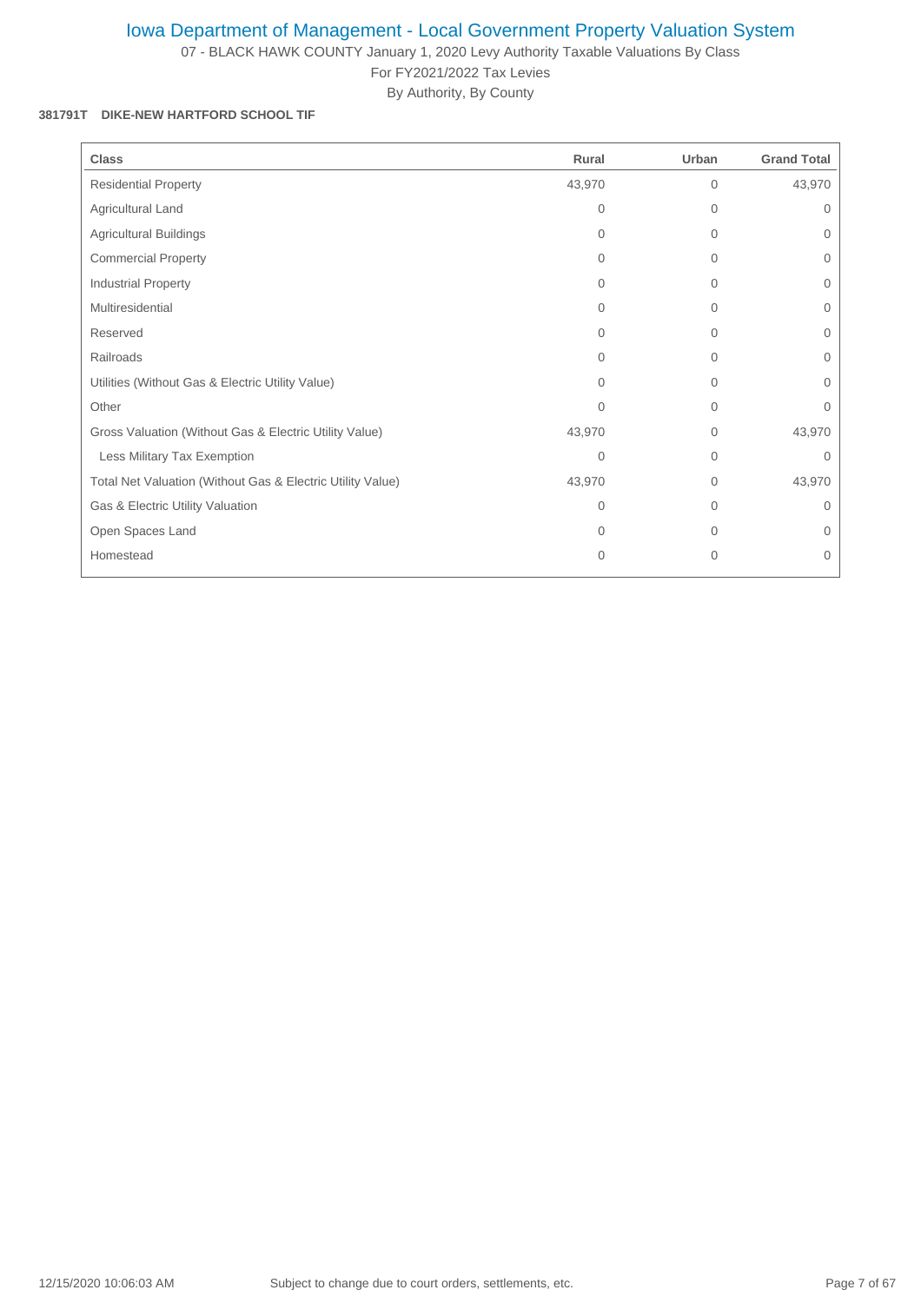07 - BLACK HAWK COUNTY January 1, 2020 Levy Authority Taxable Valuations By Class

For FY2021/2022 Tax Levies By Authority, By County

#### **381791T DIKE-NEW HARTFORD SCHOOL TIF**

| <b>Class</b>                                               | Rural    | Urban          | <b>Grand Total</b> |
|------------------------------------------------------------|----------|----------------|--------------------|
| <b>Residential Property</b>                                | 43,970   | $\overline{0}$ | 43,970             |
| Agricultural Land                                          | 0        | 0              | 0                  |
| <b>Agricultural Buildings</b>                              | $\Omega$ | $\overline{0}$ | $\mathbf{0}$       |
| <b>Commercial Property</b>                                 | $\Omega$ | 0              | $\mathbf{0}$       |
| Industrial Property                                        | $\Omega$ | 0              | $\mathbf{0}$       |
| Multiresidential                                           | $\Omega$ | 0              | 0                  |
| Reserved                                                   | $\Omega$ | $\Omega$       | $\Omega$           |
| Railroads                                                  | $\Omega$ | $\Omega$       | $\Omega$           |
| Utilities (Without Gas & Electric Utility Value)           | $\Omega$ | $\overline{0}$ | $\mathbf{0}$       |
| Other                                                      | $\Omega$ | $\overline{0}$ | $\Omega$           |
| Gross Valuation (Without Gas & Electric Utility Value)     | 43,970   | 0              | 43,970             |
| Less Military Tax Exemption                                | $\Omega$ | 0              | $\Omega$           |
| Total Net Valuation (Without Gas & Electric Utility Value) | 43,970   | $\mathbf{0}$   | 43,970             |
| Gas & Electric Utility Valuation                           | $\Omega$ | $\Omega$       | $\mathbf{0}$       |
| Open Spaces Land                                           | $\Omega$ | $\Omega$       | $\Omega$           |
| Homestead                                                  | 0        | $\mathbf{0}$   | $\mathbf{0}$       |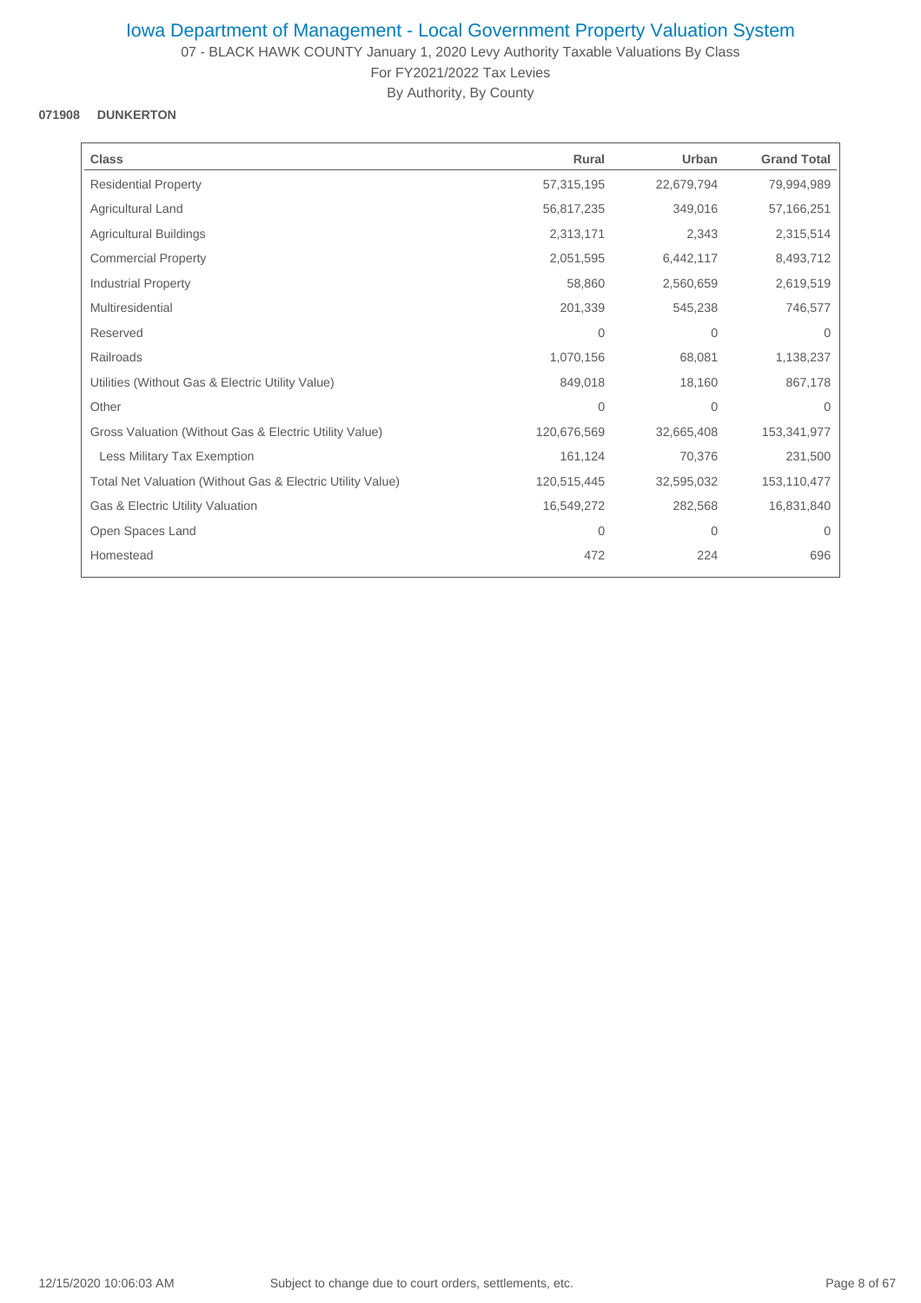07 - BLACK HAWK COUNTY January 1, 2020 Levy Authority Taxable Valuations By Class For FY2021/2022 Tax Levies

By Authority, By County

## **071908 DUNKERTON**

| <b>Class</b>                                               | Rural        | Urban        | <b>Grand Total</b> |
|------------------------------------------------------------|--------------|--------------|--------------------|
| <b>Residential Property</b>                                | 57,315,195   | 22,679,794   | 79,994,989         |
| Agricultural Land                                          | 56,817,235   | 349,016      | 57,166,251         |
| <b>Agricultural Buildings</b>                              | 2,313,171    | 2,343        | 2,315,514          |
| <b>Commercial Property</b>                                 | 2,051,595    | 6,442,117    | 8,493,712          |
| <b>Industrial Property</b>                                 | 58,860       | 2,560,659    | 2,619,519          |
| Multiresidential                                           | 201,339      | 545,238      | 746,577            |
| Reserved                                                   | $\mathbf{0}$ | $\mathbf{0}$ | 0                  |
| Railroads                                                  | 1,070,156    | 68,081       | 1,138,237          |
| Utilities (Without Gas & Electric Utility Value)           | 849,018      | 18,160       | 867,178            |
| Other                                                      | $\mathbf{0}$ | $\mathbf 0$  | $\Omega$           |
| Gross Valuation (Without Gas & Electric Utility Value)     | 120,676,569  | 32,665,408   | 153,341,977        |
| Less Military Tax Exemption                                | 161,124      | 70,376       | 231,500            |
| Total Net Valuation (Without Gas & Electric Utility Value) | 120,515,445  | 32,595,032   | 153,110,477        |
| Gas & Electric Utility Valuation                           | 16,549,272   | 282,568      | 16,831,840         |
| Open Spaces Land                                           | $\mathbf{0}$ | 0            | 0                  |
| Homestead                                                  | 472          | 224          | 696                |
|                                                            |              |              |                    |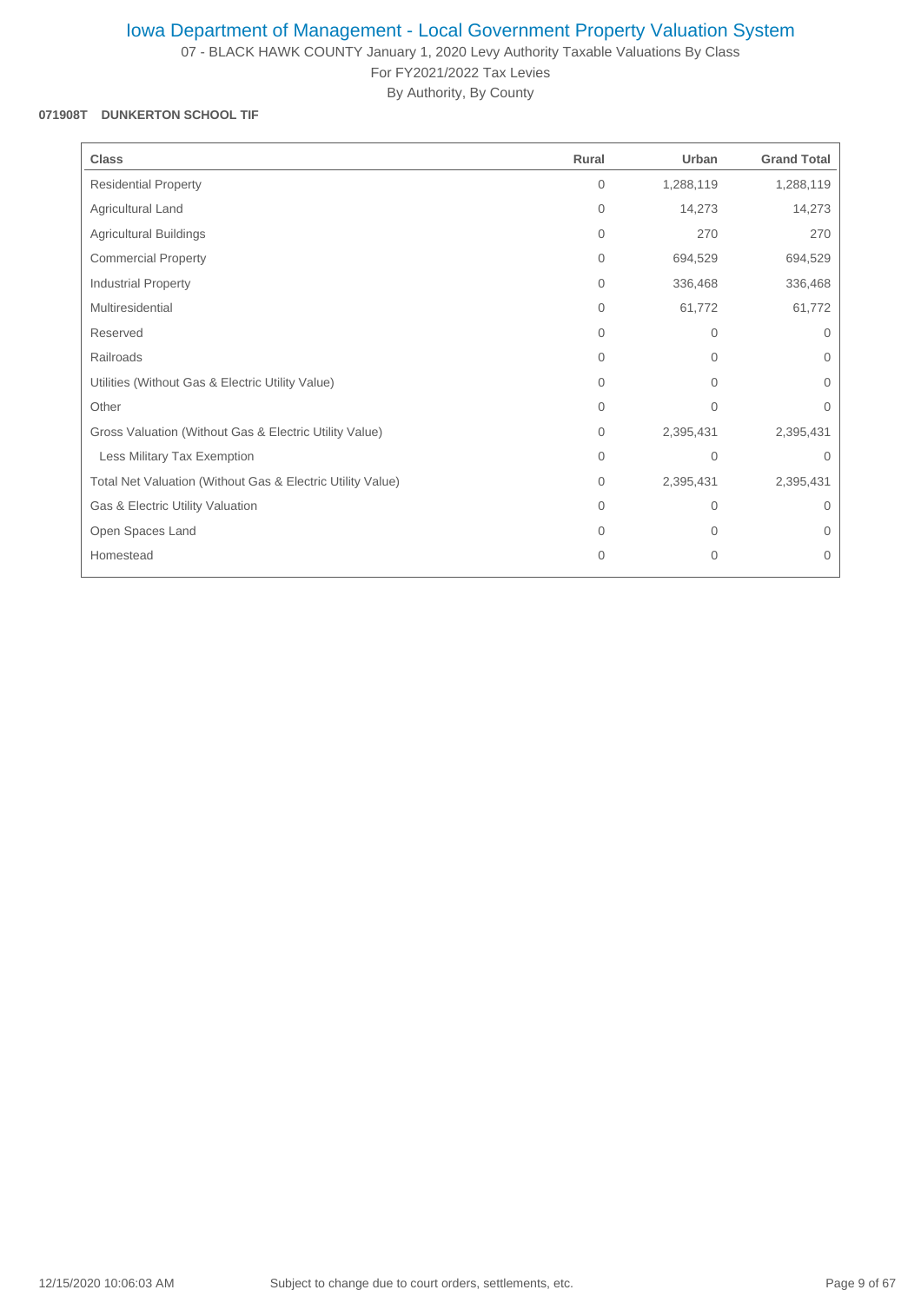07 - BLACK HAWK COUNTY January 1, 2020 Levy Authority Taxable Valuations By Class For FY2021/2022 Tax Levies

By Authority, By County

### **071908T DUNKERTON SCHOOL TIF**

| <b>Class</b>                                               | Rural        | Urban          | <b>Grand Total</b> |
|------------------------------------------------------------|--------------|----------------|--------------------|
| <b>Residential Property</b>                                | $\Omega$     | 1,288,119      | 1,288,119          |
| Agricultural Land                                          | 0            | 14,273         | 14,273             |
| <b>Agricultural Buildings</b>                              | 0            | 270            | 270                |
| <b>Commercial Property</b>                                 | 0            | 694,529        | 694,529            |
| Industrial Property                                        | $\Omega$     | 336,468        | 336,468            |
| Multiresidential                                           | 0            | 61,772         | 61,772             |
| Reserved                                                   | $\Omega$     | $\Omega$       | $\Omega$           |
| Railroads                                                  | $\Omega$     | $\Omega$       | $\Omega$           |
| Utilities (Without Gas & Electric Utility Value)           | $\Omega$     | $\mathbf{0}$   | $\mathbf 0$        |
| Other                                                      | $\Omega$     | $\Omega$       | $\Omega$           |
| Gross Valuation (Without Gas & Electric Utility Value)     | 0            | 2,395,431      | 2,395,431          |
| Less Military Tax Exemption                                | $\Omega$     | $\Omega$       | $\Omega$           |
| Total Net Valuation (Without Gas & Electric Utility Value) | $\mathbf{0}$ | 2,395,431      | 2,395,431          |
| Gas & Electric Utility Valuation                           | $\Omega$     | $\overline{0}$ | $\Omega$           |
| Open Spaces Land                                           | $\Omega$     | 0              | $\mathbf 0$        |
| Homestead                                                  | 0            | $\mathbf{0}$   | $\overline{0}$     |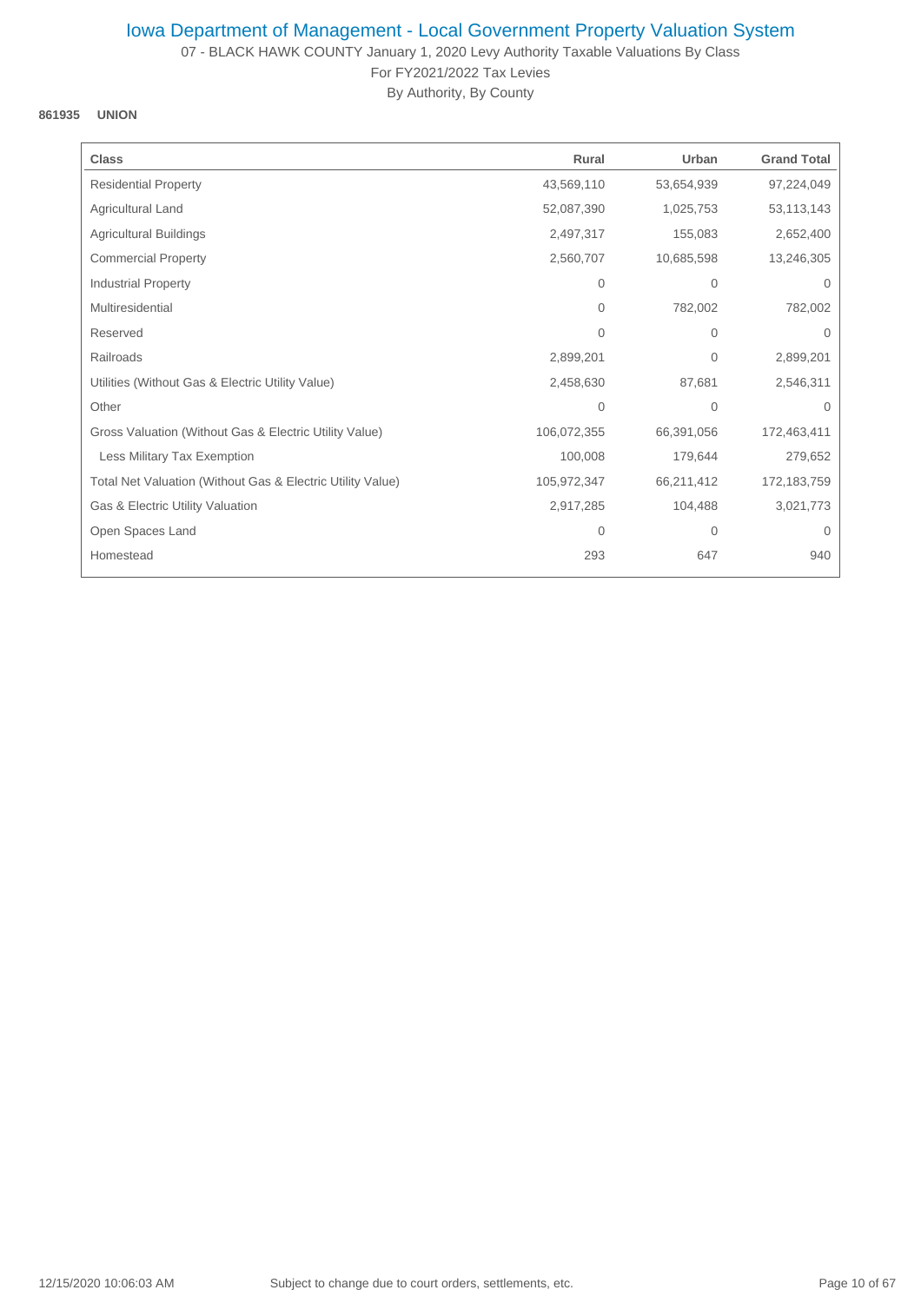07 - BLACK HAWK COUNTY January 1, 2020 Levy Authority Taxable Valuations By Class For FY2021/2022 Tax Levies

By Authority, By County

### **861935 UNION**

| <b>Class</b>                                               | Rural        | Urban        | <b>Grand Total</b> |
|------------------------------------------------------------|--------------|--------------|--------------------|
| <b>Residential Property</b>                                | 43,569,110   | 53,654,939   | 97,224,049         |
| Agricultural Land                                          | 52,087,390   | 1,025,753    | 53,113,143         |
| <b>Agricultural Buildings</b>                              | 2,497,317    | 155,083      | 2,652,400          |
| <b>Commercial Property</b>                                 | 2,560,707    | 10,685,598   | 13,246,305         |
| <b>Industrial Property</b>                                 | $\mathbf{0}$ | $\mathbf{0}$ | $\Omega$           |
| Multiresidential                                           | $\Omega$     | 782,002      | 782,002            |
| Reserved                                                   | $\Omega$     | $\mathbf{0}$ | 0                  |
| Railroads                                                  | 2,899,201    | 0            | 2,899,201          |
| Utilities (Without Gas & Electric Utility Value)           | 2,458,630    | 87,681       | 2,546,311          |
| Other                                                      | $\mathbf{0}$ | $\mathbf{0}$ | $\Omega$           |
| Gross Valuation (Without Gas & Electric Utility Value)     | 106,072,355  | 66,391,056   | 172,463,411        |
| Less Military Tax Exemption                                | 100,008      | 179,644      | 279,652            |
| Total Net Valuation (Without Gas & Electric Utility Value) | 105,972,347  | 66,211,412   | 172,183,759        |
| Gas & Electric Utility Valuation                           | 2,917,285    | 104,488      | 3,021,773          |
| Open Spaces Land                                           | $\mathbf 0$  | 0            | $\mathbf 0$        |
| Homestead                                                  | 293          | 647          | 940                |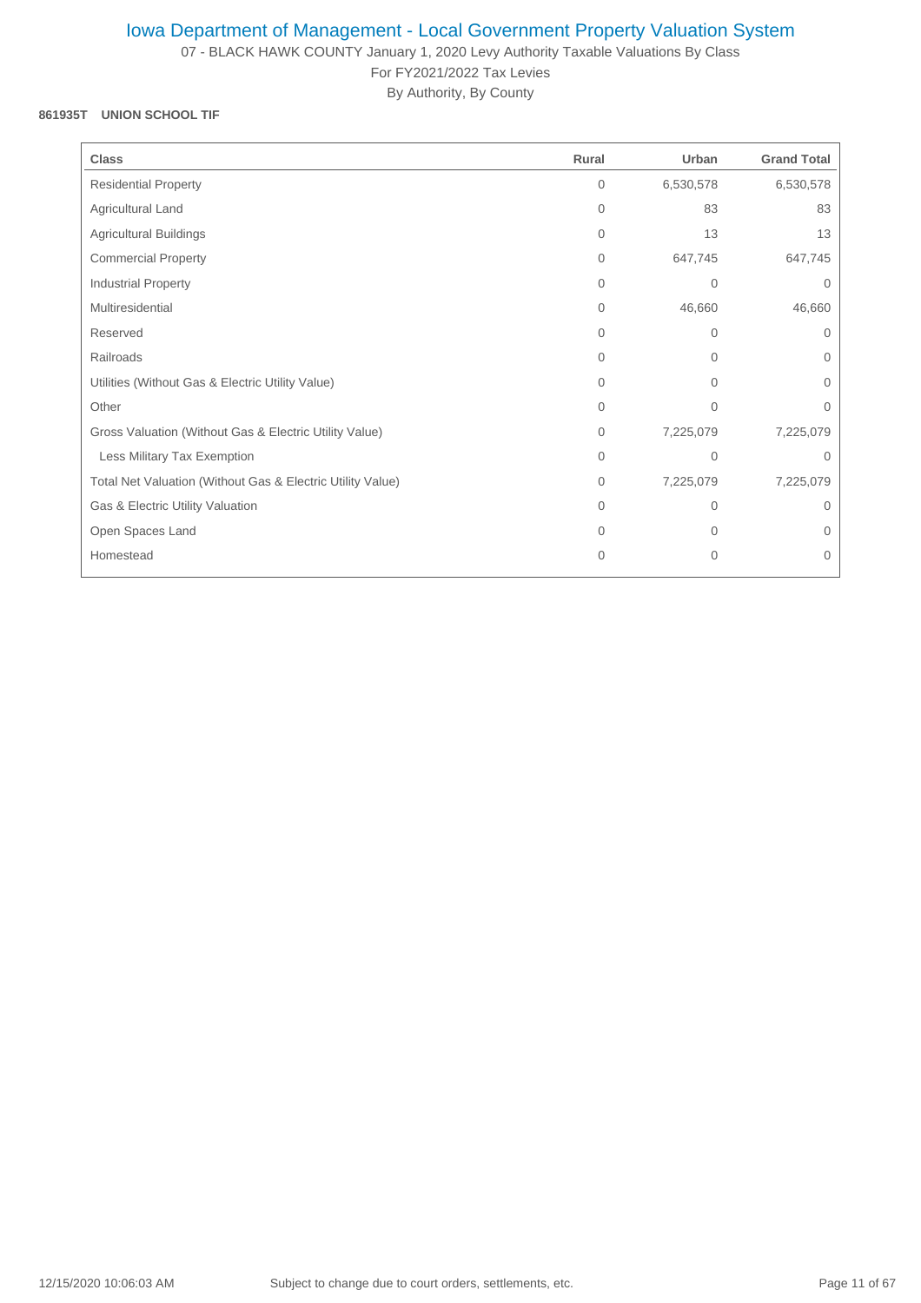07 - BLACK HAWK COUNTY January 1, 2020 Levy Authority Taxable Valuations By Class For FY2021/2022 Tax Levies

By Authority, By County

### **861935T UNION SCHOOL TIF**

| <b>Class</b>                                               | Rural        | Urban        | <b>Grand Total</b> |
|------------------------------------------------------------|--------------|--------------|--------------------|
| <b>Residential Property</b>                                | 0            | 6,530,578    | 6,530,578          |
| Agricultural Land                                          | 0            | 83           | 83                 |
| <b>Agricultural Buildings</b>                              | 0            | 13           | 13                 |
| <b>Commercial Property</b>                                 | $\Omega$     | 647,745      | 647,745            |
| Industrial Property                                        | 0            | $\mathbf 0$  | $\mathbf 0$        |
| Multiresidential                                           | 0            | 46,660       | 46,660             |
| Reserved                                                   | $\Omega$     | 0            | $\Omega$           |
| Railroads                                                  | $\Omega$     | $\Omega$     | $\Omega$           |
| Utilities (Without Gas & Electric Utility Value)           | 0            | 0            | $\mathbf 0$        |
| Other                                                      | $\mathbf{0}$ | $\mathbf{0}$ | $\mathbf 0$        |
| Gross Valuation (Without Gas & Electric Utility Value)     | $\mathbf{0}$ | 7,225,079    | 7,225,079          |
| Less Military Tax Exemption                                | 0            | $\mathbf 0$  | $\mathbf 0$        |
| Total Net Valuation (Without Gas & Electric Utility Value) | 0            | 7,225,079    | 7,225,079          |
| Gas & Electric Utility Valuation                           | $\Omega$     | $\Omega$     | $\Omega$           |
| Open Spaces Land                                           | $\Omega$     | $\Omega$     | $\Omega$           |
| Homestead                                                  | 0            | $\mathbf{0}$ | $\mathbf{0}$       |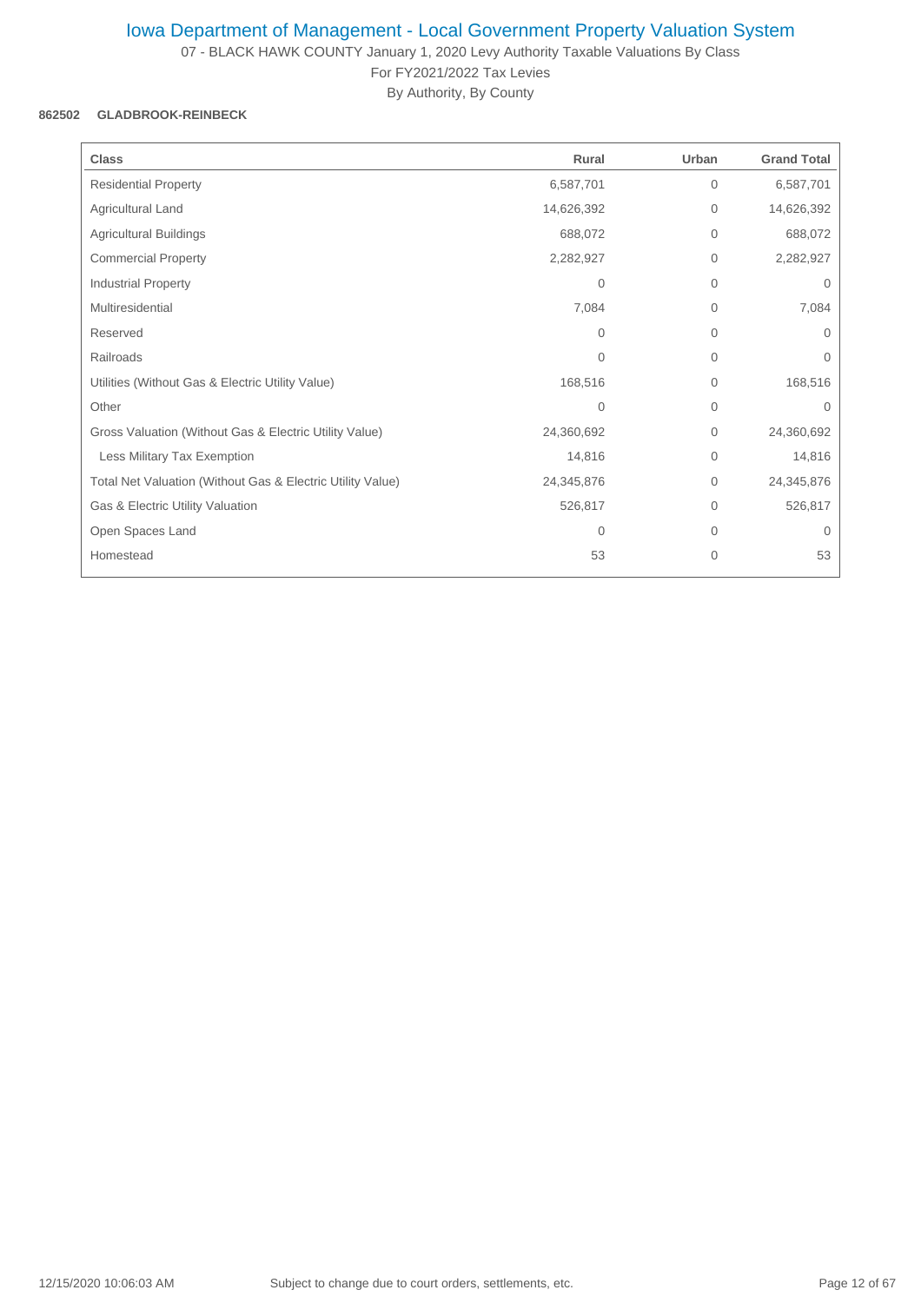07 - BLACK HAWK COUNTY January 1, 2020 Levy Authority Taxable Valuations By Class For FY2021/2022 Tax Levies

By Authority, By County

### **862502 GLADBROOK-REINBECK**

| <b>Class</b>                                               | Rural          | Urban        | <b>Grand Total</b> |
|------------------------------------------------------------|----------------|--------------|--------------------|
| <b>Residential Property</b>                                | 6,587,701      | $\mathbf 0$  | 6,587,701          |
| Agricultural Land                                          | 14,626,392     | 0            | 14,626,392         |
| <b>Agricultural Buildings</b>                              | 688,072        | $\mathbf{0}$ | 688,072            |
| <b>Commercial Property</b>                                 | 2,282,927      | $\mathbf 0$  | 2,282,927          |
| Industrial Property                                        | 0              | $\mathbf 0$  | $\mathbf{0}$       |
| Multiresidential                                           | 7,084          | $\mathbf 0$  | 7,084              |
| Reserved                                                   | $\Omega$       | $\mathbf 0$  | $\Omega$           |
| Railroads                                                  | $\Omega$       | $\mathbf 0$  | 0                  |
| Utilities (Without Gas & Electric Utility Value)           | 168,516        | $\mathbf 0$  | 168,516            |
| Other                                                      | $\overline{0}$ | $\mathbf{0}$ | $\Omega$           |
| Gross Valuation (Without Gas & Electric Utility Value)     | 24,360,692     | $\mathbf 0$  | 24,360,692         |
| Less Military Tax Exemption                                | 14,816         | $\mathbf 0$  | 14,816             |
| Total Net Valuation (Without Gas & Electric Utility Value) | 24,345,876     | $\mathbf{0}$ | 24,345,876         |
| Gas & Electric Utility Valuation                           | 526,817        | $\mathbf{0}$ | 526,817            |
| Open Spaces Land                                           | 0              | $\mathbf 0$  | $\mathbf{0}$       |
| Homestead                                                  | 53             | $\mathbf{0}$ | 53                 |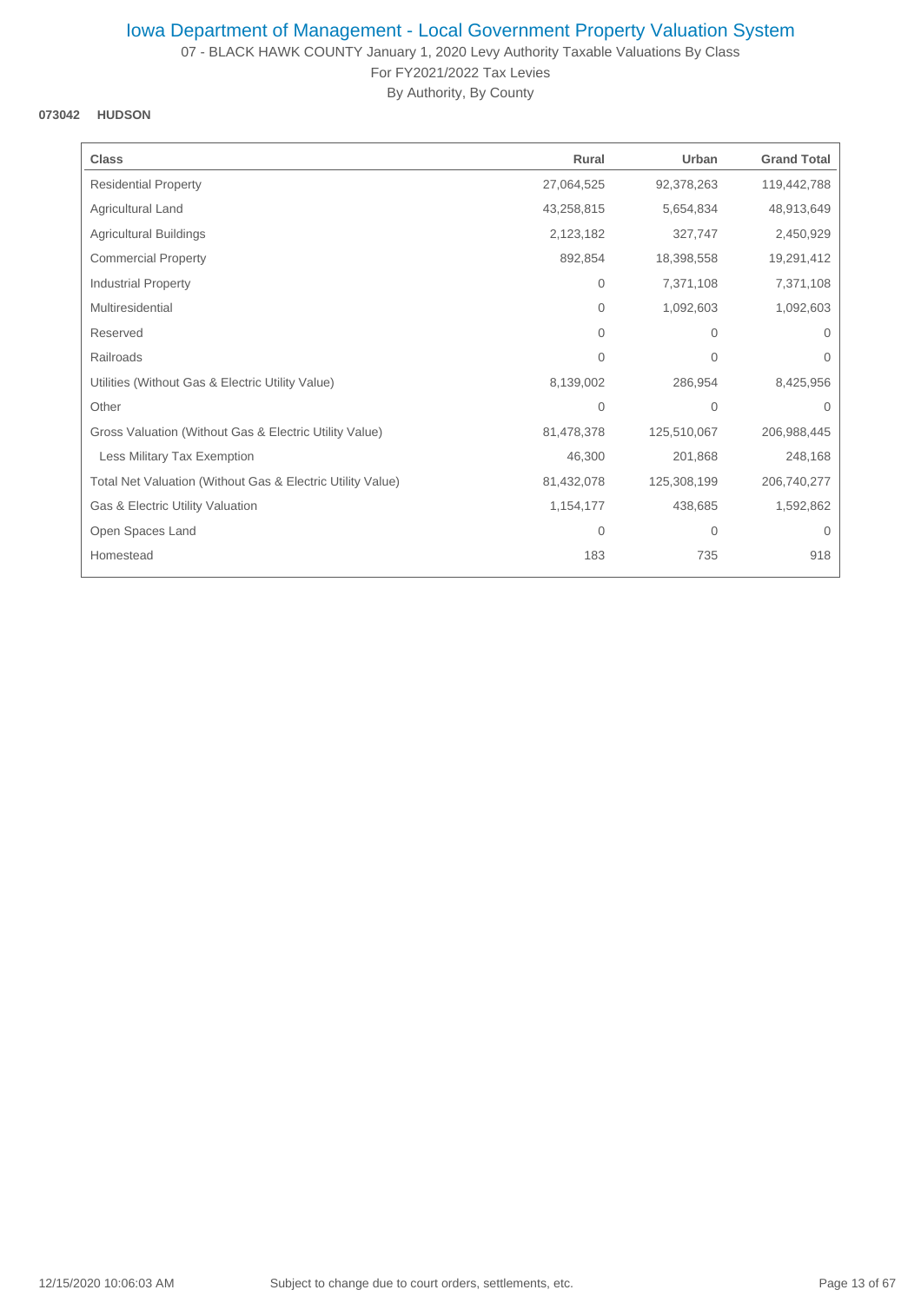07 - BLACK HAWK COUNTY January 1, 2020 Levy Authority Taxable Valuations By Class For FY2021/2022 Tax Levies

By Authority, By County

## **073042 HUDSON**

| Rural          | Urban       | <b>Grand Total</b> |
|----------------|-------------|--------------------|
| 27,064,525     | 92,378,263  | 119,442,788        |
| 43,258,815     | 5,654,834   | 48,913,649         |
| 2,123,182      | 327,747     | 2,450,929          |
| 892,854        | 18,398,558  | 19,291,412         |
| 0              | 7,371,108   | 7,371,108          |
| $\Omega$       | 1,092,603   | 1,092,603          |
| $\Omega$       | 0           | $\Omega$           |
| 0              | 0           | 0                  |
| 8,139,002      | 286,954     | 8,425,956          |
| $\overline{0}$ | 0           | $\Omega$           |
| 81,478,378     | 125,510,067 | 206,988,445        |
| 46,300         | 201,868     | 248,168            |
| 81,432,078     | 125,308,199 | 206,740,277        |
| 1,154,177      | 438,685     | 1,592,862          |
| 0              | 0           | $\mathbf 0$        |
| 183            | 735         | 918                |
|                |             |                    |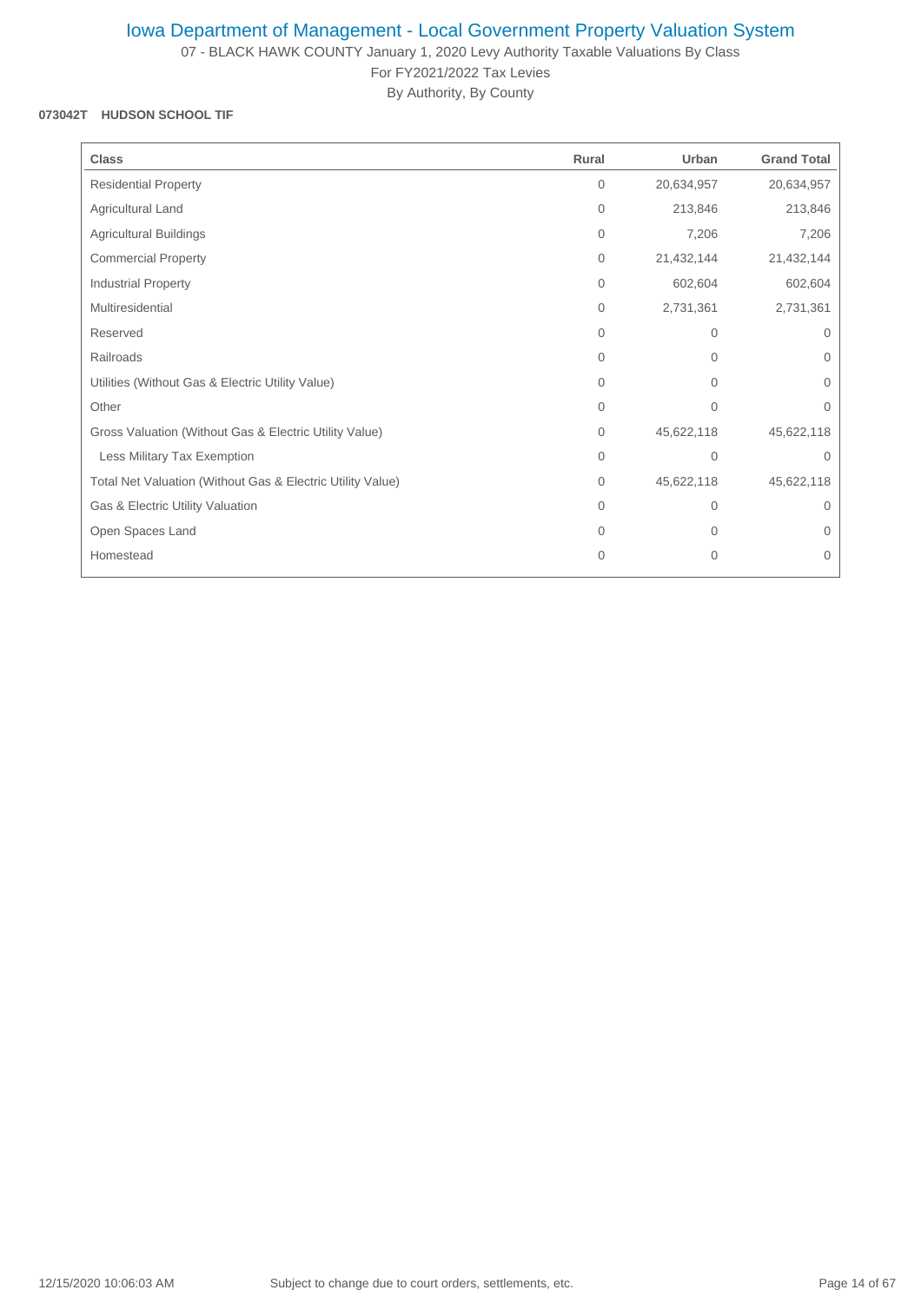07 - BLACK HAWK COUNTY January 1, 2020 Levy Authority Taxable Valuations By Class For FY2021/2022 Tax Levies

By Authority, By County

### **073042T HUDSON SCHOOL TIF**

| <b>Class</b>                                               | Rural        | Urban        | <b>Grand Total</b> |
|------------------------------------------------------------|--------------|--------------|--------------------|
| <b>Residential Property</b>                                | $\mathbf{0}$ | 20,634,957   | 20,634,957         |
| Agricultural Land                                          | $\mathbf{0}$ | 213,846      | 213,846            |
| <b>Agricultural Buildings</b>                              | $\mathbf{0}$ | 7,206        | 7,206              |
| <b>Commercial Property</b>                                 | $\mathbf{0}$ | 21,432,144   | 21,432,144         |
| <b>Industrial Property</b>                                 | 0            | 602,604      | 602,604            |
| Multiresidential                                           | $\mathbf{0}$ | 2,731,361    | 2,731,361          |
| Reserved                                                   | $\Omega$     | $\mathbf{0}$ | $\Omega$           |
| Railroads                                                  | 0            | $\mathbf 0$  | $\mathbf{0}$       |
| Utilities (Without Gas & Electric Utility Value)           | 0            | 0            | 0                  |
| Other                                                      | $\mathbf{0}$ | $\mathbf{0}$ | $\mathbf{0}$       |
| Gross Valuation (Without Gas & Electric Utility Value)     | $\mathbf{0}$ | 45,622,118   | 45,622,118         |
| Less Military Tax Exemption                                | $\Omega$     | $\mathbf{0}$ | $\mathbf 0$        |
| Total Net Valuation (Without Gas & Electric Utility Value) | $\mathbf{0}$ | 45,622,118   | 45,622,118         |
| Gas & Electric Utility Valuation                           | $\Omega$     | $\mathbf{0}$ | $\Omega$           |
| Open Spaces Land                                           | $\Omega$     | $\mathbf{0}$ | 0                  |
| Homestead                                                  | 0            | $\mathbf 0$  | $\mathbf 0$        |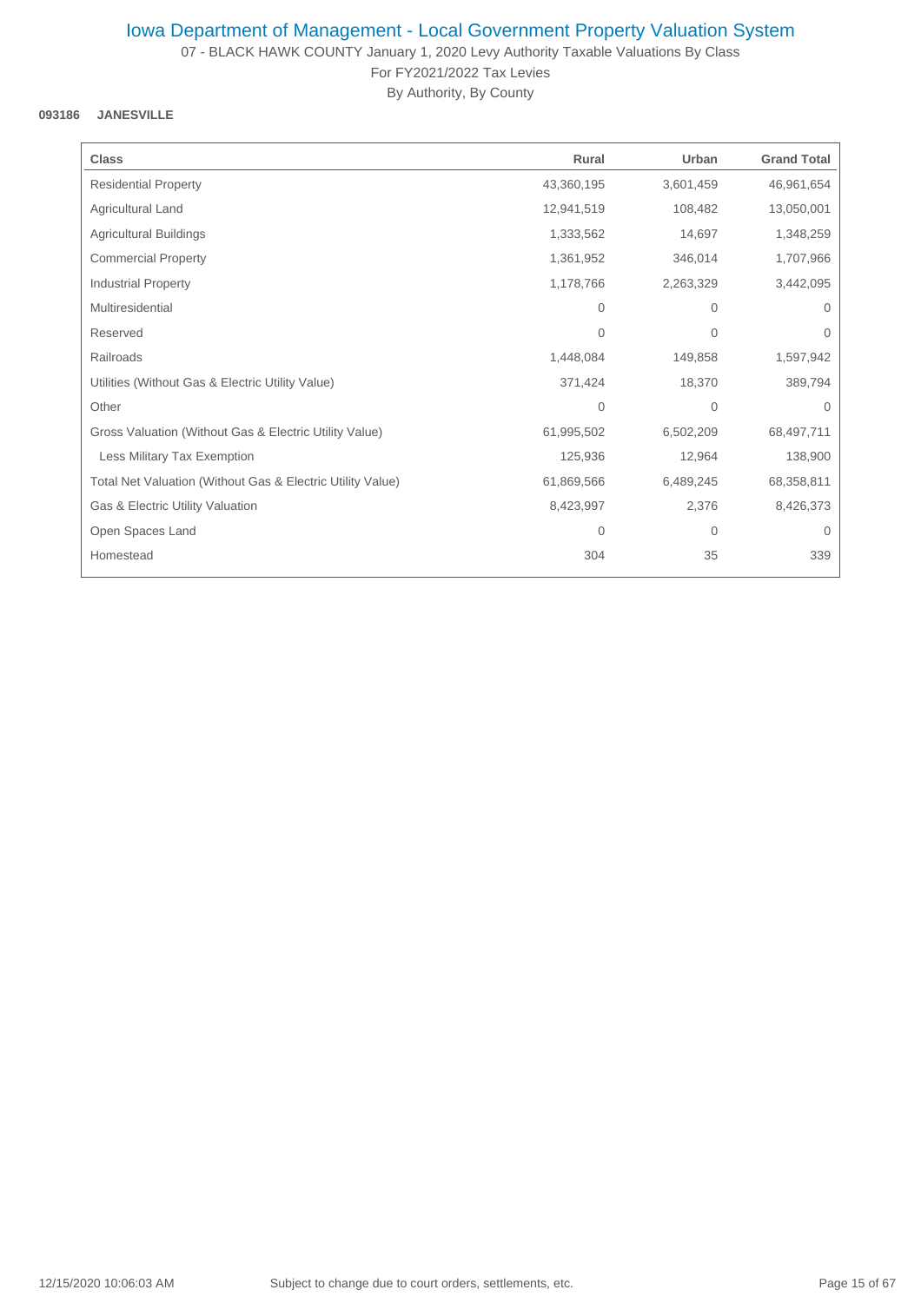07 - BLACK HAWK COUNTY January 1, 2020 Levy Authority Taxable Valuations By Class For FY2021/2022 Tax Levies

By Authority, By County

### **093186 JANESVILLE**

| <b>Class</b>                                               | Rural          | Urban        | <b>Grand Total</b> |
|------------------------------------------------------------|----------------|--------------|--------------------|
| <b>Residential Property</b>                                | 43,360,195     | 3,601,459    | 46,961,654         |
| Agricultural Land                                          | 12,941,519     | 108,482      | 13,050,001         |
| <b>Agricultural Buildings</b>                              | 1,333,562      | 14,697       | 1,348,259          |
| <b>Commercial Property</b>                                 | 1,361,952      | 346,014      | 1,707,966          |
| <b>Industrial Property</b>                                 | 1,178,766      | 2,263,329    | 3,442,095          |
| Multiresidential                                           | $\Omega$       | $\Omega$     | $\Omega$           |
| Reserved                                                   | $\Omega$       | $\mathbf{0}$ | $\Omega$           |
| Railroads                                                  | 1,448,084      | 149,858      | 1,597,942          |
| Utilities (Without Gas & Electric Utility Value)           | 371,424        | 18,370       | 389,794            |
| Other                                                      | $\overline{0}$ | $\mathbf{0}$ | $\Omega$           |
| Gross Valuation (Without Gas & Electric Utility Value)     | 61,995,502     | 6,502,209    | 68,497,711         |
| Less Military Tax Exemption                                | 125,936        | 12,964       | 138,900            |
| Total Net Valuation (Without Gas & Electric Utility Value) | 61,869,566     | 6,489,245    | 68,358,811         |
| Gas & Electric Utility Valuation                           | 8,423,997      | 2,376        | 8,426,373          |
| Open Spaces Land                                           | 0              | $\mathbf{0}$ | $\mathbf{0}$       |
| Homestead                                                  | 304            | 35           | 339                |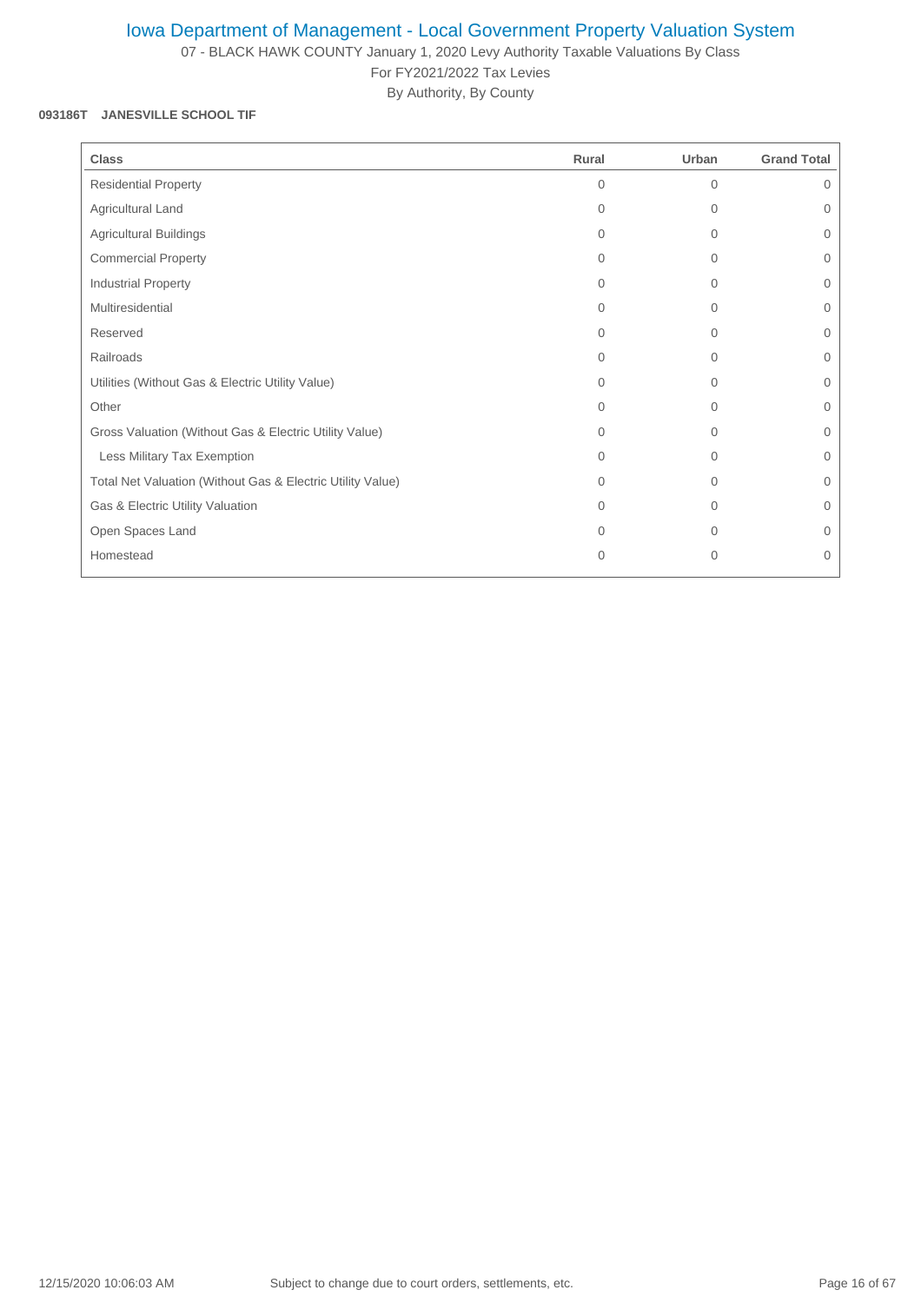07 - BLACK HAWK COUNTY January 1, 2020 Levy Authority Taxable Valuations By Class For FY2021/2022 Tax Levies

By Authority, By County

#### **093186T JANESVILLE SCHOOL TIF**

| <b>Class</b>                                               | Rural        | Urban        | <b>Grand Total</b> |
|------------------------------------------------------------|--------------|--------------|--------------------|
| <b>Residential Property</b>                                | $\Omega$     | $\mathbf{0}$ | $\Omega$           |
| Agricultural Land                                          | $\Omega$     | $\Omega$     | $\Omega$           |
| <b>Agricultural Buildings</b>                              | $\Omega$     | $\mathbf{0}$ | $\Omega$           |
| <b>Commercial Property</b>                                 | $\Omega$     | $\mathbf{0}$ | $\mathbf{0}$       |
| Industrial Property                                        | $\Omega$     | $\mathbf{0}$ | $\Omega$           |
| Multiresidential                                           | $\Omega$     | $\mathbf 0$  | 0                  |
| Reserved                                                   | $\Omega$     | $\Omega$     | $\Omega$           |
| Railroads                                                  | $\Omega$     | $\Omega$     | $\Omega$           |
| Utilities (Without Gas & Electric Utility Value)           | $\Omega$     | $\Omega$     | $\Omega$           |
| Other                                                      | $\Omega$     | $\mathbf{0}$ | 0                  |
| Gross Valuation (Without Gas & Electric Utility Value)     | $\Omega$     | $\mathbf{0}$ | 0                  |
| Less Military Tax Exemption                                | $\Omega$     | $\mathbf{0}$ | 0                  |
| Total Net Valuation (Without Gas & Electric Utility Value) | $\Omega$     | $\Omega$     | $\Omega$           |
| Gas & Electric Utility Valuation                           | $\Omega$     | $\mathbf{0}$ | $\mathbf{0}$       |
| Open Spaces Land                                           | $\Omega$     | $\Omega$     | $\Omega$           |
| Homestead                                                  | $\mathbf{0}$ | $\mathbf{0}$ | 0                  |
|                                                            |              |              |                    |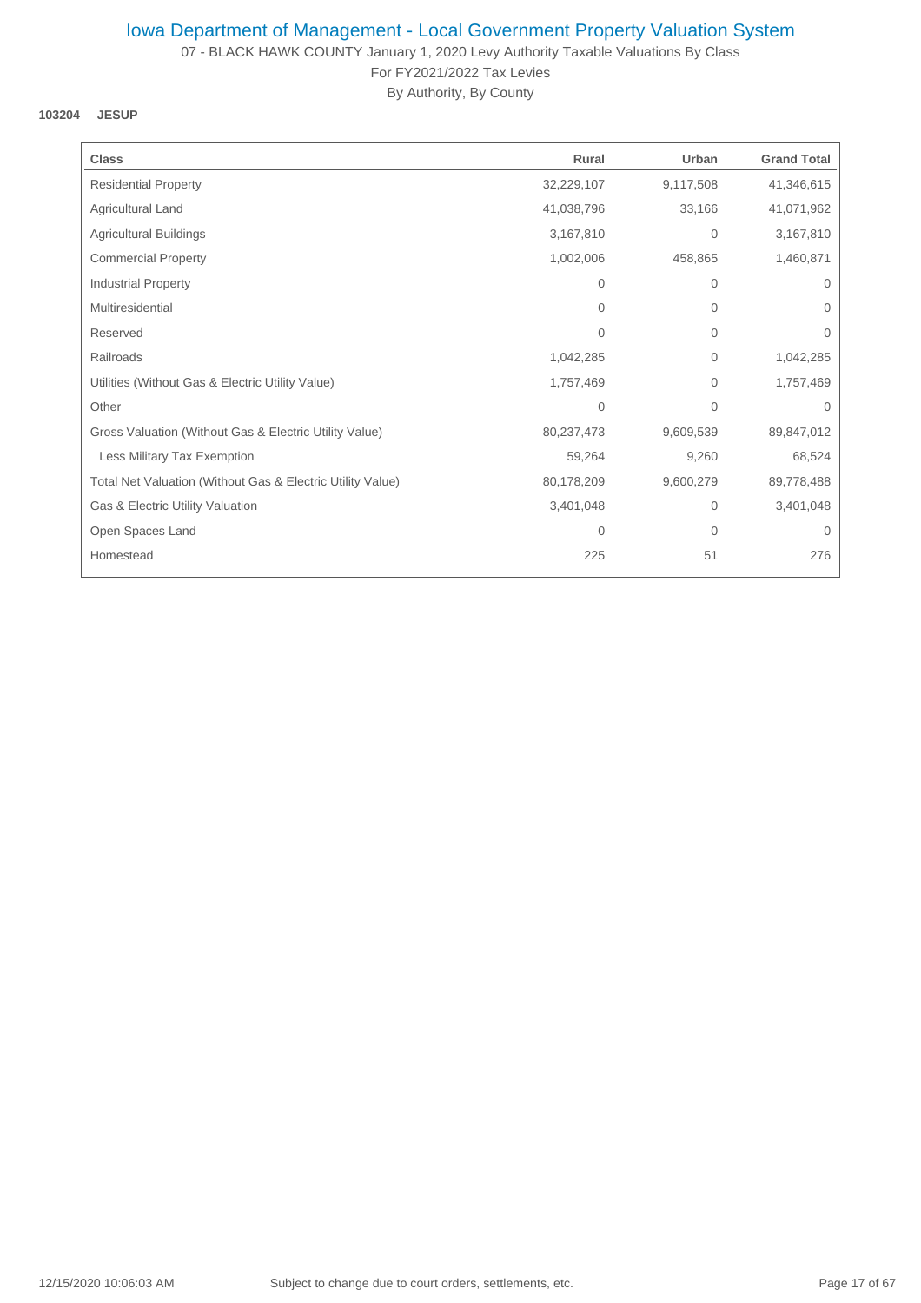07 - BLACK HAWK COUNTY January 1, 2020 Levy Authority Taxable Valuations By Class For FY2021/2022 Tax Levies

By Authority, By County

**103204 JESUP**

| <b>Class</b>                                               | Rural        | Urban     | <b>Grand Total</b> |
|------------------------------------------------------------|--------------|-----------|--------------------|
| <b>Residential Property</b>                                | 32,229,107   | 9,117,508 | 41,346,615         |
| Agricultural Land                                          | 41,038,796   | 33,166    | 41,071,962         |
| <b>Agricultural Buildings</b>                              | 3,167,810    | 0         | 3,167,810          |
| <b>Commercial Property</b>                                 | 1,002,006    | 458,865   | 1,460,871          |
| Industrial Property                                        | 0            | 0         | $\mathbf{0}$       |
| Multiresidential                                           | $\Omega$     | $\Omega$  | $\Omega$           |
| Reserved                                                   | $\Omega$     | 0         | $\Omega$           |
| Railroads                                                  | 1,042,285    | 0         | 1,042,285          |
| Utilities (Without Gas & Electric Utility Value)           | 1,757,469    | 0         | 1,757,469          |
| Other                                                      | $\mathbf{0}$ | $\Omega$  | $\Omega$           |
| Gross Valuation (Without Gas & Electric Utility Value)     | 80,237,473   | 9,609,539 | 89,847,012         |
| Less Military Tax Exemption                                | 59,264       | 9,260     | 68,524             |
| Total Net Valuation (Without Gas & Electric Utility Value) | 80,178,209   | 9,600,279 | 89,778,488         |
| Gas & Electric Utility Valuation                           | 3,401,048    | 0         | 3,401,048          |
| Open Spaces Land                                           | $\mathbf{0}$ | 0         | $\mathbf 0$        |
| Homestead                                                  | 225          | 51        | 276                |
|                                                            |              |           |                    |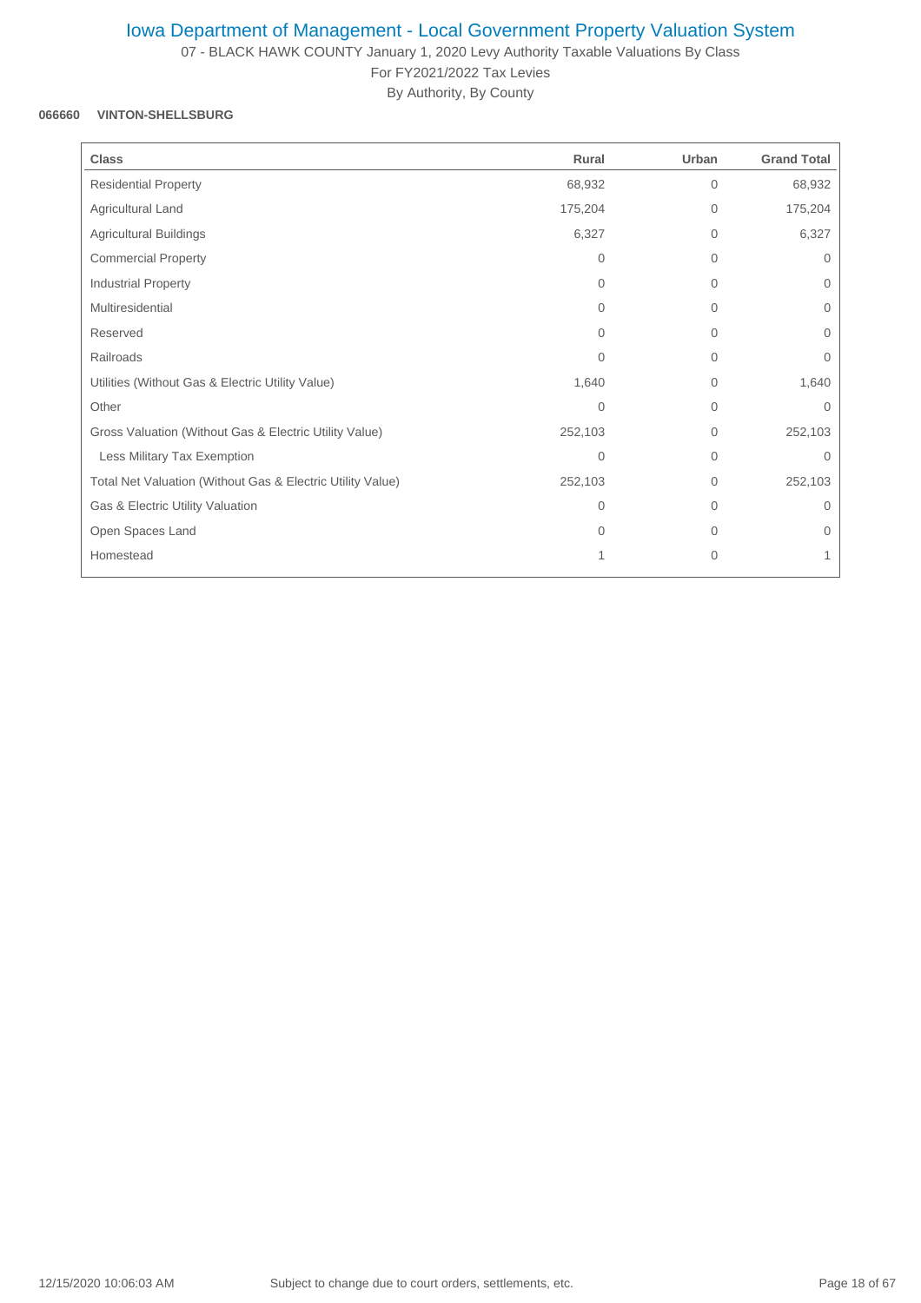07 - BLACK HAWK COUNTY January 1, 2020 Levy Authority Taxable Valuations By Class For FY2021/2022 Tax Levies

By Authority, By County

## **066660 VINTON-SHELLSBURG**

| <b>Class</b>                                               | Rural    | Urban          | <b>Grand Total</b> |
|------------------------------------------------------------|----------|----------------|--------------------|
| <b>Residential Property</b>                                | 68,932   | $\overline{0}$ | 68,932             |
| Agricultural Land                                          | 175,204  | 0              | 175,204            |
| <b>Agricultural Buildings</b>                              | 6,327    | $\overline{0}$ | 6,327              |
| <b>Commercial Property</b>                                 | $\Omega$ | $\overline{0}$ | $\mathbf{0}$       |
| Industrial Property                                        | $\Omega$ | 0              | $\mathbf{0}$       |
| Multiresidential                                           | $\Omega$ | $\overline{0}$ | $\mathbf{0}$       |
| Reserved                                                   | $\Omega$ | $\Omega$       | $\Omega$           |
| Railroads                                                  | $\Omega$ | 0              | $\mathbf 0$        |
| Utilities (Without Gas & Electric Utility Value)           | 1,640    | 0              | 1,640              |
| Other                                                      | 0        | $\overline{0}$ | $\Omega$           |
| Gross Valuation (Without Gas & Electric Utility Value)     | 252,103  | $\mathbf{0}$   | 252,103            |
| Less Military Tax Exemption                                | $\Omega$ | $\Omega$       | $\Omega$           |
| Total Net Valuation (Without Gas & Electric Utility Value) | 252,103  | $\Omega$       | 252,103            |
| Gas & Electric Utility Valuation                           | $\Omega$ | $\Omega$       | $\Omega$           |
| Open Spaces Land                                           | $\Omega$ | $\overline{0}$ | 0                  |
| Homestead                                                  | 1        | $\mathbf{0}$   | 1                  |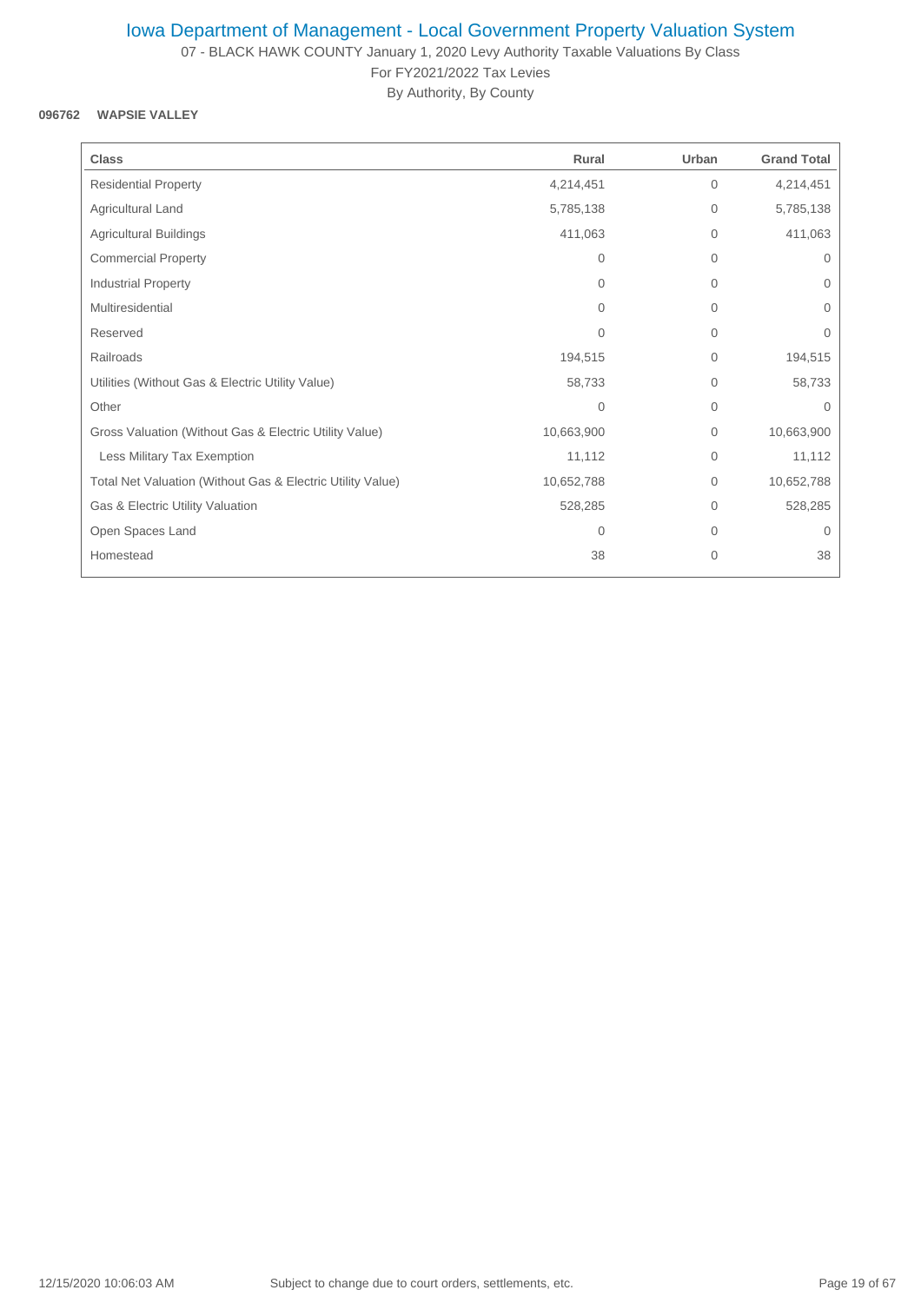07 - BLACK HAWK COUNTY January 1, 2020 Levy Authority Taxable Valuations By Class For FY2021/2022 Tax Levies

By Authority, By County

### **096762 WAPSIE VALLEY**

| <b>Class</b>                                               | Rural          | Urban        | <b>Grand Total</b> |
|------------------------------------------------------------|----------------|--------------|--------------------|
| <b>Residential Property</b>                                | 4,214,451      | $\mathbf{0}$ | 4,214,451          |
| Agricultural Land                                          | 5,785,138      | $\mathbf{0}$ | 5,785,138          |
| <b>Agricultural Buildings</b>                              | 411,063        | $\mathbf{0}$ | 411,063            |
| <b>Commercial Property</b>                                 | $\mathbf{0}$   | $\mathbf{0}$ | $\mathbf{0}$       |
| Industrial Property                                        | $\Omega$       | $\mathbf{0}$ | $\mathbf{0}$       |
| Multiresidential                                           | $\Omega$       | $\mathbf{0}$ | $\Omega$           |
| Reserved                                                   | $\Omega$       | $\mathbf 0$  | $\Omega$           |
| Railroads                                                  | 194,515        | $\mathbf 0$  | 194,515            |
| Utilities (Without Gas & Electric Utility Value)           | 58,733         | $\mathbf{0}$ | 58,733             |
| Other                                                      | $\overline{0}$ | $\mathbf{0}$ | $\Omega$           |
| Gross Valuation (Without Gas & Electric Utility Value)     | 10,663,900     | $\mathbf 0$  | 10,663,900         |
| Less Military Tax Exemption                                | 11,112         | $\mathbf 0$  | 11,112             |
| Total Net Valuation (Without Gas & Electric Utility Value) | 10,652,788     | $\mathbf 0$  | 10,652,788         |
| Gas & Electric Utility Valuation                           | 528,285        | $\mathbf 0$  | 528,285            |
| Open Spaces Land                                           | $\mathbf{0}$   | $\mathbf 0$  | $\Omega$           |
| Homestead                                                  | 38             | $\mathbf 0$  | 38                 |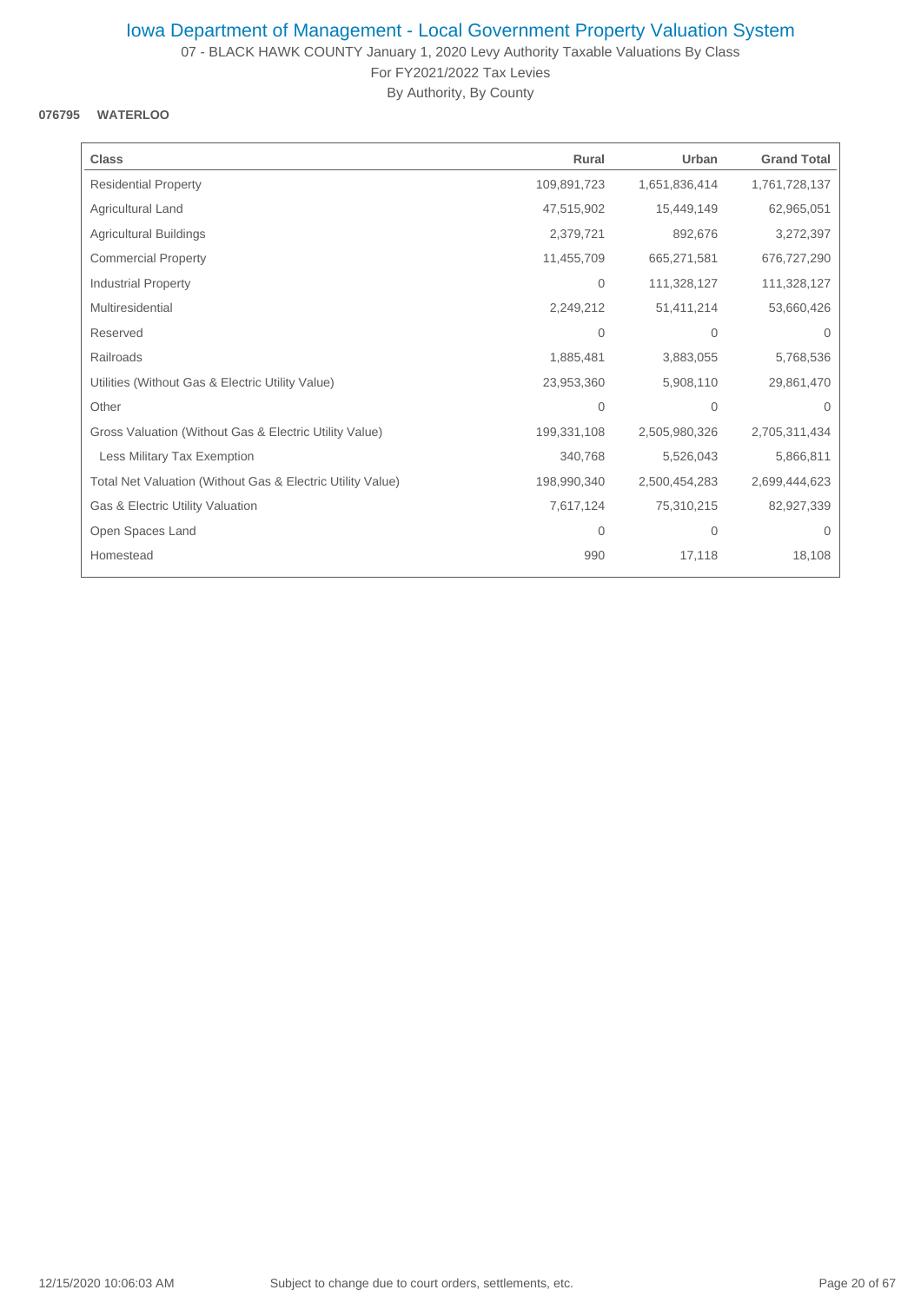07 - BLACK HAWK COUNTY January 1, 2020 Levy Authority Taxable Valuations By Class For FY2021/2022 Tax Levies

By Authority, By County

### **076795 WATERLOO**

| <b>Class</b>                                               | Rural          | Urban          | <b>Grand Total</b> |
|------------------------------------------------------------|----------------|----------------|--------------------|
| <b>Residential Property</b>                                | 109,891,723    | 1,651,836,414  | 1,761,728,137      |
| Agricultural Land                                          | 47,515,902     | 15,449,149     | 62,965,051         |
| Agricultural Buildings                                     | 2,379,721      | 892,676        | 3,272,397          |
| <b>Commercial Property</b>                                 | 11,455,709     | 665,271,581    | 676,727,290        |
| <b>Industrial Property</b>                                 | 0              | 111,328,127    | 111,328,127        |
| Multiresidential                                           | 2,249,212      | 51,411,214     | 53,660,426         |
| Reserved                                                   | 0              | 0              | $\mathbf 0$        |
| Railroads                                                  | 1,885,481      | 3,883,055      | 5,768,536          |
| Utilities (Without Gas & Electric Utility Value)           | 23,953,360     | 5,908,110      | 29,861,470         |
| Other                                                      | $\overline{0}$ | $\overline{0}$ | $\Omega$           |
| Gross Valuation (Without Gas & Electric Utility Value)     | 199,331,108    | 2,505,980,326  | 2,705,311,434      |
| Less Military Tax Exemption                                | 340,768        | 5,526,043      | 5,866,811          |
| Total Net Valuation (Without Gas & Electric Utility Value) | 198,990,340    | 2,500,454,283  | 2,699,444,623      |
| Gas & Electric Utility Valuation                           | 7,617,124      | 75,310,215     | 82,927,339         |
| Open Spaces Land                                           | $\mathbf 0$    | 0              | $\mathbf 0$        |
| Homestead                                                  | 990            | 17,118         | 18,108             |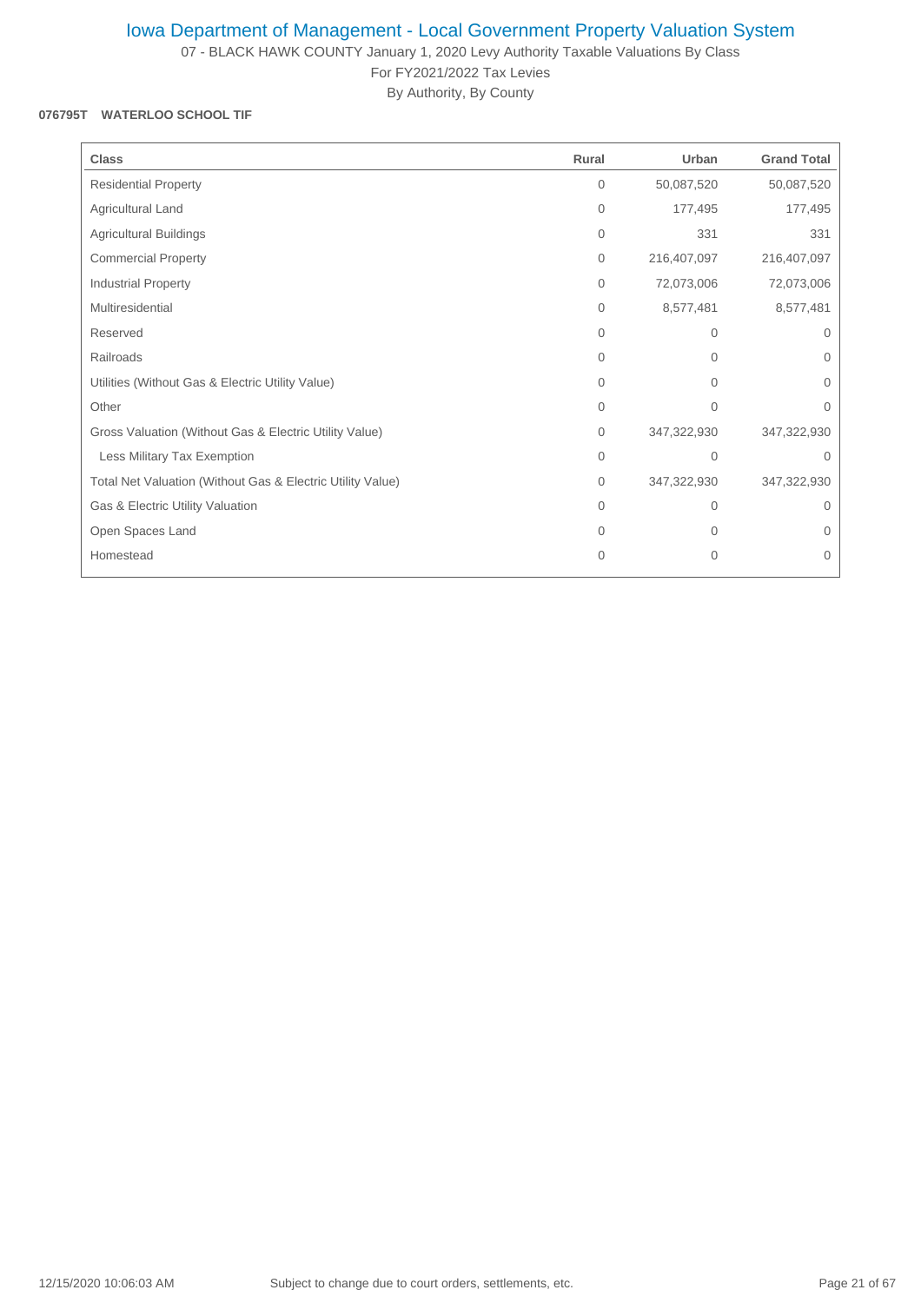07 - BLACK HAWK COUNTY January 1, 2020 Levy Authority Taxable Valuations By Class For FY2021/2022 Tax Levies

By Authority, By County

### **076795T WATERLOO SCHOOL TIF**

| <b>Class</b>                                               | Rural    | Urban        | <b>Grand Total</b> |
|------------------------------------------------------------|----------|--------------|--------------------|
| <b>Residential Property</b>                                | 0        | 50,087,520   | 50,087,520         |
| Agricultural Land                                          | 0        | 177,495      | 177,495            |
| Agricultural Buildings                                     | 0        | 331          | 331                |
| <b>Commercial Property</b>                                 | 0        | 216,407,097  | 216,407,097        |
| Industrial Property                                        | $\Omega$ | 72,073,006   | 72,073,006         |
| Multiresidential                                           | $\Omega$ | 8,577,481    | 8,577,481          |
| Reserved                                                   | $\Omega$ | $\Omega$     | $\Omega$           |
| Railroads                                                  | $\Omega$ | $\Omega$     | $\Omega$           |
| Utilities (Without Gas & Electric Utility Value)           | $\Omega$ | 0            | $\mathbf 0$        |
| Other                                                      | $\Omega$ | $\Omega$     | $\Omega$           |
| Gross Valuation (Without Gas & Electric Utility Value)     | 0        | 347,322,930  | 347,322,930        |
| Less Military Tax Exemption                                | $\Omega$ | $\Omega$     | $\Omega$           |
| Total Net Valuation (Without Gas & Electric Utility Value) | $\Omega$ | 347,322,930  | 347,322,930        |
| Gas & Electric Utility Valuation                           | $\Omega$ | $\Omega$     | $\Omega$           |
| Open Spaces Land                                           | $\Omega$ | 0            | 0                  |
| Homestead                                                  | $\Omega$ | $\mathbf{0}$ | $\Omega$           |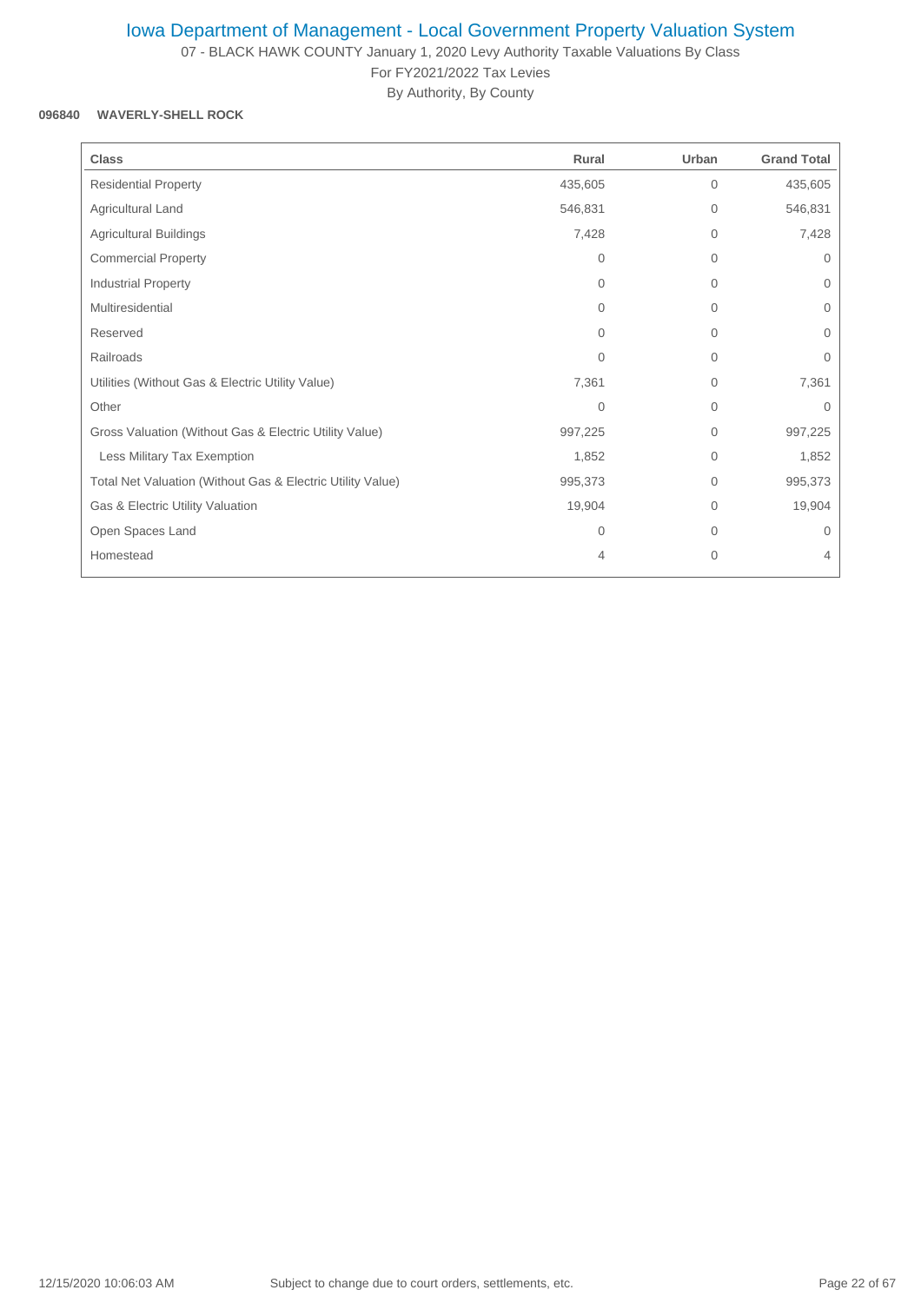07 - BLACK HAWK COUNTY January 1, 2020 Levy Authority Taxable Valuations By Class For FY2021/2022 Tax Levies

By Authority, By County

## **096840 WAVERLY-SHELL ROCK**

| <b>Class</b>                                               | Rural          | Urban        | <b>Grand Total</b> |
|------------------------------------------------------------|----------------|--------------|--------------------|
| <b>Residential Property</b>                                | 435,605        | $\mathbf{0}$ | 435,605            |
| Agricultural Land                                          | 546,831        | $\mathbf{0}$ | 546,831            |
| <b>Agricultural Buildings</b>                              | 7,428          | $\mathbf 0$  | 7,428              |
| <b>Commercial Property</b>                                 | $\mathbf{0}$   | $\mathbf{0}$ | $\Omega$           |
| Industrial Property                                        | 0              | $\mathbf{0}$ | 0                  |
| Multiresidential                                           | $\Omega$       | $\mathbf{0}$ | $\mathbf{0}$       |
| Reserved                                                   | $\Omega$       | $\mathbf{0}$ | $\Omega$           |
| Railroads                                                  | $\Omega$       | $\mathbf{0}$ | $\Omega$           |
| Utilities (Without Gas & Electric Utility Value)           | 7,361          | $\mathbf 0$  | 7,361              |
| Other                                                      | $\overline{0}$ | $\mathbf{0}$ | 0                  |
| Gross Valuation (Without Gas & Electric Utility Value)     | 997,225        | $\mathbf{0}$ | 997,225            |
| Less Military Tax Exemption                                | 1,852          | $\mathbf{0}$ | 1,852              |
| Total Net Valuation (Without Gas & Electric Utility Value) | 995,373        | $\mathbf{0}$ | 995,373            |
| Gas & Electric Utility Valuation                           | 19,904         | $\Omega$     | 19,904             |
| Open Spaces Land                                           | 0              | $\mathbf{0}$ | $\Omega$           |
| Homestead                                                  | 4              | $\mathbf 0$  | 4                  |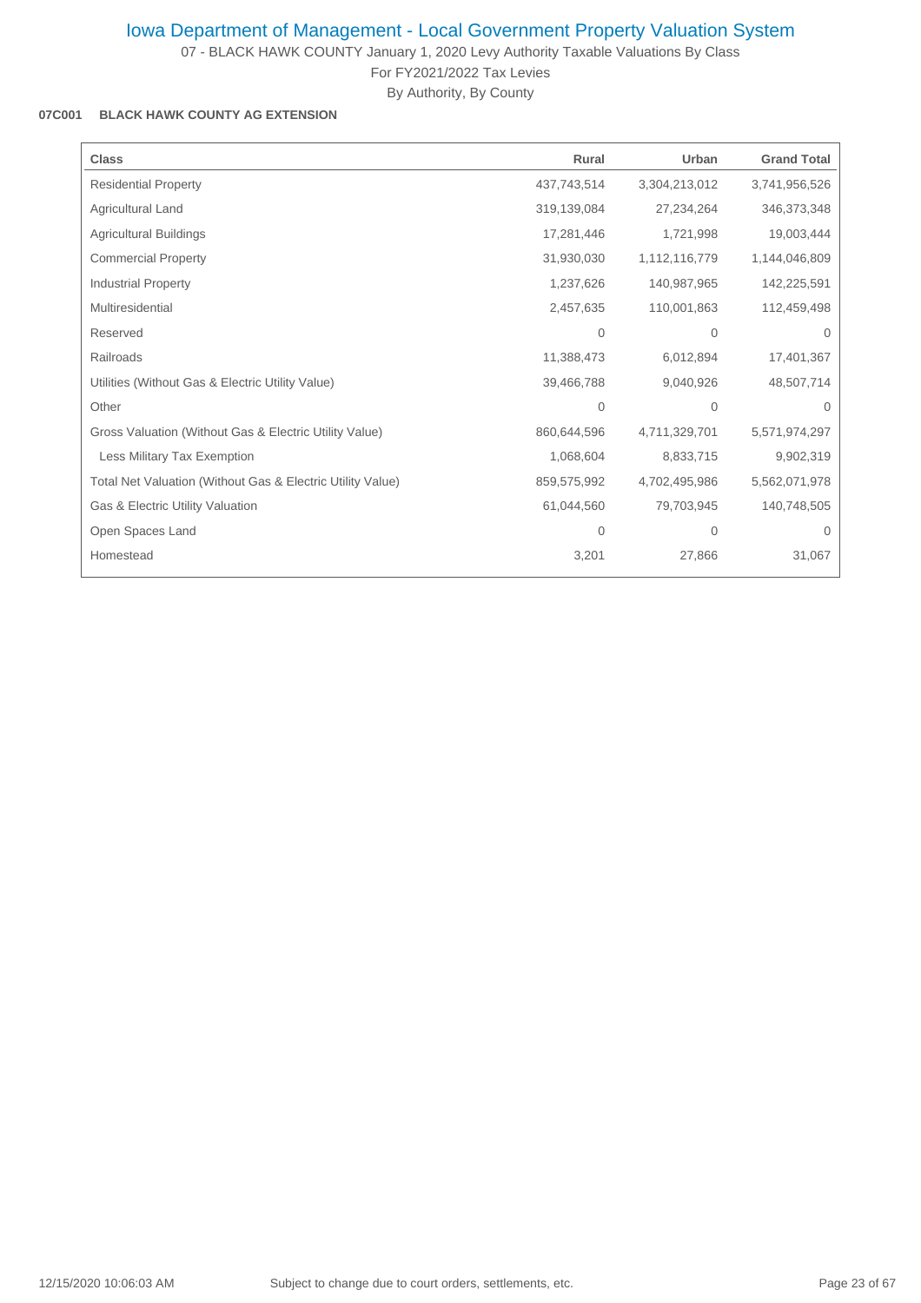07 - BLACK HAWK COUNTY January 1, 2020 Levy Authority Taxable Valuations By Class

For FY2021/2022 Tax Levies

By Authority, By County

### **07C001 BLACK HAWK COUNTY AG EXTENSION**

| <b>Class</b>                                               | Rural          | Urban          | <b>Grand Total</b> |
|------------------------------------------------------------|----------------|----------------|--------------------|
| <b>Residential Property</b>                                | 437,743,514    | 3,304,213,012  | 3,741,956,526      |
| Agricultural Land                                          | 319,139,084    | 27,234,264     | 346,373,348        |
| Agricultural Buildings                                     | 17,281,446     | 1,721,998      | 19,003,444         |
| <b>Commercial Property</b>                                 | 31,930,030     | 1,112,116,779  | 1,144,046,809      |
| <b>Industrial Property</b>                                 | 1,237,626      | 140,987,965    | 142,225,591        |
| Multiresidential                                           | 2,457,635      | 110,001,863    | 112,459,498        |
| Reserved                                                   | 0              | $\overline{0}$ | $\Omega$           |
| Railroads                                                  | 11,388,473     | 6,012,894      | 17,401,367         |
| Utilities (Without Gas & Electric Utility Value)           | 39,466,788     | 9,040,926      | 48,507,714         |
| Other                                                      | $\overline{0}$ | $\overline{0}$ | $\Omega$           |
| Gross Valuation (Without Gas & Electric Utility Value)     | 860,644,596    | 4,711,329,701  | 5,571,974,297      |
| Less Military Tax Exemption                                | 1,068,604      | 8,833,715      | 9,902,319          |
| Total Net Valuation (Without Gas & Electric Utility Value) | 859,575,992    | 4,702,495,986  | 5,562,071,978      |
| Gas & Electric Utility Valuation                           | 61,044,560     | 79,703,945     | 140,748,505        |
| Open Spaces Land                                           | 0              | 0              | $\Omega$           |
| Homestead                                                  | 3,201          | 27,866         | 31,067             |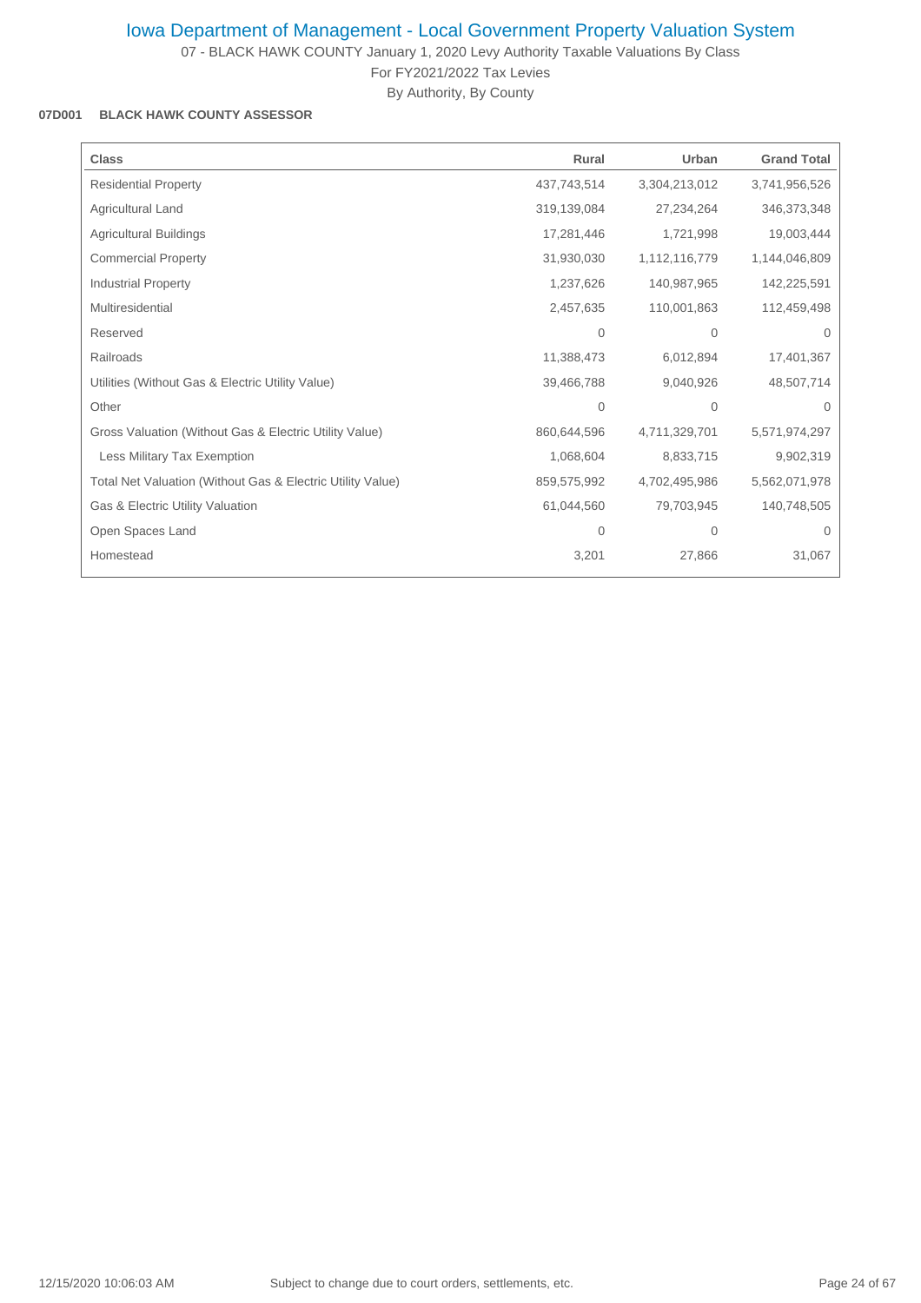07 - BLACK HAWK COUNTY January 1, 2020 Levy Authority Taxable Valuations By Class

For FY2021/2022 Tax Levies By Authority, By County

#### **07D001 BLACK HAWK COUNTY ASSESSOR**

| <b>Class</b>                                               | Rural       | Urban         | <b>Grand Total</b> |
|------------------------------------------------------------|-------------|---------------|--------------------|
| <b>Residential Property</b>                                | 437,743,514 | 3,304,213,012 | 3,741,956,526      |
| Agricultural Land                                          | 319,139,084 | 27,234,264    | 346,373,348        |
| <b>Agricultural Buildings</b>                              | 17,281,446  | 1,721,998     | 19,003,444         |
| <b>Commercial Property</b>                                 | 31,930,030  | 1,112,116,779 | 1,144,046,809      |
| <b>Industrial Property</b>                                 | 1,237,626   | 140,987,965   | 142,225,591        |
| Multiresidential                                           | 2,457,635   | 110,001,863   | 112,459,498        |
| Reserved                                                   | 0           | $\mathbf{0}$  | $\Omega$           |
| Railroads                                                  | 11,388,473  | 6,012,894     | 17,401,367         |
| Utilities (Without Gas & Electric Utility Value)           | 39,466,788  | 9,040,926     | 48,507,714         |
| Other                                                      | $\Omega$    | $\Omega$      | $\Omega$           |
| Gross Valuation (Without Gas & Electric Utility Value)     | 860,644,596 | 4,711,329,701 | 5,571,974,297      |
| Less Military Tax Exemption                                | 1,068,604   | 8,833,715     | 9,902,319          |
| Total Net Valuation (Without Gas & Electric Utility Value) | 859,575,992 | 4,702,495,986 | 5,562,071,978      |
| Gas & Electric Utility Valuation                           | 61,044,560  | 79,703,945    | 140,748,505        |
| Open Spaces Land                                           | 0           | $\mathbf{0}$  | $\Omega$           |
| Homestead                                                  | 3,201       | 27,866        | 31,067             |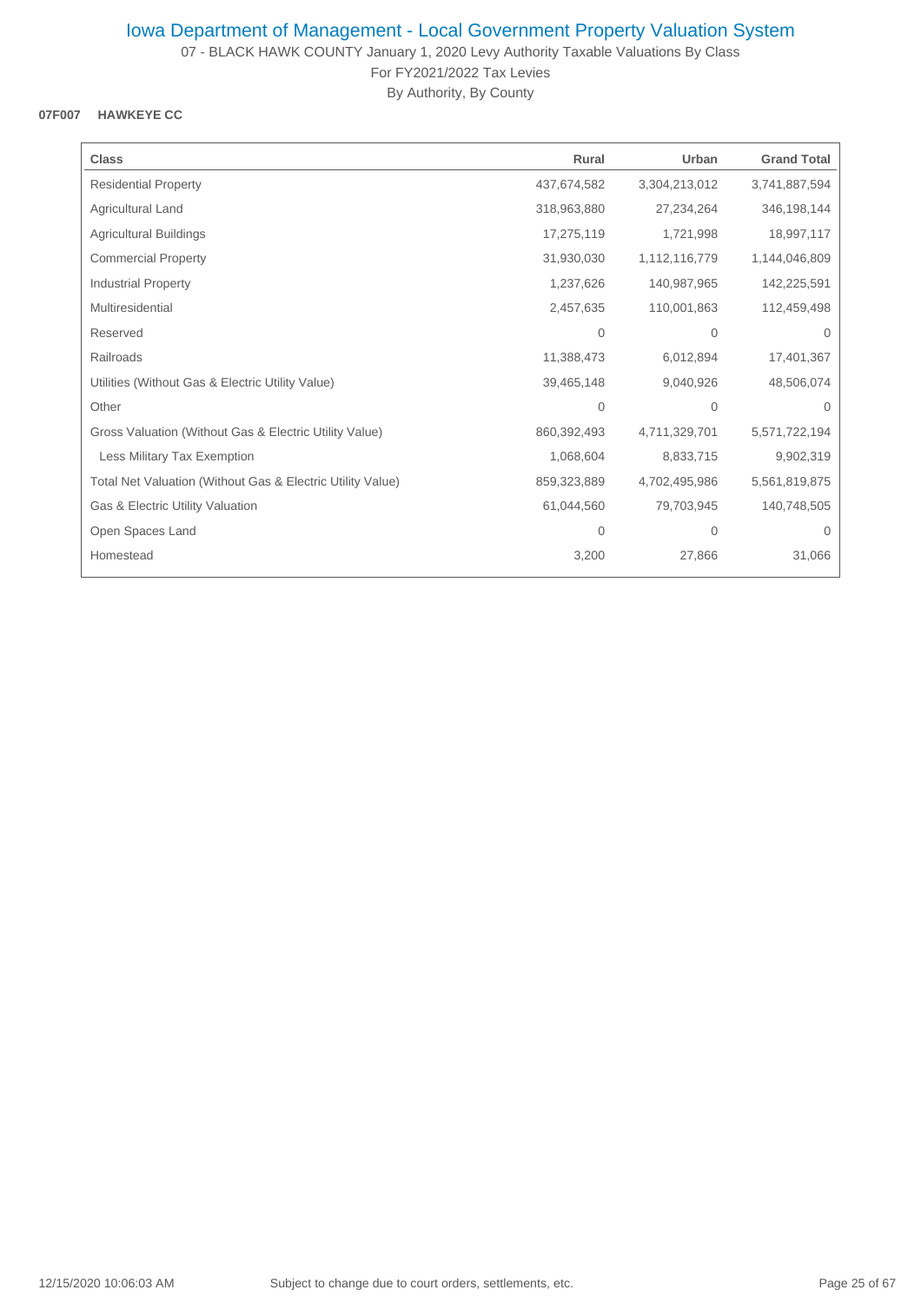07 - BLACK HAWK COUNTY January 1, 2020 Levy Authority Taxable Valuations By Class For FY2021/2022 Tax Levies

By Authority, By County

### **07F007 HAWKEYE CC**

| <b>Class</b>                                               | Rural       | Urban         | <b>Grand Total</b> |
|------------------------------------------------------------|-------------|---------------|--------------------|
| <b>Residential Property</b>                                | 437,674,582 | 3,304,213,012 | 3,741,887,594      |
| Agricultural Land                                          | 318,963,880 | 27,234,264    | 346,198,144        |
| <b>Agricultural Buildings</b>                              | 17,275,119  | 1,721,998     | 18,997,117         |
| <b>Commercial Property</b>                                 | 31,930,030  | 1,112,116,779 | 1,144,046,809      |
| <b>Industrial Property</b>                                 | 1,237,626   | 140,987,965   | 142,225,591        |
| Multiresidential                                           | 2,457,635   | 110,001,863   | 112,459,498        |
| Reserved                                                   | 0           | $\mathbf{0}$  | $\Omega$           |
| Railroads                                                  | 11,388,473  | 6,012,894     | 17,401,367         |
| Utilities (Without Gas & Electric Utility Value)           | 39,465,148  | 9,040,926     | 48,506,074         |
| Other                                                      | 0           | $\mathbf{0}$  | $\Omega$           |
| Gross Valuation (Without Gas & Electric Utility Value)     | 860,392,493 | 4,711,329,701 | 5,571,722,194      |
| Less Military Tax Exemption                                | 1,068,604   | 8,833,715     | 9,902,319          |
| Total Net Valuation (Without Gas & Electric Utility Value) | 859,323,889 | 4,702,495,986 | 5,561,819,875      |
| Gas & Electric Utility Valuation                           | 61,044,560  | 79,703,945    | 140,748,505        |
| Open Spaces Land                                           | 0           | $\mathbf{0}$  | 0                  |
| Homestead                                                  | 3,200       | 27,866        | 31,066             |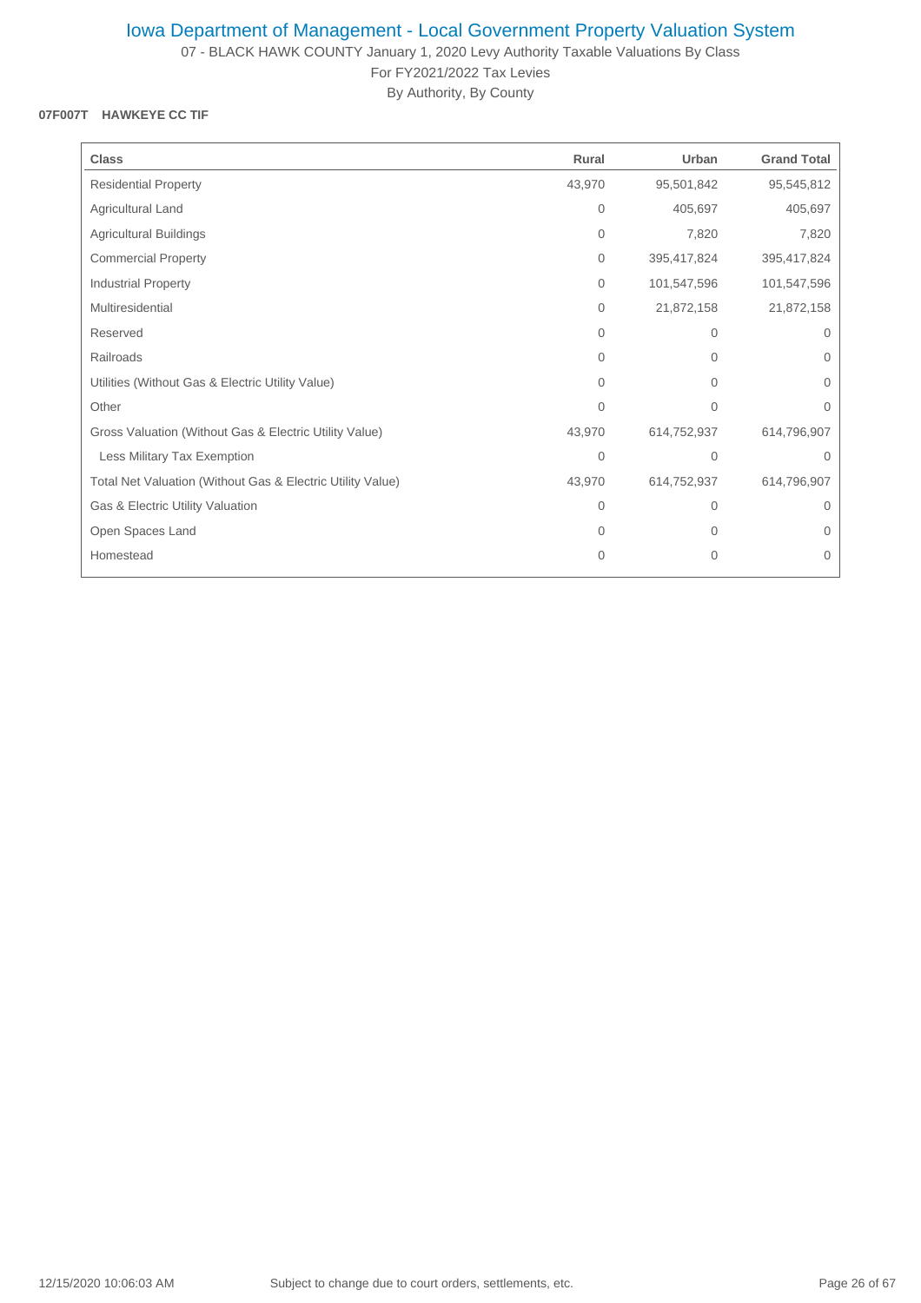07 - BLACK HAWK COUNTY January 1, 2020 Levy Authority Taxable Valuations By Class For FY2021/2022 Tax Levies

By Authority, By County

## **07F007T HAWKEYE CC TIF**

| <b>Class</b>                                               | Rural        | Urban        | <b>Grand Total</b> |
|------------------------------------------------------------|--------------|--------------|--------------------|
| <b>Residential Property</b>                                | 43,970       | 95,501,842   | 95,545,812         |
| Agricultural Land                                          | $\mathbf{0}$ | 405,697      | 405,697            |
| Agricultural Buildings                                     | $\mathbf{0}$ | 7,820        | 7,820              |
| <b>Commercial Property</b>                                 | $\mathbf{0}$ | 395,417,824  | 395,417,824        |
| <b>Industrial Property</b>                                 | $\mathbf{0}$ | 101,547,596  | 101,547,596        |
| Multiresidential                                           | $\mathbf{0}$ | 21,872,158   | 21,872,158         |
| Reserved                                                   | $\Omega$     | $\mathbf{0}$ | $\Omega$           |
| Railroads                                                  | 0            | $\mathbf{0}$ | $\Omega$           |
| Utilities (Without Gas & Electric Utility Value)           | $\mathbf{0}$ | $\mathbf{0}$ | 0                  |
| Other                                                      | $\mathbf{0}$ | $\mathbf{0}$ | $\overline{0}$     |
| Gross Valuation (Without Gas & Electric Utility Value)     | 43,970       | 614,752,937  | 614,796,907        |
| Less Military Tax Exemption                                | 0            | $\mathbf 0$  | $\mathbf 0$        |
| Total Net Valuation (Without Gas & Electric Utility Value) | 43,970       | 614,752,937  | 614,796,907        |
| Gas & Electric Utility Valuation                           | $\mathbf{0}$ | $\mathbf{0}$ | $\Omega$           |
| Open Spaces Land                                           | $\Omega$     | $\Omega$     | $\Omega$           |
| Homestead                                                  | $\mathbf{0}$ | $\mathbf 0$  | $\mathbf 0$        |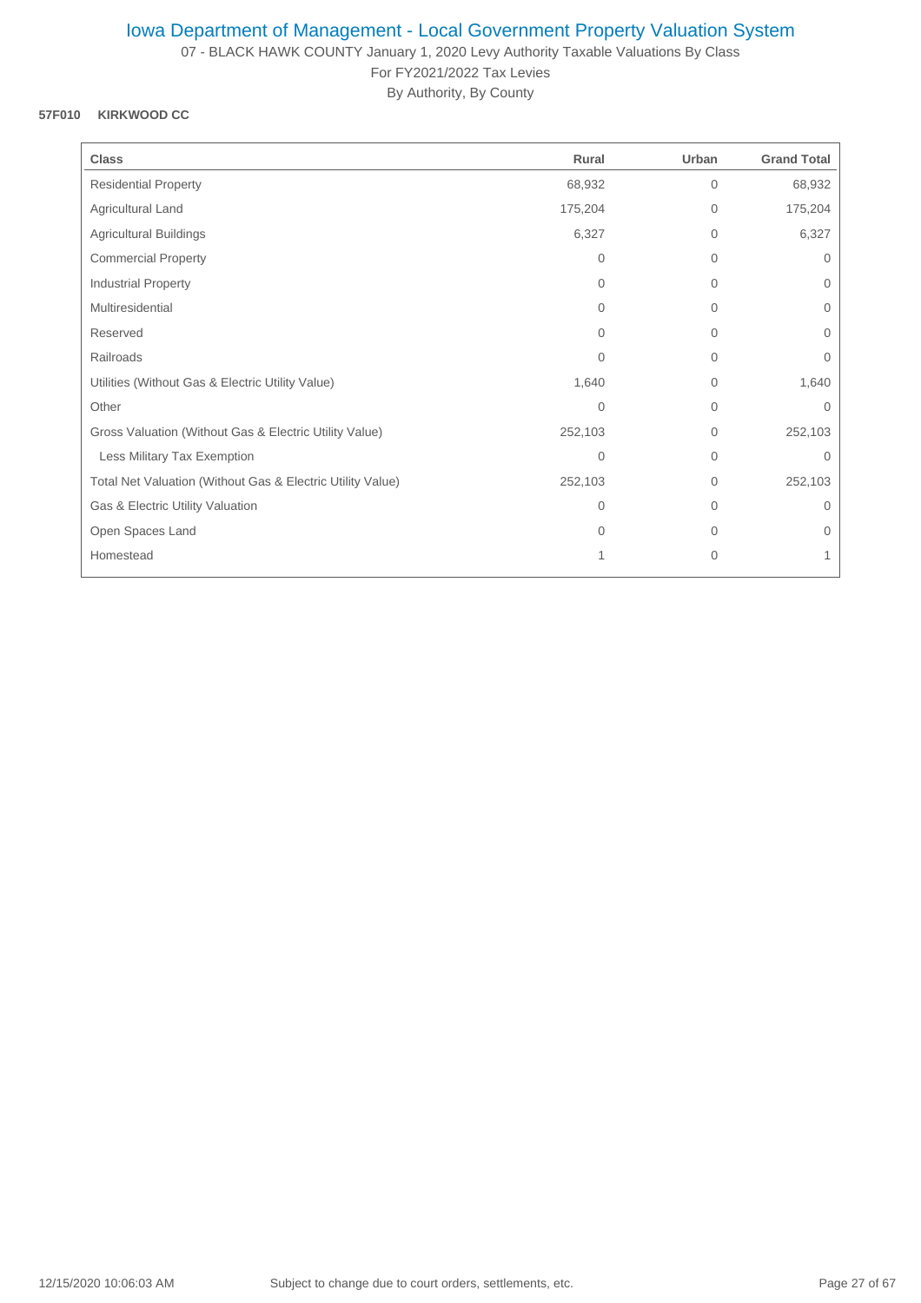07 - BLACK HAWK COUNTY January 1, 2020 Levy Authority Taxable Valuations By Class For FY2021/2022 Tax Levies

By Authority, By County

### **57F010 KIRKWOOD CC**

| <b>Class</b>                                               | Rural          | Urban          | <b>Grand Total</b> |
|------------------------------------------------------------|----------------|----------------|--------------------|
| <b>Residential Property</b>                                | 68,932         | $\overline{0}$ | 68,932             |
| Agricultural Land                                          | 175,204        | 0              | 175,204            |
| <b>Agricultural Buildings</b>                              | 6,327          | $\overline{0}$ | 6,327              |
| <b>Commercial Property</b>                                 | $\Omega$       | $\overline{0}$ | $\Omega$           |
| Industrial Property                                        | $\Omega$       | 0              | $\mathbf{0}$       |
| Multiresidential                                           | $\Omega$       | $\overline{0}$ | 0                  |
| Reserved                                                   | $\Omega$       | 0              | $\Omega$           |
| Railroads                                                  | $\Omega$       | $\Omega$       | $\Omega$           |
| Utilities (Without Gas & Electric Utility Value)           | 1,640          | 0              | 1,640              |
| Other                                                      | $\overline{0}$ | $\overline{0}$ | $\mathbf{0}$       |
| Gross Valuation (Without Gas & Electric Utility Value)     | 252,103        | $\mathbf{0}$   | 252,103            |
| Less Military Tax Exemption                                | 0              | 0              | $\mathbf 0$        |
| Total Net Valuation (Without Gas & Electric Utility Value) | 252,103        | 0              | 252,103            |
| Gas & Electric Utility Valuation                           | $\Omega$       | $\Omega$       | $\Omega$           |
| Open Spaces Land                                           | $\Omega$       | $\Omega$       | $\Omega$           |
| Homestead                                                  | 1              | $\mathbf{0}$   | 1                  |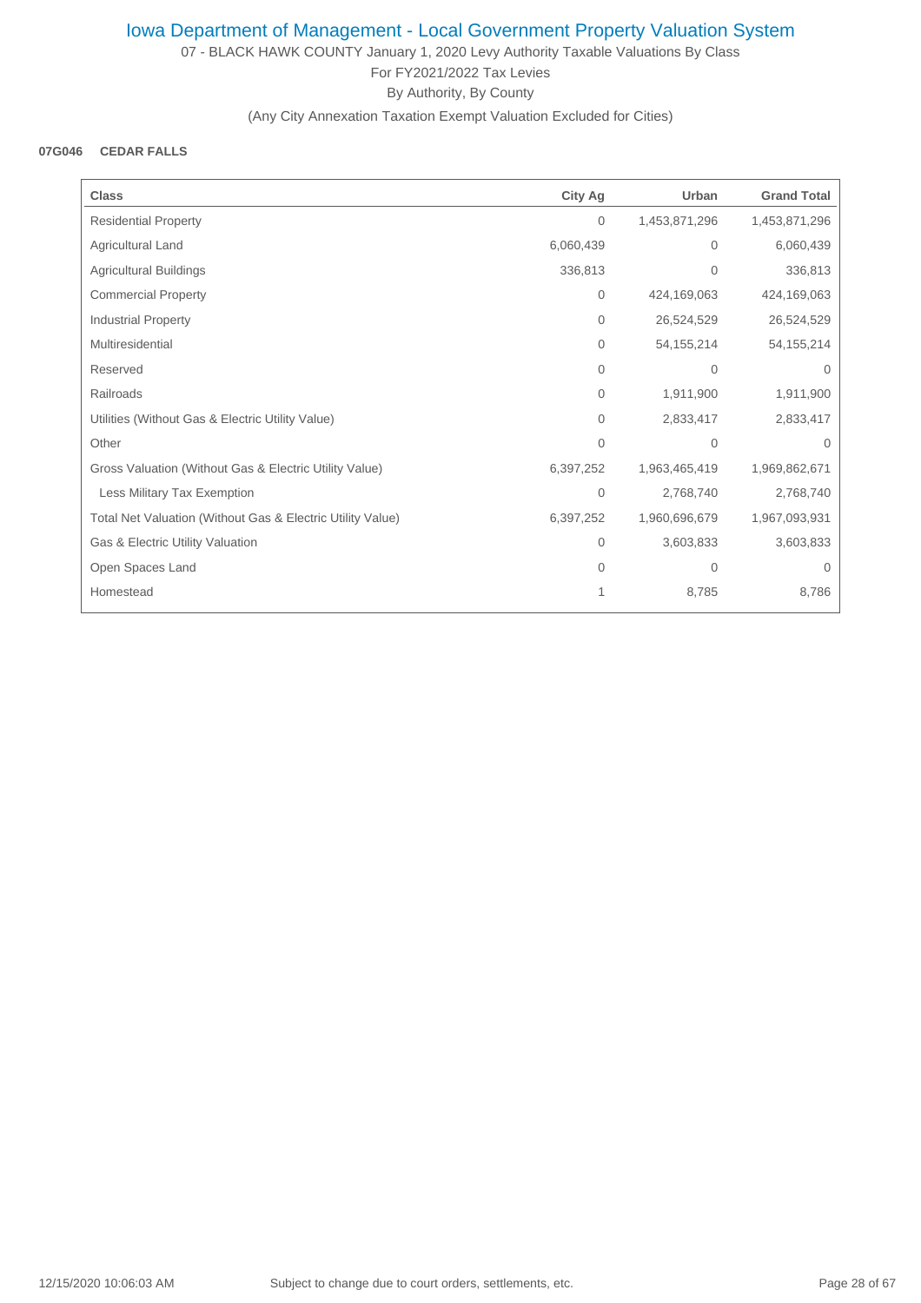07 - BLACK HAWK COUNTY January 1, 2020 Levy Authority Taxable Valuations By Class For FY2021/2022 Tax Levies By Authority, By County

(Any City Annexation Taxation Exempt Valuation Excluded for Cities)

#### **07G046 CEDAR FALLS**

| <b>Class</b>                                               | <b>City Ag</b> | Urban          | <b>Grand Total</b> |
|------------------------------------------------------------|----------------|----------------|--------------------|
| <b>Residential Property</b>                                | $\overline{0}$ | 1,453,871,296  | 1,453,871,296      |
| Agricultural Land                                          | 6,060,439      | $\Omega$       | 6,060,439          |
| <b>Agricultural Buildings</b>                              | 336,813        | $\Omega$       | 336,813            |
| <b>Commercial Property</b>                                 | 0              | 424,169,063    | 424,169,063        |
| <b>Industrial Property</b>                                 | $\mathbf{0}$   | 26,524,529     | 26,524,529         |
| Multiresidential                                           | 0              | 54, 155, 214   | 54, 155, 214       |
| Reserved                                                   | 0              | $\mathbf{0}$   | $\Omega$           |
| Railroads                                                  | 0              | 1,911,900      | 1,911,900          |
| Utilities (Without Gas & Electric Utility Value)           | $\Omega$       | 2,833,417      | 2,833,417          |
| Other                                                      | $\Omega$       | $\mathbf{0}$   | $\Omega$           |
| Gross Valuation (Without Gas & Electric Utility Value)     | 6,397,252      | 1,963,465,419  | 1,969,862,671      |
| Less Military Tax Exemption                                | 0              | 2,768,740      | 2,768,740          |
| Total Net Valuation (Without Gas & Electric Utility Value) | 6,397,252      | 1,960,696,679  | 1,967,093,931      |
| Gas & Electric Utility Valuation                           | 0              | 3,603,833      | 3,603,833          |
| Open Spaces Land                                           | $\Omega$       | $\overline{0}$ | $\Omega$           |
| Homestead                                                  |                | 8,785          | 8,786              |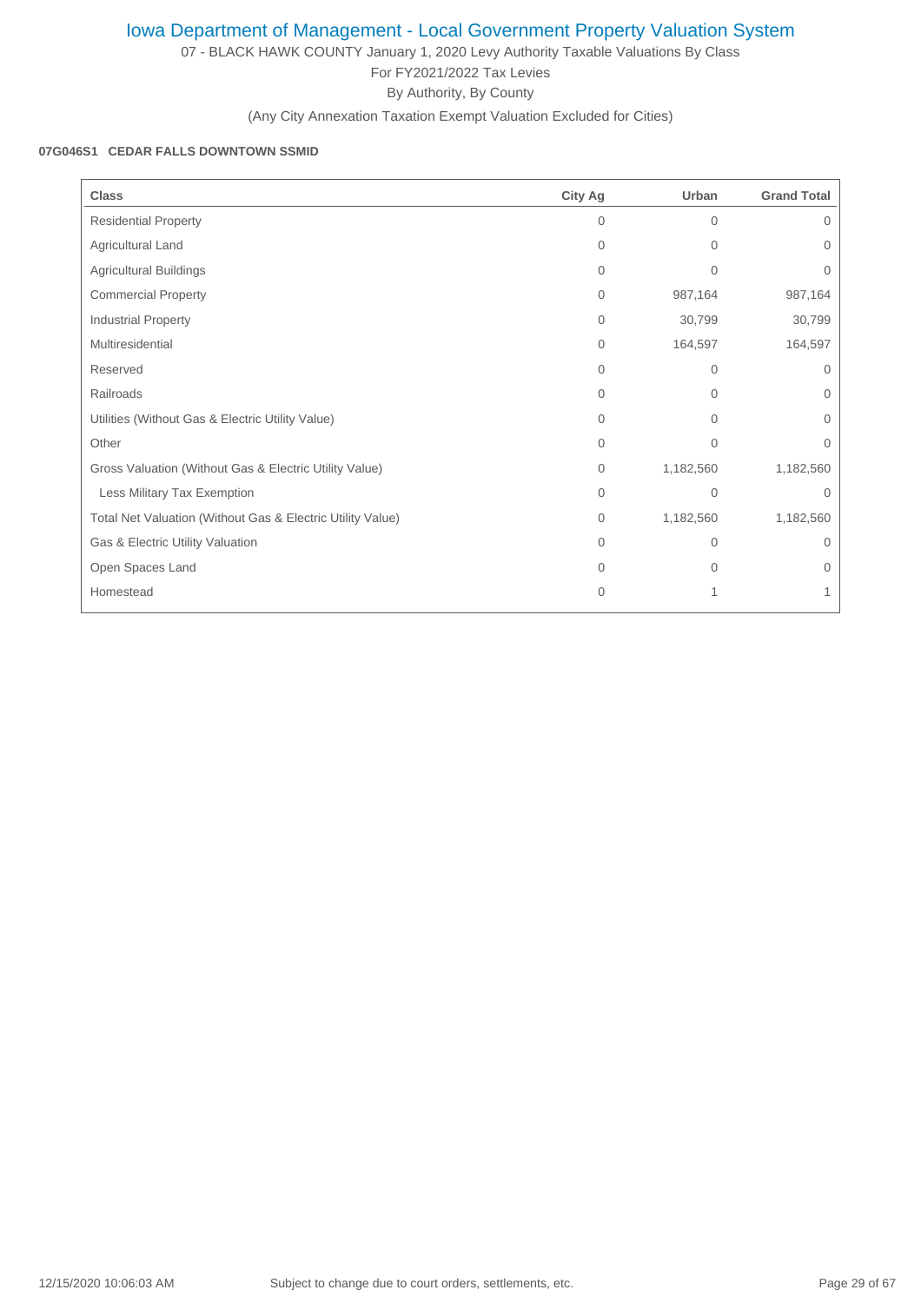07 - BLACK HAWK COUNTY January 1, 2020 Levy Authority Taxable Valuations By Class For FY2021/2022 Tax Levies By Authority, By County

(Any City Annexation Taxation Exempt Valuation Excluded for Cities)

## **07G046S1 CEDAR FALLS DOWNTOWN SSMID**

| <b>Class</b>                                               | <b>City Ag</b> | Urban          | <b>Grand Total</b> |
|------------------------------------------------------------|----------------|----------------|--------------------|
| <b>Residential Property</b>                                | $\Omega$       | $\Omega$       | $\Omega$           |
| Agricultural Land                                          | 0              | $\Omega$       | $\Omega$           |
| <b>Agricultural Buildings</b>                              | $\Omega$       | $\overline{0}$ | 0                  |
| <b>Commercial Property</b>                                 | $\mathbf{0}$   | 987,164        | 987,164            |
| Industrial Property                                        | $\mathbf{0}$   | 30,799         | 30,799             |
| Multiresidential                                           | 0              | 164,597        | 164,597            |
| Reserved                                                   | $\Omega$       | $\mathbf{0}$   | $\Omega$           |
| Railroads                                                  | $\Omega$       | $\Omega$       | $\Omega$           |
| Utilities (Without Gas & Electric Utility Value)           | $\Omega$       | $\Omega$       | 0                  |
| Other                                                      | $\Omega$       | $\Omega$       | $\Omega$           |
| Gross Valuation (Without Gas & Electric Utility Value)     | $\mathbf{0}$   | 1,182,560      | 1,182,560          |
| Less Military Tax Exemption                                | $\Omega$       | $\Omega$       | $\Omega$           |
| Total Net Valuation (Without Gas & Electric Utility Value) | $\mathbf{0}$   | 1,182,560      | 1,182,560          |
| Gas & Electric Utility Valuation                           | $\Omega$       | $\overline{0}$ | $\Omega$           |
| Open Spaces Land                                           | $\Omega$       | $\Omega$       | 0                  |
| Homestead                                                  | $\overline{0}$ | 1              |                    |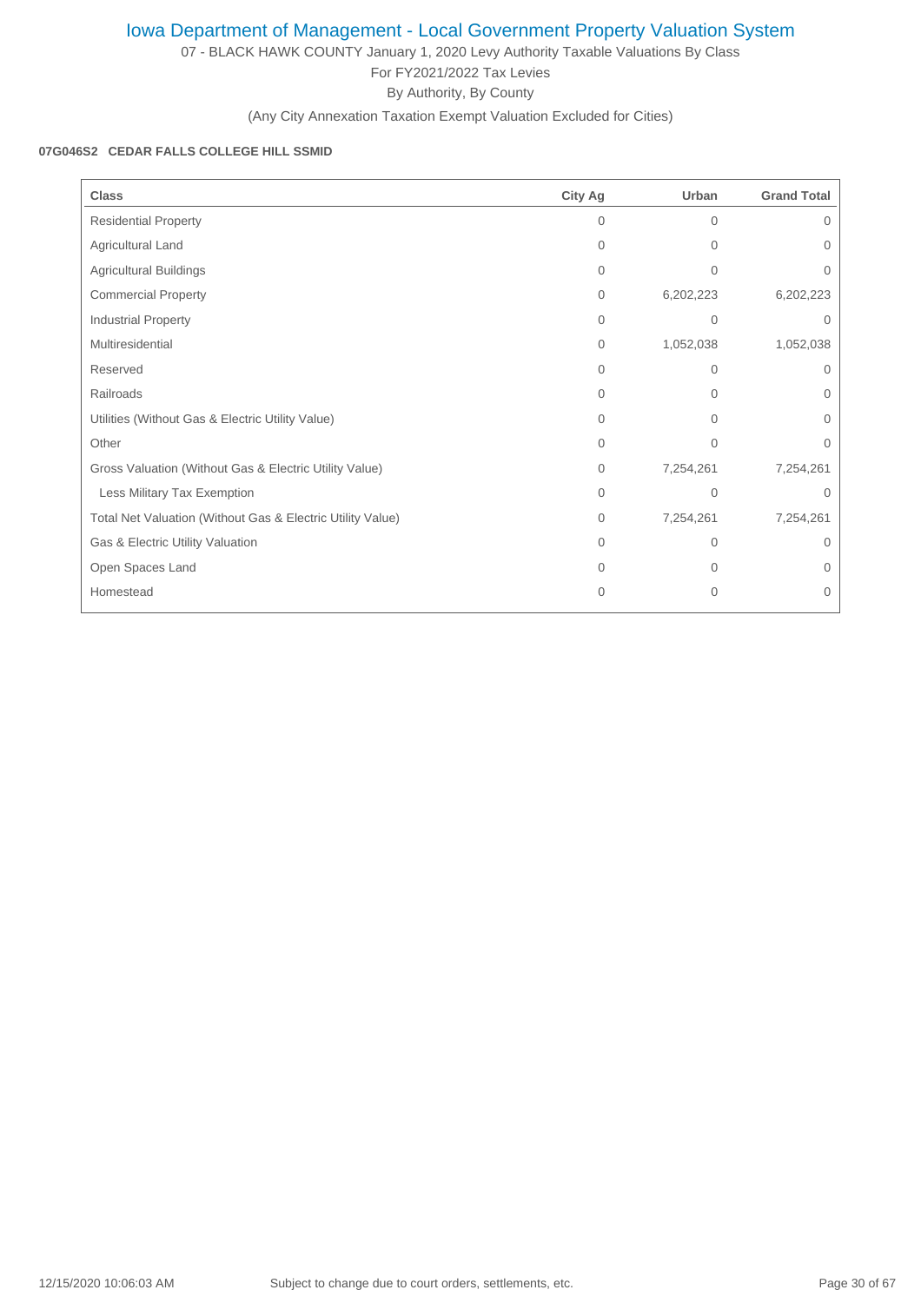07 - BLACK HAWK COUNTY January 1, 2020 Levy Authority Taxable Valuations By Class For FY2021/2022 Tax Levies

By Authority, By County

(Any City Annexation Taxation Exempt Valuation Excluded for Cities)

### **07G046S2 CEDAR FALLS COLLEGE HILL SSMID**

| <b>Class</b>                                               | <b>City Ag</b> | Urban          | <b>Grand Total</b> |
|------------------------------------------------------------|----------------|----------------|--------------------|
| <b>Residential Property</b>                                | $\Omega$       | $\Omega$       | 0                  |
| Agricultural Land                                          | $\mathbf{0}$   | $\Omega$       | $\Omega$           |
| <b>Agricultural Buildings</b>                              | $\Omega$       | $\overline{0}$ | 0                  |
| <b>Commercial Property</b>                                 | $\mathbf{0}$   | 6,202,223      | 6,202,223          |
| Industrial Property                                        | $\mathbf{0}$   | $\mathbf{0}$   | $\Omega$           |
| Multiresidential                                           | $\mathbf{0}$   | 1,052,038      | 1,052,038          |
| Reserved                                                   | $\Omega$       | $\mathbf{0}$   | $\Omega$           |
| Railroads                                                  | $\Omega$       | $\Omega$       | 0                  |
| Utilities (Without Gas & Electric Utility Value)           | $\Omega$       | $\Omega$       | 0                  |
| Other                                                      | $\mathbf{0}$   | $\mathbf{0}$   | 0                  |
| Gross Valuation (Without Gas & Electric Utility Value)     | $\mathbf{0}$   | 7,254,261      | 7,254,261          |
| Less Military Tax Exemption                                | $\Omega$       | $\Omega$       | $\Omega$           |
| Total Net Valuation (Without Gas & Electric Utility Value) | $\mathbf{0}$   | 7,254,261      | 7,254,261          |
| Gas & Electric Utility Valuation                           | $\Omega$       | $\Omega$       | 0                  |
| Open Spaces Land                                           | $\Omega$       | $\Omega$       | $\Omega$           |
| Homestead                                                  | $\Omega$       | $\mathbf{0}$   | $\Omega$           |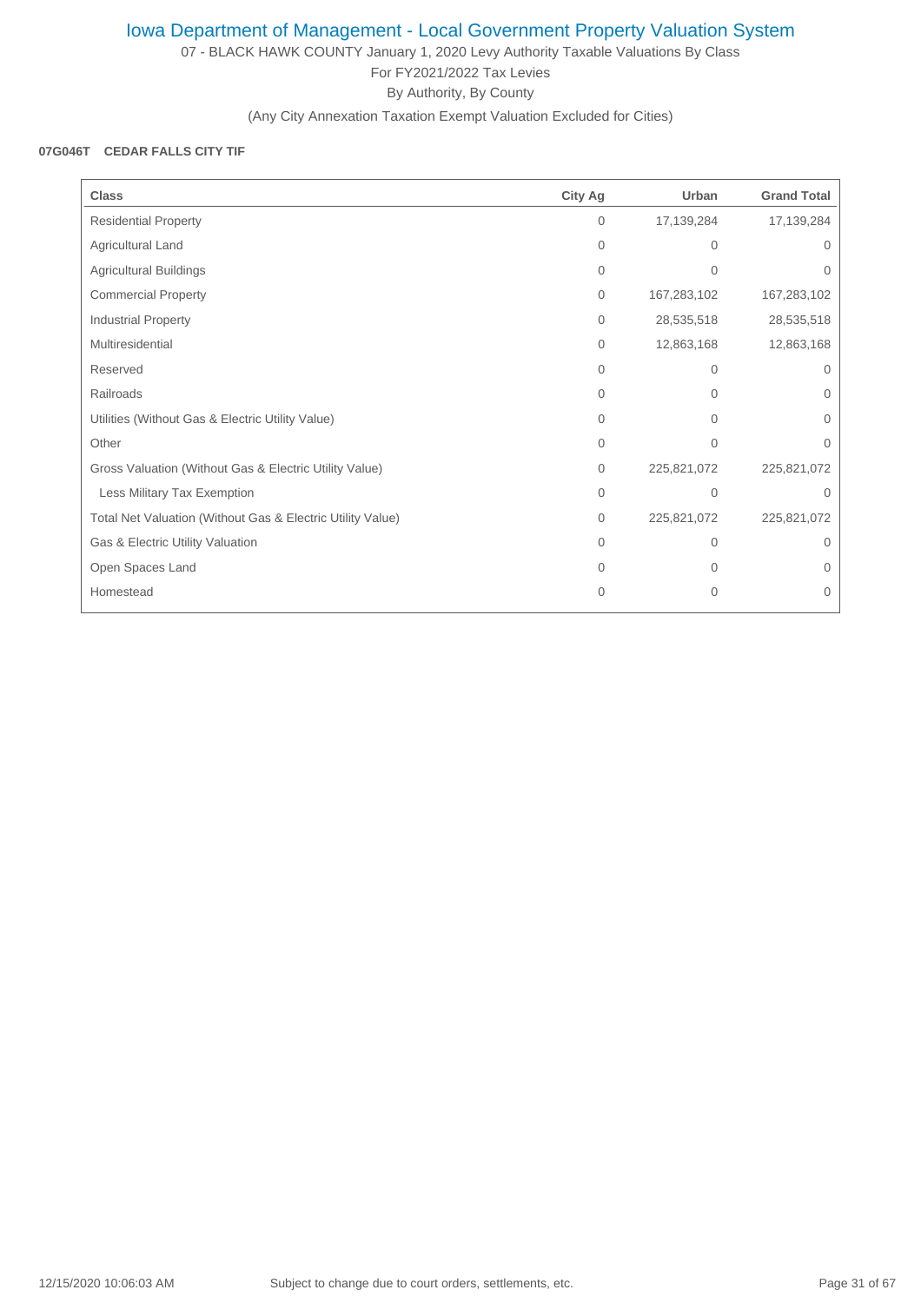07 - BLACK HAWK COUNTY January 1, 2020 Levy Authority Taxable Valuations By Class For FY2021/2022 Tax Levies By Authority, By County

(Any City Annexation Taxation Exempt Valuation Excluded for Cities)

#### **07G046T CEDAR FALLS CITY TIF**

| <b>Class</b>                                               | <b>City Ag</b> | Urban        | <b>Grand Total</b> |
|------------------------------------------------------------|----------------|--------------|--------------------|
| <b>Residential Property</b>                                | $\mathbf{0}$   | 17,139,284   | 17,139,284         |
| Agricultural Land                                          | 0              | 0            | 0                  |
| Agricultural Buildings                                     | $\mathbf{0}$   | $\mathbf{0}$ | 0                  |
| <b>Commercial Property</b>                                 | $\mathbf{0}$   | 167,283,102  | 167,283,102        |
| <b>Industrial Property</b>                                 | $\mathbf{0}$   | 28,535,518   | 28,535,518         |
| Multiresidential                                           | $\mathbf{0}$   | 12,863,168   | 12,863,168         |
| Reserved                                                   | $\Omega$       | $\Omega$     | $\Omega$           |
| Railroads                                                  | $\Omega$       | 0            | $\Omega$           |
| Utilities (Without Gas & Electric Utility Value)           | $\Omega$       | $\Omega$     | 0                  |
| Other                                                      | $\mathbf{0}$   | $\mathbf{0}$ | 0                  |
| Gross Valuation (Without Gas & Electric Utility Value)     | $\mathbf{0}$   | 225,821,072  | 225,821,072        |
| Less Military Tax Exemption                                | 0              | $\Omega$     | $\Omega$           |
| Total Net Valuation (Without Gas & Electric Utility Value) | $\mathbf{0}$   | 225,821,072  | 225,821,072        |
| Gas & Electric Utility Valuation                           | $\Omega$       | 0            | $\Omega$           |
| Open Spaces Land                                           | $\Omega$       | $\Omega$     | 0                  |
| Homestead                                                  | $\overline{0}$ | $\mathbf{0}$ | 0                  |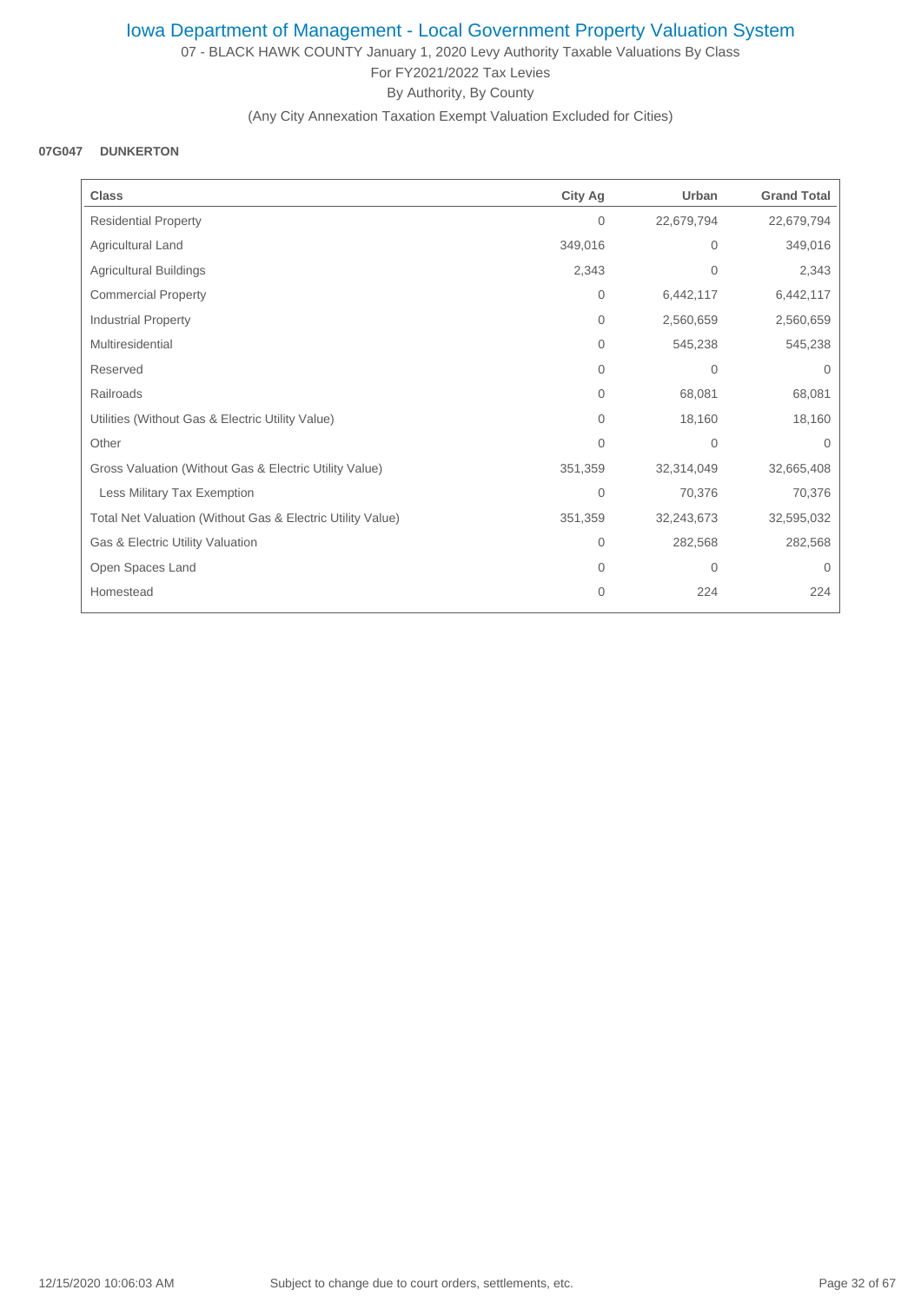07 - BLACK HAWK COUNTY January 1, 2020 Levy Authority Taxable Valuations By Class For FY2021/2022 Tax Levies By Authority, By County

(Any City Annexation Taxation Exempt Valuation Excluded for Cities)

#### **07G047 DUNKERTON**

| <b>Class</b>                                               | <b>City Ag</b> | Urban        | <b>Grand Total</b> |
|------------------------------------------------------------|----------------|--------------|--------------------|
| <b>Residential Property</b>                                | $\overline{0}$ | 22,679,794   | 22,679,794         |
| Agricultural Land                                          | 349,016        | $\mathbf{0}$ | 349,016            |
| <b>Agricultural Buildings</b>                              | 2,343          | $\mathbf{0}$ | 2,343              |
| <b>Commercial Property</b>                                 | $\mathbf{0}$   | 6,442,117    | 6,442,117          |
| Industrial Property                                        | $\mathbf{0}$   | 2,560,659    | 2,560,659          |
| Multiresidential                                           | $\Omega$       | 545,238      | 545,238            |
| Reserved                                                   | $\Omega$       | $\mathbf{0}$ | $\Omega$           |
| Railroads                                                  | $\mathbf{0}$   | 68,081       | 68,081             |
| Utilities (Without Gas & Electric Utility Value)           | $\mathbf{0}$   | 18,160       | 18,160             |
| Other                                                      | $\Omega$       | $\mathbf{0}$ | $\Omega$           |
| Gross Valuation (Without Gas & Electric Utility Value)     | 351,359        | 32,314,049   | 32,665,408         |
| Less Military Tax Exemption                                | $\overline{0}$ | 70,376       | 70,376             |
| Total Net Valuation (Without Gas & Electric Utility Value) | 351,359        | 32,243,673   | 32,595,032         |
| Gas & Electric Utility Valuation                           | $\mathbf{0}$   | 282,568      | 282,568            |
| Open Spaces Land                                           | $\Omega$       | $\mathbf{0}$ | $\Omega$           |
| Homestead                                                  | $\overline{0}$ | 224          | 224                |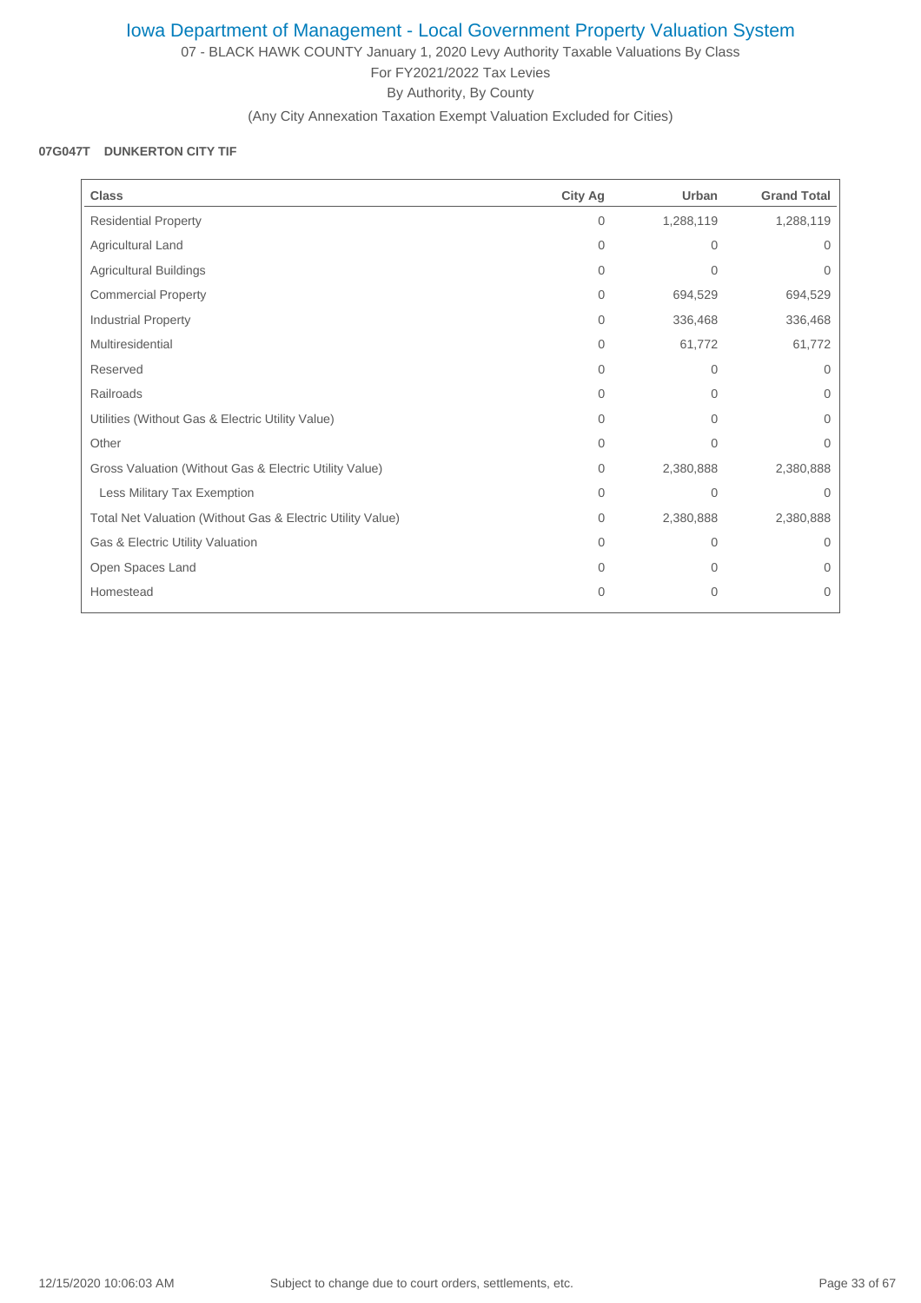07 - BLACK HAWK COUNTY January 1, 2020 Levy Authority Taxable Valuations By Class For FY2021/2022 Tax Levies By Authority, By County

(Any City Annexation Taxation Exempt Valuation Excluded for Cities)

### **07G047T DUNKERTON CITY TIF**

| <b>Class</b>                                               | <b>City Ag</b> | Urban          | <b>Grand Total</b> |
|------------------------------------------------------------|----------------|----------------|--------------------|
| <b>Residential Property</b>                                | $\mathbf{0}$   | 1,288,119      | 1,288,119          |
| Agricultural Land                                          | $\mathbf{0}$   | $\Omega$       | 0                  |
| <b>Agricultural Buildings</b>                              | 0              | $\mathbf{0}$   | 0                  |
| <b>Commercial Property</b>                                 | $\Omega$       | 694,529        | 694,529            |
| Industrial Property                                        | $\mathbf{0}$   | 336,468        | 336,468            |
| Multiresidential                                           | $\mathbf{0}$   | 61,772         | 61,772             |
| Reserved                                                   | $\Omega$       | $\Omega$       | $\Omega$           |
| Railroads                                                  | $\Omega$       | 0              | 0                  |
| Utilities (Without Gas & Electric Utility Value)           | 0              | $\overline{0}$ | 0                  |
| Other                                                      | $\Omega$       | $\Omega$       | $\Omega$           |
| Gross Valuation (Without Gas & Electric Utility Value)     | $\mathbf{0}$   | 2,380,888      | 2,380,888          |
| Less Military Tax Exemption                                | $\Omega$       | $\Omega$       | $\Omega$           |
| Total Net Valuation (Without Gas & Electric Utility Value) | $\mathbf{0}$   | 2,380,888      | 2,380,888          |
| Gas & Electric Utility Valuation                           | $\Omega$       | 0              | $\Omega$           |
| Open Spaces Land                                           | $\Omega$       | 0              | 0                  |
| Homestead                                                  | $\overline{0}$ | $\overline{0}$ | 0                  |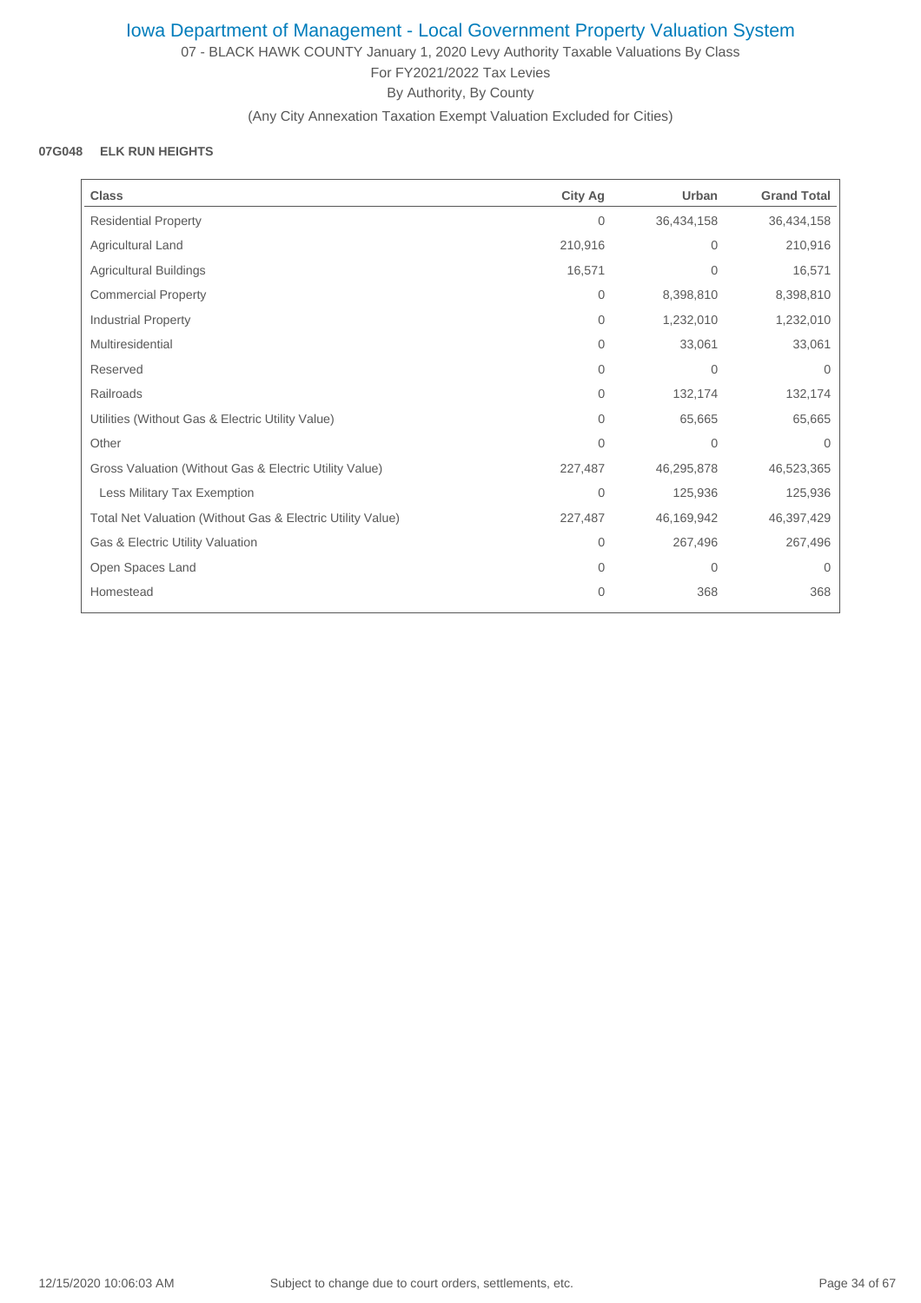07 - BLACK HAWK COUNTY January 1, 2020 Levy Authority Taxable Valuations By Class For FY2021/2022 Tax Levies By Authority, By County

(Any City Annexation Taxation Exempt Valuation Excluded for Cities)

#### **07G048 ELK RUN HEIGHTS**

| <b>Class</b>                                               | <b>City Ag</b> | Urban        | <b>Grand Total</b> |
|------------------------------------------------------------|----------------|--------------|--------------------|
| <b>Residential Property</b>                                | $\mathbf{0}$   | 36,434,158   | 36,434,158         |
| Agricultural Land                                          | 210,916        | 0            | 210,916            |
| Agricultural Buildings                                     | 16,571         | 0            | 16,571             |
| <b>Commercial Property</b>                                 | $\mathbf{0}$   | 8,398,810    | 8,398,810          |
| <b>Industrial Property</b>                                 | $\mathbf{0}$   | 1,232,010    | 1,232,010          |
| Multiresidential                                           | $\mathbf{0}$   | 33,061       | 33,061             |
| Reserved                                                   | $\mathbf{0}$   | $\mathbf{0}$ | 0                  |
| Railroads                                                  | $\mathbf{0}$   | 132,174      | 132,174            |
| Utilities (Without Gas & Electric Utility Value)           | $\Omega$       | 65,665       | 65,665             |
| Other                                                      | $\Omega$       | $\mathbf 0$  | $\Omega$           |
| Gross Valuation (Without Gas & Electric Utility Value)     | 227,487        | 46,295,878   | 46,523,365         |
| Less Military Tax Exemption                                | $\mathbf{0}$   | 125,936      | 125,936            |
| Total Net Valuation (Without Gas & Electric Utility Value) | 227,487        | 46,169,942   | 46,397,429         |
| Gas & Electric Utility Valuation                           | $\mathbf{0}$   | 267,496      | 267,496            |
| Open Spaces Land                                           | $\mathbf{0}$   | $\mathbf{0}$ | $\mathbf{0}$       |
| Homestead                                                  | $\mathbf{0}$   | 368          | 368                |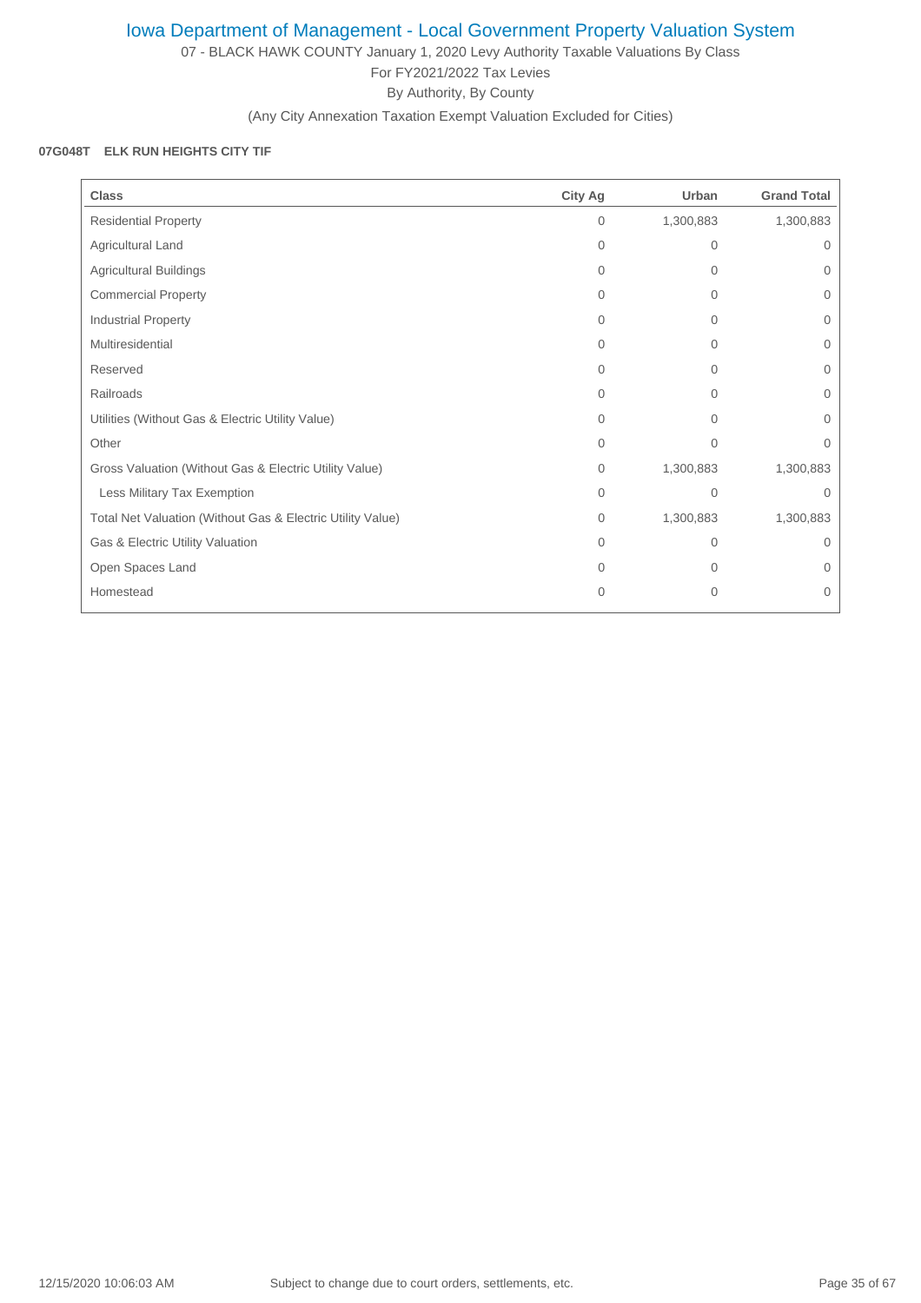07 - BLACK HAWK COUNTY January 1, 2020 Levy Authority Taxable Valuations By Class For FY2021/2022 Tax Levies By Authority, By County

(Any City Annexation Taxation Exempt Valuation Excluded for Cities)

### **07G048T ELK RUN HEIGHTS CITY TIF**

| <b>Class</b>                                               | <b>City Ag</b> | Urban     | <b>Grand Total</b> |
|------------------------------------------------------------|----------------|-----------|--------------------|
| <b>Residential Property</b>                                | 0              | 1,300,883 | 1,300,883          |
| Agricultural Land                                          | 0              | 0         | 0                  |
| <b>Agricultural Buildings</b>                              | 0              | 0         | $\mathbf{0}$       |
| <b>Commercial Property</b>                                 | $\Omega$       | $\Omega$  | 0                  |
| Industrial Property                                        | $\Omega$       | 0         | $\mathbf{0}$       |
| Multiresidential                                           | $\Omega$       | $\Omega$  | $\overline{0}$     |
| Reserved                                                   | $\Omega$       | 0         | 0                  |
| Railroads                                                  | $\Omega$       | $\Omega$  | 0                  |
| Utilities (Without Gas & Electric Utility Value)           | $\Omega$       | $\Omega$  | $\Omega$           |
| Other                                                      | $\Omega$       | $\Omega$  | $\Omega$           |
| Gross Valuation (Without Gas & Electric Utility Value)     | 0              | 1,300,883 | 1,300,883          |
| Less Military Tax Exemption                                | $\Omega$       | $\Omega$  | $\Omega$           |
| Total Net Valuation (Without Gas & Electric Utility Value) | 0              | 1,300,883 | 1,300,883          |
| Gas & Electric Utility Valuation                           | $\Omega$       | 0         | $\Omega$           |
| Open Spaces Land                                           | $\Omega$       | 0         | 0                  |
| Homestead                                                  | 0              | 0         | 0                  |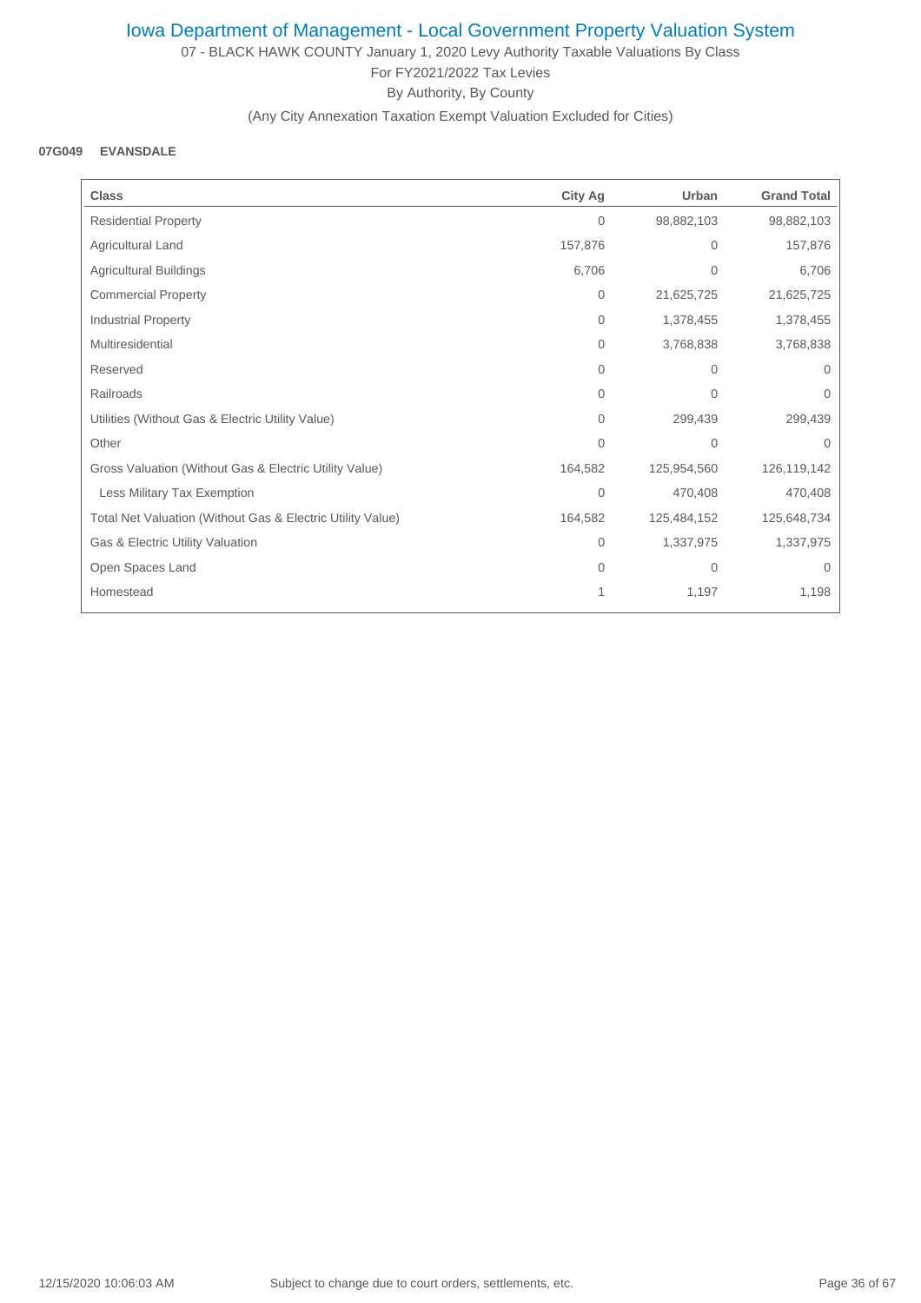07 - BLACK HAWK COUNTY January 1, 2020 Levy Authority Taxable Valuations By Class For FY2021/2022 Tax Levies By Authority, By County

(Any City Annexation Taxation Exempt Valuation Excluded for Cities)

#### **07G049 EVANSDALE**

| <b>Class</b>                                               | <b>City Ag</b> | Urban          | <b>Grand Total</b> |
|------------------------------------------------------------|----------------|----------------|--------------------|
| <b>Residential Property</b>                                | 0              | 98,882,103     | 98,882,103         |
| Agricultural Land                                          | 157,876        | $\mathbf{0}$   | 157,876            |
| Agricultural Buildings                                     | 6,706          | $\overline{0}$ | 6,706              |
| <b>Commercial Property</b>                                 | $\overline{0}$ | 21,625,725     | 21,625,725         |
| <b>Industrial Property</b>                                 | 0              | 1,378,455      | 1,378,455          |
| Multiresidential                                           | 0              | 3,768,838      | 3,768,838          |
| Reserved                                                   | $\Omega$       | 0              | $\Omega$           |
| Railroads                                                  | 0              | $\overline{0}$ | $\mathbf{0}$       |
| Utilities (Without Gas & Electric Utility Value)           | $\Omega$       | 299,439        | 299,439            |
| Other                                                      | $\Omega$       | $\mathbf{0}$   | $\Omega$           |
| Gross Valuation (Without Gas & Electric Utility Value)     | 164,582        | 125,954,560    | 126,119,142        |
| Less Military Tax Exemption                                | $\Omega$       | 470,408        | 470,408            |
| Total Net Valuation (Without Gas & Electric Utility Value) | 164,582        | 125,484,152    | 125,648,734        |
| Gas & Electric Utility Valuation                           | 0              | 1,337,975      | 1,337,975          |
| Open Spaces Land                                           | $\Omega$       | 0              | $\Omega$           |
| Homestead                                                  |                | 1,197          | 1,198              |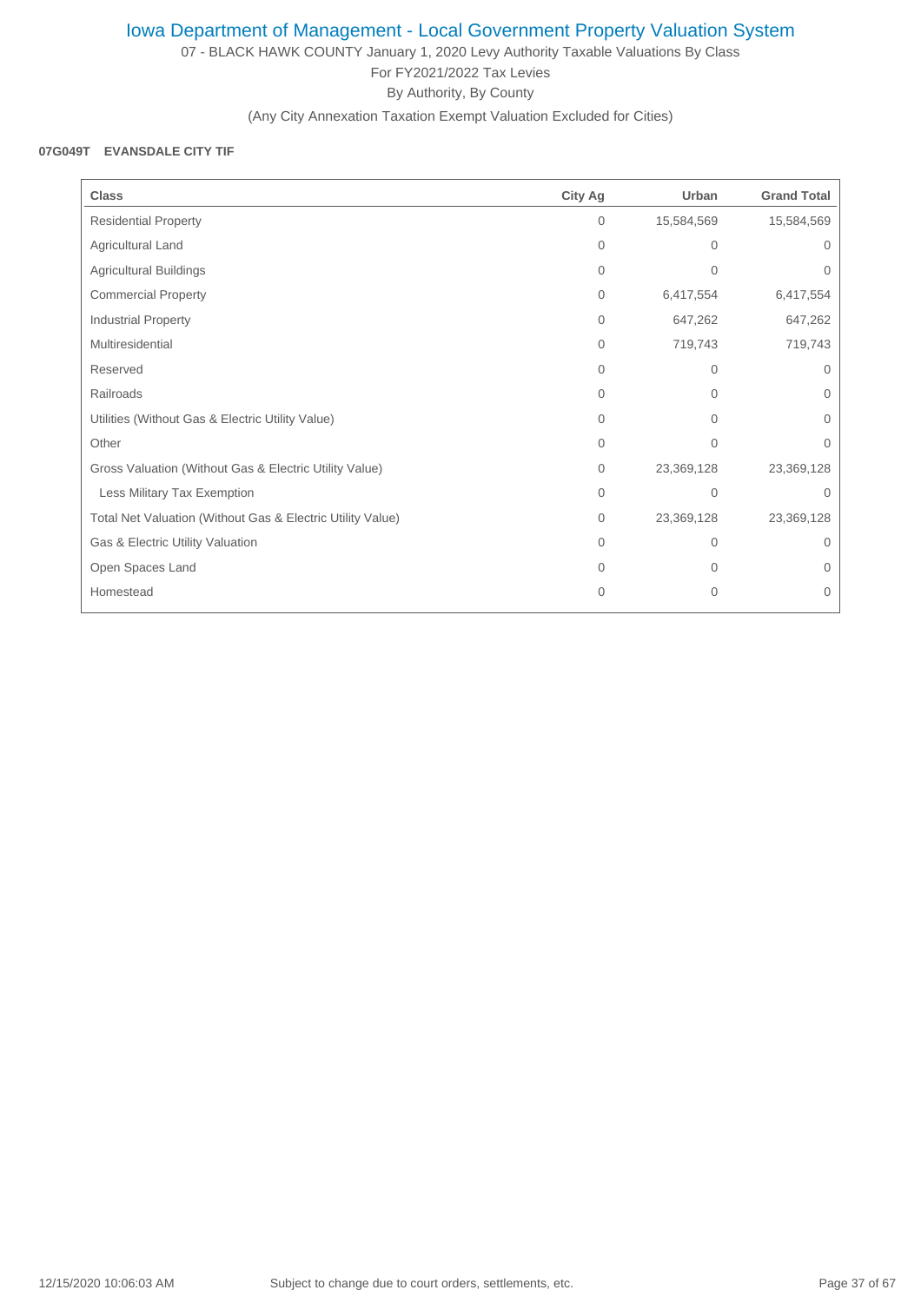07 - BLACK HAWK COUNTY January 1, 2020 Levy Authority Taxable Valuations By Class For FY2021/2022 Tax Levies By Authority, By County

(Any City Annexation Taxation Exempt Valuation Excluded for Cities)

#### **07G049T EVANSDALE CITY TIF**

| <b>Class</b>                                               | City Ag      | Urban          | <b>Grand Total</b> |
|------------------------------------------------------------|--------------|----------------|--------------------|
| <b>Residential Property</b>                                | $\mathbf{0}$ | 15,584,569     | 15,584,569         |
| Agricultural Land                                          | 0            | 0              | $\Omega$           |
| Agricultural Buildings                                     | $\mathbf{0}$ | $\Omega$       | $\Omega$           |
| <b>Commercial Property</b>                                 | $\mathbf{0}$ | 6,417,554      | 6,417,554          |
| Industrial Property                                        | $\Omega$     | 647,262        | 647,262            |
| Multiresidential                                           | $\Omega$     | 719,743        | 719,743            |
| Reserved                                                   | $\Omega$     | $\Omega$       | $\Omega$           |
| Railroads                                                  | $\Omega$     | 0              | 0                  |
| Utilities (Without Gas & Electric Utility Value)           | $\Omega$     | $\overline{0}$ | $\Omega$           |
| Other                                                      | $\Omega$     | $\Omega$       | $\Omega$           |
| Gross Valuation (Without Gas & Electric Utility Value)     | $\mathbf{0}$ | 23,369,128     | 23,369,128         |
| Less Military Tax Exemption                                | 0            | $\mathbf{0}$   | $\Omega$           |
| Total Net Valuation (Without Gas & Electric Utility Value) | $\mathbf{0}$ | 23,369,128     | 23,369,128         |
| Gas & Electric Utility Valuation                           | $\Omega$     | 0              | $\Omega$           |
| Open Spaces Land                                           | $\Omega$     | 0              | $\Omega$           |
| Homestead                                                  | $\Omega$     | $\mathbf{0}$   | 0                  |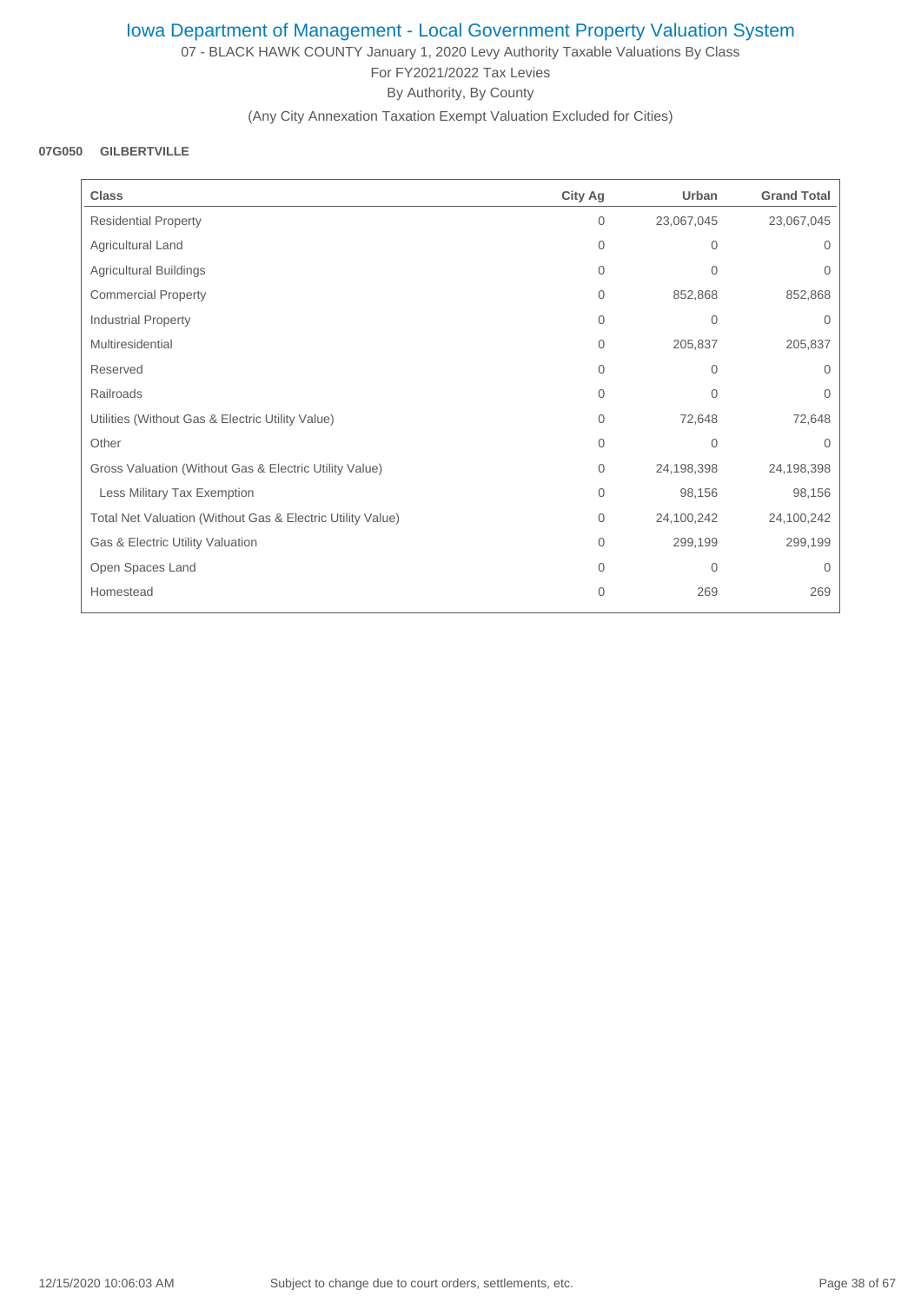07 - BLACK HAWK COUNTY January 1, 2020 Levy Authority Taxable Valuations By Class For FY2021/2022 Tax Levies By Authority, By County

(Any City Annexation Taxation Exempt Valuation Excluded for Cities)

#### **07G050 GILBERTVILLE**

| <b>Class</b>                                               | <b>City Ag</b> | Urban          | <b>Grand Total</b> |
|------------------------------------------------------------|----------------|----------------|--------------------|
| <b>Residential Property</b>                                | $\mathbf{0}$   | 23,067,045     | 23,067,045         |
| Agricultural Land                                          | $\mathbf{0}$   | 0              | 0                  |
| Agricultural Buildings                                     | $\mathbf{0}$   | $\mathbf{0}$   | 0                  |
| <b>Commercial Property</b>                                 | $\Omega$       | 852,868        | 852,868            |
| <b>Industrial Property</b>                                 | $\Omega$       | $\mathbf{0}$   | 0                  |
| Multiresidential                                           | $\Omega$       | 205,837        | 205,837            |
| Reserved                                                   | $\Omega$       | $\Omega$       | $\Omega$           |
| Railroads                                                  | 0              | $\mathbf 0$    | 0                  |
| Utilities (Without Gas & Electric Utility Value)           | 0              | 72,648         | 72,648             |
| Other                                                      | $\Omega$       | $\Omega$       | $\Omega$           |
| Gross Valuation (Without Gas & Electric Utility Value)     | $\mathbf{0}$   | 24,198,398     | 24,198,398         |
| Less Military Tax Exemption                                | $\Omega$       | 98,156         | 98,156             |
| Total Net Valuation (Without Gas & Electric Utility Value) | $\Omega$       | 24,100,242     | 24,100,242         |
| Gas & Electric Utility Valuation                           | $\mathbf{0}$   | 299,199        | 299,199            |
| Open Spaces Land                                           | $\Omega$       | $\overline{0}$ | $\Omega$           |
| Homestead                                                  | $\Omega$       | 269            | 269                |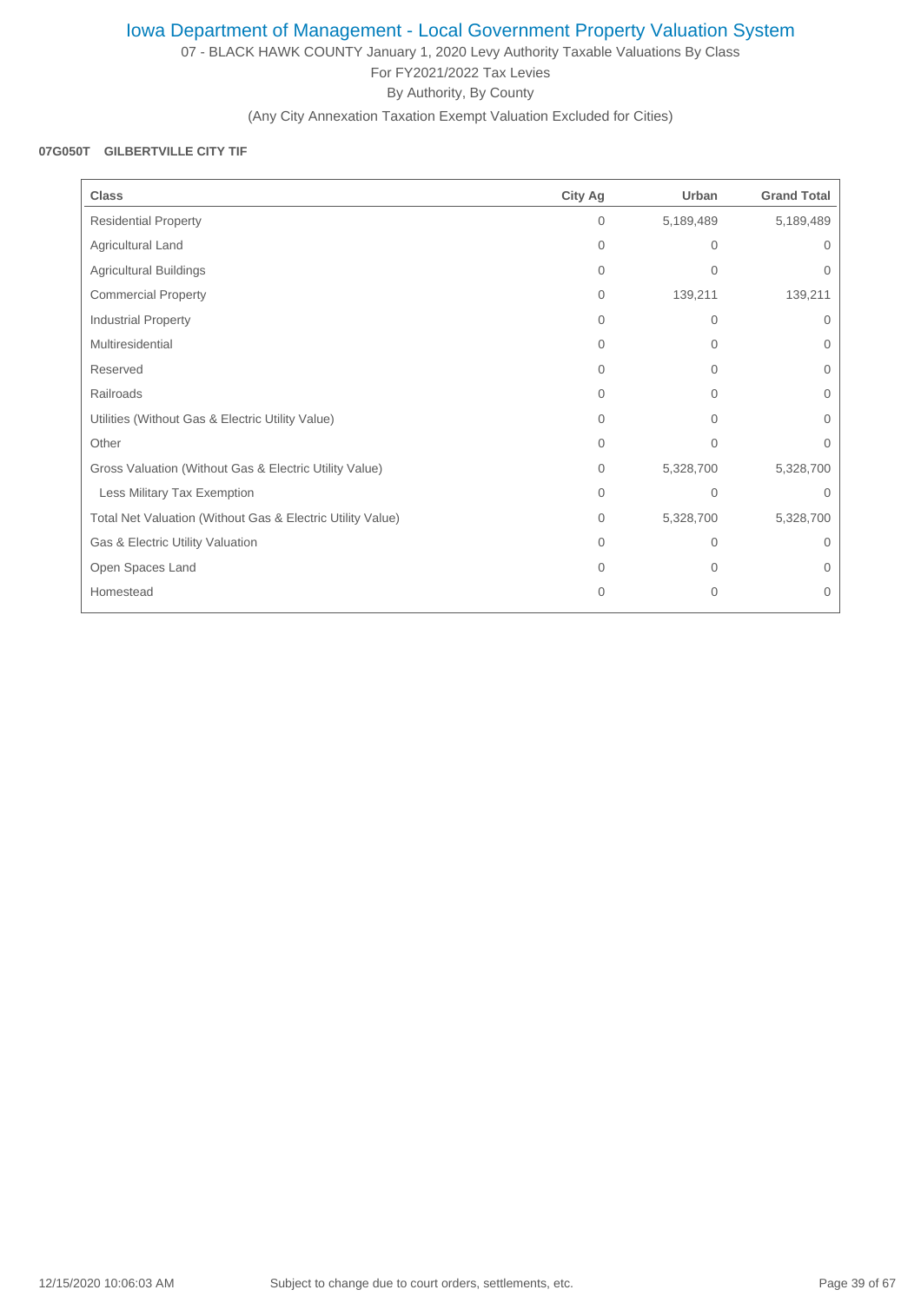07 - BLACK HAWK COUNTY January 1, 2020 Levy Authority Taxable Valuations By Class For FY2021/2022 Tax Levies By Authority, By County

(Any City Annexation Taxation Exempt Valuation Excluded for Cities)

### **07G050T GILBERTVILLE CITY TIF**

| <b>Class</b>                                               | <b>City Ag</b> | Urban          | <b>Grand Total</b> |
|------------------------------------------------------------|----------------|----------------|--------------------|
| <b>Residential Property</b>                                | $\mathbf{0}$   | 5,189,489      | 5,189,489          |
| Agricultural Land                                          | $\mathbf{0}$   | $\Omega$       | 0                  |
| <b>Agricultural Buildings</b>                              | $\mathbf{0}$   | $\mathbf{0}$   | 0                  |
| <b>Commercial Property</b>                                 | $\mathbf{0}$   | 139,211        | 139,211            |
| Industrial Property                                        | $\Omega$       | 0              | 0                  |
| Multiresidential                                           | $\Omega$       | $\overline{0}$ | $\Omega$           |
| Reserved                                                   | $\Omega$       | $\Omega$       | 0                  |
| Railroads                                                  | $\Omega$       | 0              | 0                  |
| Utilities (Without Gas & Electric Utility Value)           | 0              | $\overline{0}$ | 0                  |
| Other                                                      | $\Omega$       | $\Omega$       | $\Omega$           |
| Gross Valuation (Without Gas & Electric Utility Value)     | $\mathbf{0}$   | 5,328,700      | 5,328,700          |
| Less Military Tax Exemption                                | $\Omega$       | $\Omega$       | $\Omega$           |
| Total Net Valuation (Without Gas & Electric Utility Value) | $\mathbf{0}$   | 5,328,700      | 5,328,700          |
| Gas & Electric Utility Valuation                           | $\Omega$       | 0              | $\Omega$           |
| Open Spaces Land                                           | $\Omega$       | $\Omega$       | 0                  |
| Homestead                                                  | $\overline{0}$ | $\overline{0}$ | 0                  |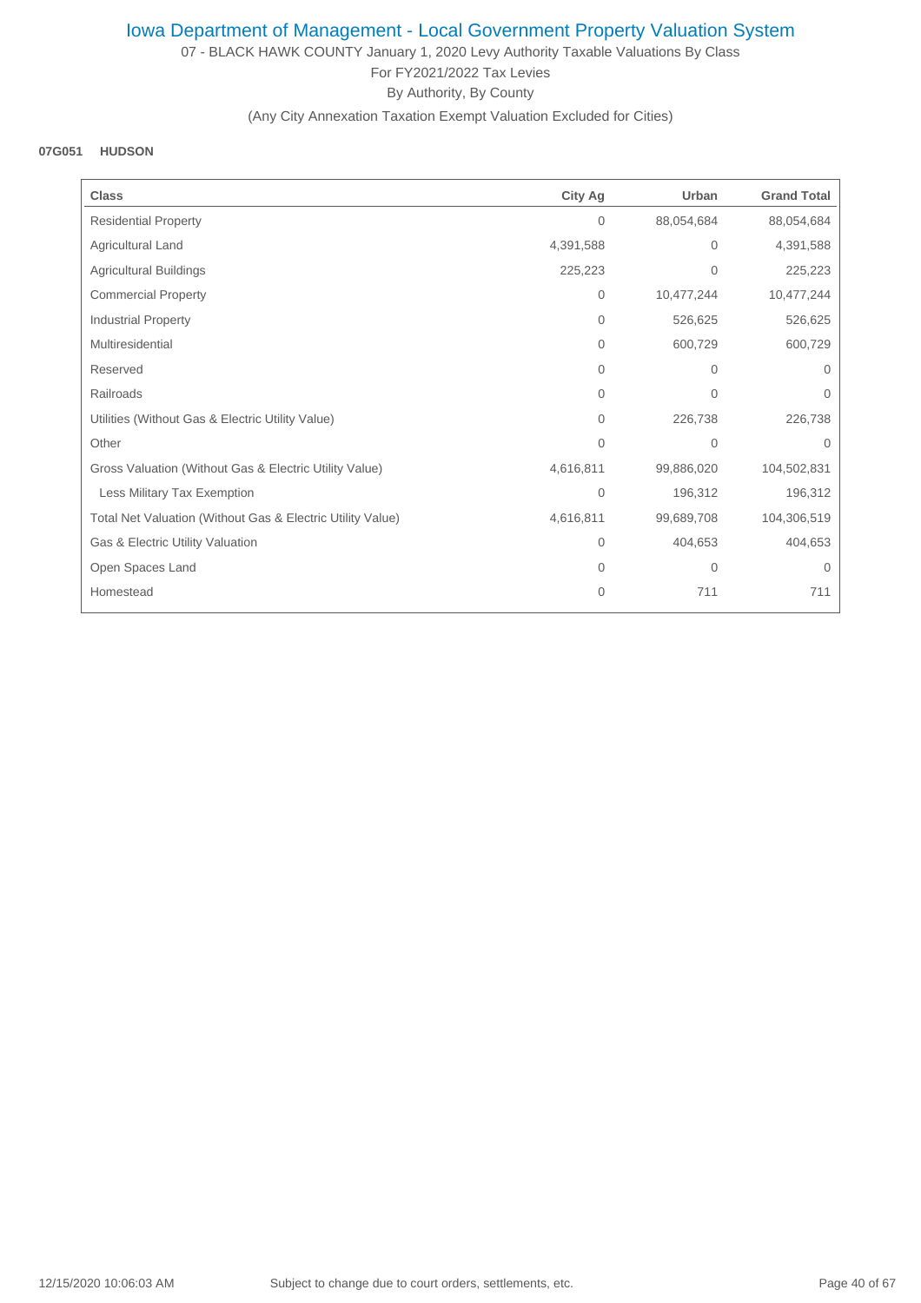07 - BLACK HAWK COUNTY January 1, 2020 Levy Authority Taxable Valuations By Class For FY2021/2022 Tax Levies By Authority, By County

### (Any City Annexation Taxation Exempt Valuation Excluded for Cities)

### **07G051 HUDSON**

| <b>Class</b>                                               | <b>City Ag</b> | Urban        | <b>Grand Total</b> |
|------------------------------------------------------------|----------------|--------------|--------------------|
| <b>Residential Property</b>                                | $\mathbf{0}$   | 88,054,684   | 88,054,684         |
| Agricultural Land                                          | 4,391,588      | $\mathbf 0$  | 4,391,588          |
| <b>Agricultural Buildings</b>                              | 225,223        | $\mathbf{0}$ | 225,223            |
| <b>Commercial Property</b>                                 | $\mathbf{0}$   | 10,477,244   | 10,477,244         |
| <b>Industrial Property</b>                                 | $\mathbf{0}$   | 526,625      | 526,625            |
| Multiresidential                                           | $\Omega$       | 600,729      | 600,729            |
| Reserved                                                   | $\Omega$       | $\mathbf{0}$ | $\Omega$           |
| Railroads                                                  | 0              | $\mathbf 0$  | 0                  |
| Utilities (Without Gas & Electric Utility Value)           | $\mathbf{0}$   | 226,738      | 226,738            |
| Other                                                      | $\Omega$       | $\mathbf{0}$ | $\Omega$           |
| Gross Valuation (Without Gas & Electric Utility Value)     | 4,616,811      | 99,886,020   | 104,502,831        |
| Less Military Tax Exemption                                | $\overline{0}$ | 196,312      | 196,312            |
| Total Net Valuation (Without Gas & Electric Utility Value) | 4,616,811      | 99,689,708   | 104,306,519        |
| Gas & Electric Utility Valuation                           | $\mathbf 0$    | 404,653      | 404,653            |
| Open Spaces Land                                           | $\Omega$       | $\mathbf{0}$ | $\Omega$           |
| Homestead                                                  | $\Omega$       | 711          | 711                |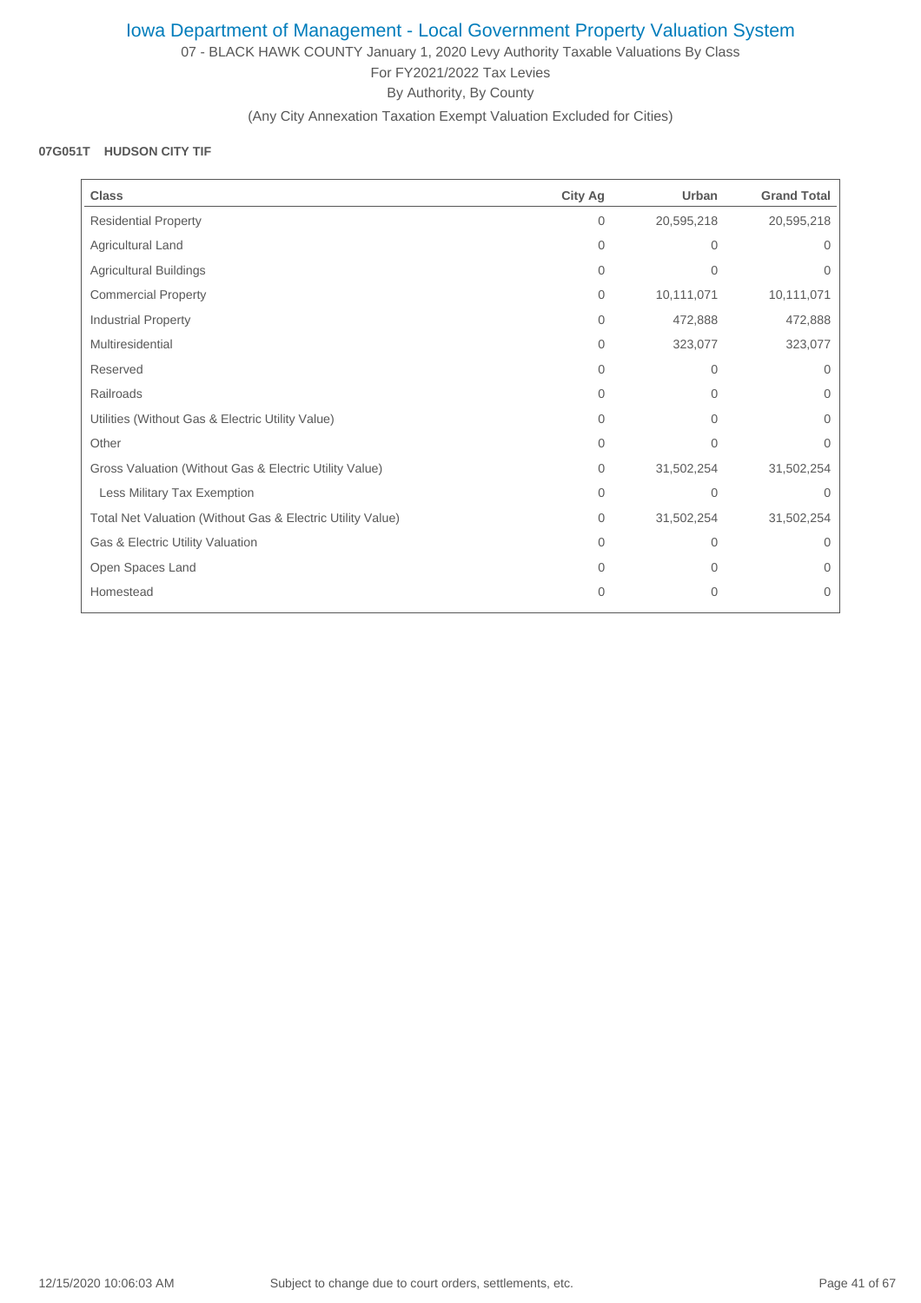07 - BLACK HAWK COUNTY January 1, 2020 Levy Authority Taxable Valuations By Class For FY2021/2022 Tax Levies By Authority, By County

(Any City Annexation Taxation Exempt Valuation Excluded for Cities)

### **07G051T HUDSON CITY TIF**

| <b>Class</b>                                               | City Ag      | Urban          | <b>Grand Total</b> |
|------------------------------------------------------------|--------------|----------------|--------------------|
| <b>Residential Property</b>                                | $\mathbf{0}$ | 20,595,218     | 20,595,218         |
| Agricultural Land                                          | $\mathbf{0}$ | 0              | $\Omega$           |
| Agricultural Buildings                                     | $\mathbf{0}$ | $\Omega$       | $\Omega$           |
| <b>Commercial Property</b>                                 | $\mathbf{0}$ | 10,111,071     | 10,111,071         |
| <b>Industrial Property</b>                                 | $\Omega$     | 472,888        | 472,888            |
| Multiresidential                                           | $\Omega$     | 323,077        | 323,077            |
| Reserved                                                   | $\Omega$     | $\Omega$       | $\Omega$           |
| Railroads                                                  | $\Omega$     | $\Omega$       | 0                  |
| Utilities (Without Gas & Electric Utility Value)           | $\mathbf{0}$ | $\overline{0}$ | $\Omega$           |
| Other                                                      | $\Omega$     | $\Omega$       | $\Omega$           |
| Gross Valuation (Without Gas & Electric Utility Value)     | $\mathbf{0}$ | 31,502,254     | 31,502,254         |
| Less Military Tax Exemption                                | $\mathbf{0}$ | $\Omega$       | $\Omega$           |
| Total Net Valuation (Without Gas & Electric Utility Value) | $\mathbf{0}$ | 31,502,254     | 31,502,254         |
| Gas & Electric Utility Valuation                           | $\Omega$     | 0              | $\Omega$           |
| Open Spaces Land                                           | $\mathbf{0}$ | 0              | $\Omega$           |
| Homestead                                                  | $\Omega$     | $\mathbf{0}$   | 0                  |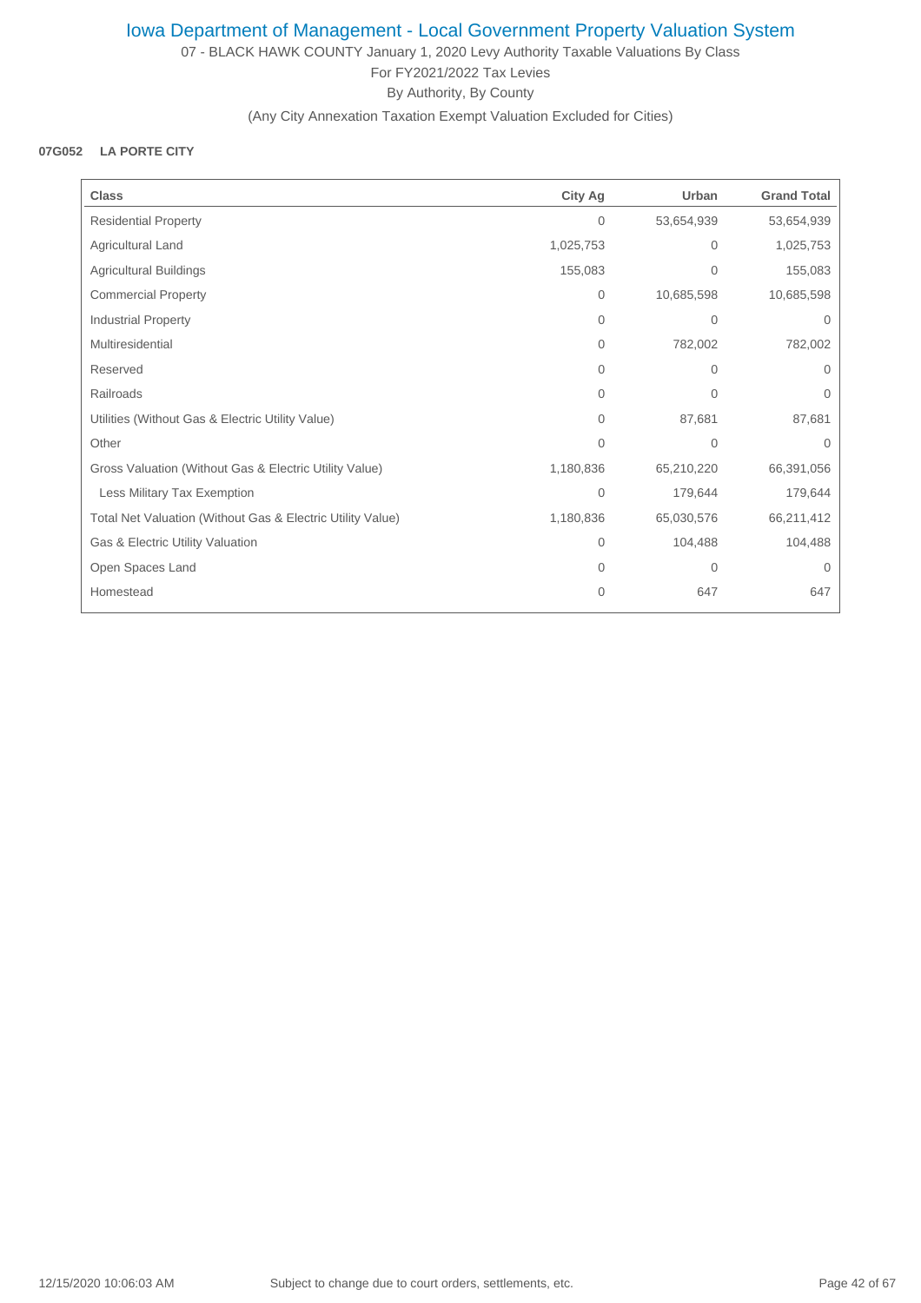07 - BLACK HAWK COUNTY January 1, 2020 Levy Authority Taxable Valuations By Class For FY2021/2022 Tax Levies By Authority, By County

(Any City Annexation Taxation Exempt Valuation Excluded for Cities)

## **07G052 LA PORTE CITY**

| <b>Class</b>                                               | City Ag        | Urban          | <b>Grand Total</b> |
|------------------------------------------------------------|----------------|----------------|--------------------|
| <b>Residential Property</b>                                | 0              | 53,654,939     | 53,654,939         |
| Agricultural Land                                          | 1,025,753      | $\overline{0}$ | 1,025,753          |
| Agricultural Buildings                                     | 155,083        | 0              | 155,083            |
| <b>Commercial Property</b>                                 | 0              | 10,685,598     | 10,685,598         |
| <b>Industrial Property</b>                                 | $\Omega$       | $\mathbf{0}$   | $\mathbf 0$        |
| Multiresidential                                           | 0              | 782,002        | 782,002            |
| Reserved                                                   | 0              | $\overline{0}$ | 0                  |
| Railroads                                                  | 0              | $\overline{0}$ | 0                  |
| Utilities (Without Gas & Electric Utility Value)           | $\Omega$       | 87,681         | 87,681             |
| Other                                                      | $\Omega$       | $\Omega$       | $\Omega$           |
| Gross Valuation (Without Gas & Electric Utility Value)     | 1,180,836      | 65,210,220     | 66,391,056         |
| Less Military Tax Exemption                                | $\overline{0}$ | 179,644        | 179,644            |
| Total Net Valuation (Without Gas & Electric Utility Value) | 1,180,836      | 65,030,576     | 66,211,412         |
| Gas & Electric Utility Valuation                           | 0              | 104,488        | 104,488            |
| Open Spaces Land                                           | $\Omega$       | $\mathbf{0}$   | $\mathbf 0$        |
| Homestead                                                  | 0              | 647            | 647                |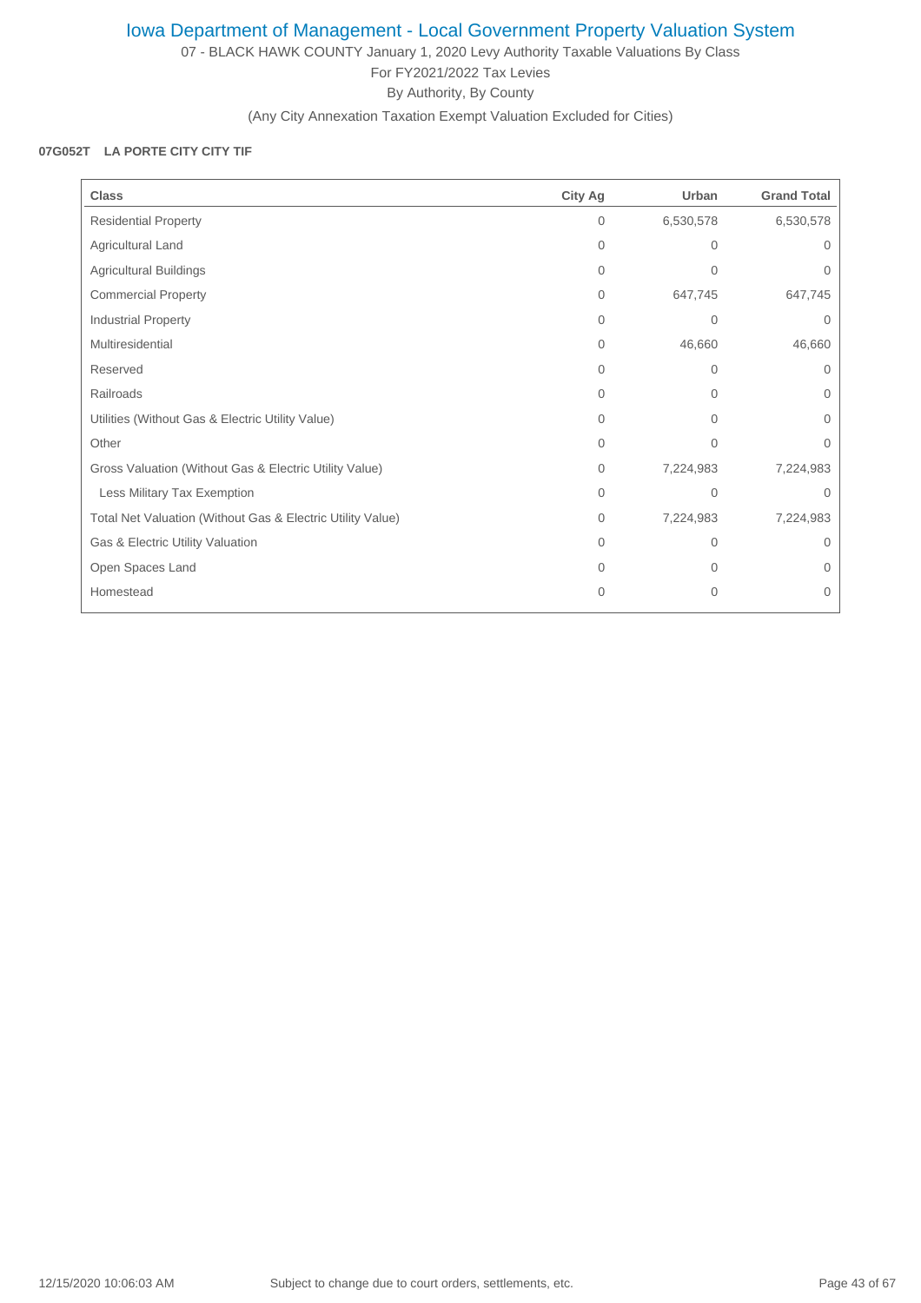07 - BLACK HAWK COUNTY January 1, 2020 Levy Authority Taxable Valuations By Class For FY2021/2022 Tax Levies By Authority, By County

(Any City Annexation Taxation Exempt Valuation Excluded for Cities)

### **07G052T LA PORTE CITY CITY TIF**

| <b>Class</b>                                               | <b>City Ag</b> | Urban        | <b>Grand Total</b> |
|------------------------------------------------------------|----------------|--------------|--------------------|
| <b>Residential Property</b>                                | $\mathbf{0}$   | 6,530,578    | 6,530,578          |
| Agricultural Land                                          | 0              | 0            | 0                  |
| Agricultural Buildings                                     | $\mathbf{0}$   | $\mathbf{0}$ | 0                  |
| <b>Commercial Property</b>                                 | $\Omega$       | 647,745      | 647,745            |
| Industrial Property                                        | $\Omega$       | $\mathbf 0$  | 0                  |
| Multiresidential                                           | $\Omega$       | 46,660       | 46,660             |
| Reserved                                                   | $\Omega$       | 0            | $\Omega$           |
| Railroads                                                  | $\Omega$       | 0            | 0                  |
| Utilities (Without Gas & Electric Utility Value)           | $\Omega$       | $\Omega$     | 0                  |
| Other                                                      | 0              | $\mathbf{0}$ | 0                  |
| Gross Valuation (Without Gas & Electric Utility Value)     | $\mathbf{0}$   | 7,224,983    | 7,224,983          |
| Less Military Tax Exemption                                | $\Omega$       | $\Omega$     | $\Omega$           |
| Total Net Valuation (Without Gas & Electric Utility Value) | $\mathbf{0}$   | 7,224,983    | 7,224,983          |
| Gas & Electric Utility Valuation                           | $\Omega$       | 0            | $\Omega$           |
| Open Spaces Land                                           | $\Omega$       | $\Omega$     | 0                  |
| Homestead                                                  | $\overline{0}$ | $\mathbf{0}$ | 0                  |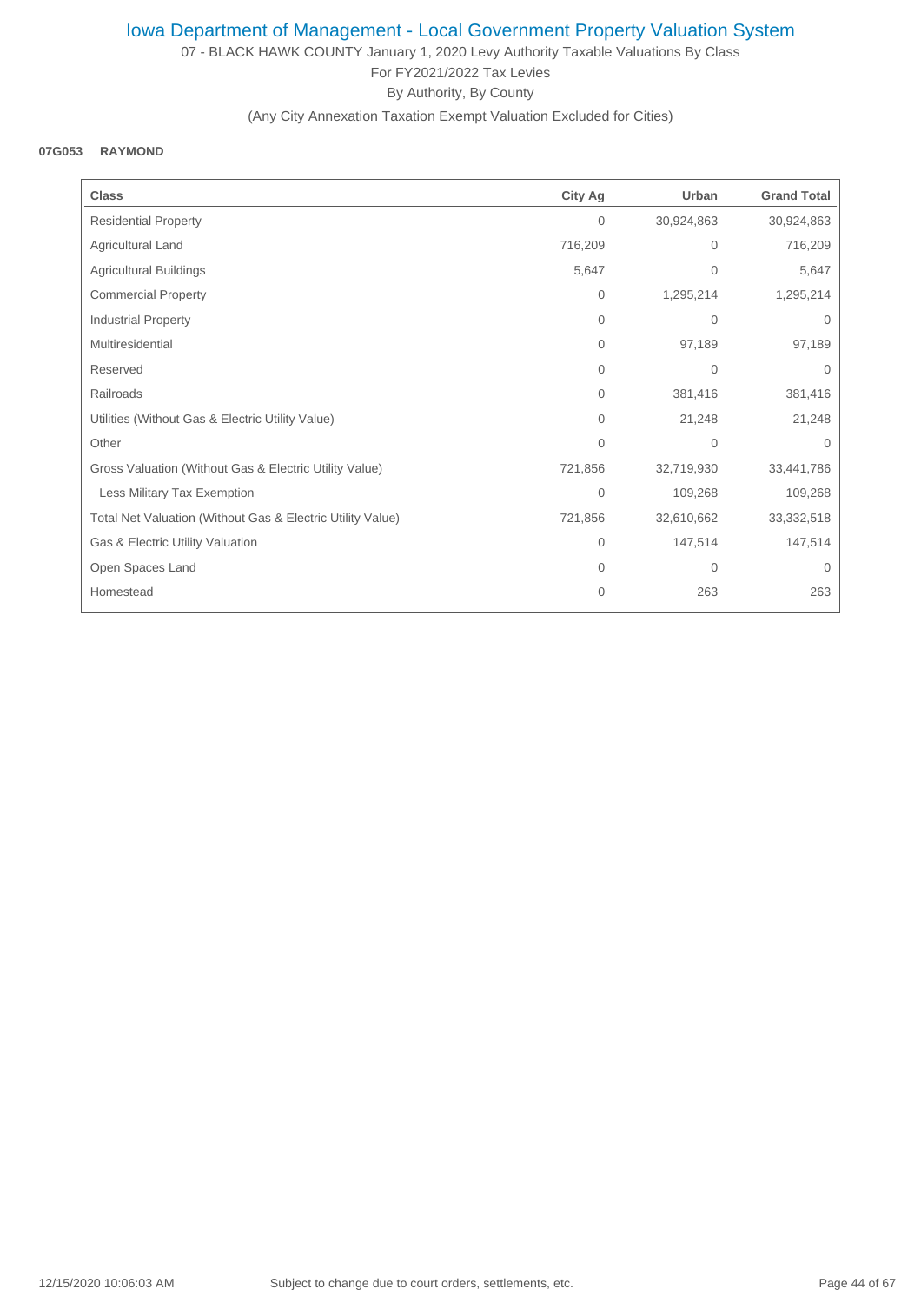07 - BLACK HAWK COUNTY January 1, 2020 Levy Authority Taxable Valuations By Class For FY2021/2022 Tax Levies By Authority, By County

### (Any City Annexation Taxation Exempt Valuation Excluded for Cities)

#### **07G053 RAYMOND**

| <b>Class</b>                                               | <b>City Ag</b> | Urban          | <b>Grand Total</b> |
|------------------------------------------------------------|----------------|----------------|--------------------|
| <b>Residential Property</b>                                | $\mathbf{0}$   | 30,924,863     | 30,924,863         |
| Agricultural Land                                          | 716,209        | $\overline{0}$ | 716,209            |
| Agricultural Buildings                                     | 5,647          | $\overline{0}$ | 5,647              |
| <b>Commercial Property</b>                                 | $\mathbf{0}$   | 1,295,214      | 1,295,214          |
| Industrial Property                                        | $\mathbf{0}$   | $\mathbf{0}$   | $\mathbf{0}$       |
| Multiresidential                                           | $\Omega$       | 97,189         | 97,189             |
| Reserved                                                   | 0              | $\mathbf{0}$   | $\Omega$           |
| Railroads                                                  | $\mathbf{0}$   | 381,416        | 381,416            |
| Utilities (Without Gas & Electric Utility Value)           | $\Omega$       | 21,248         | 21,248             |
| Other                                                      | $\mathbf{0}$   | $\mathbf{0}$   | $\mathbf{0}$       |
| Gross Valuation (Without Gas & Electric Utility Value)     | 721,856        | 32,719,930     | 33,441,786         |
| Less Military Tax Exemption                                | $\mathbf{0}$   | 109,268        | 109,268            |
| Total Net Valuation (Without Gas & Electric Utility Value) | 721,856        | 32,610,662     | 33,332,518         |
| Gas & Electric Utility Valuation                           | $\mathbf{0}$   | 147,514        | 147,514            |
| Open Spaces Land                                           | $\Omega$       | $\mathbf{0}$   | $\mathbf{0}$       |
| Homestead                                                  | $\mathbf{0}$   | 263            | 263                |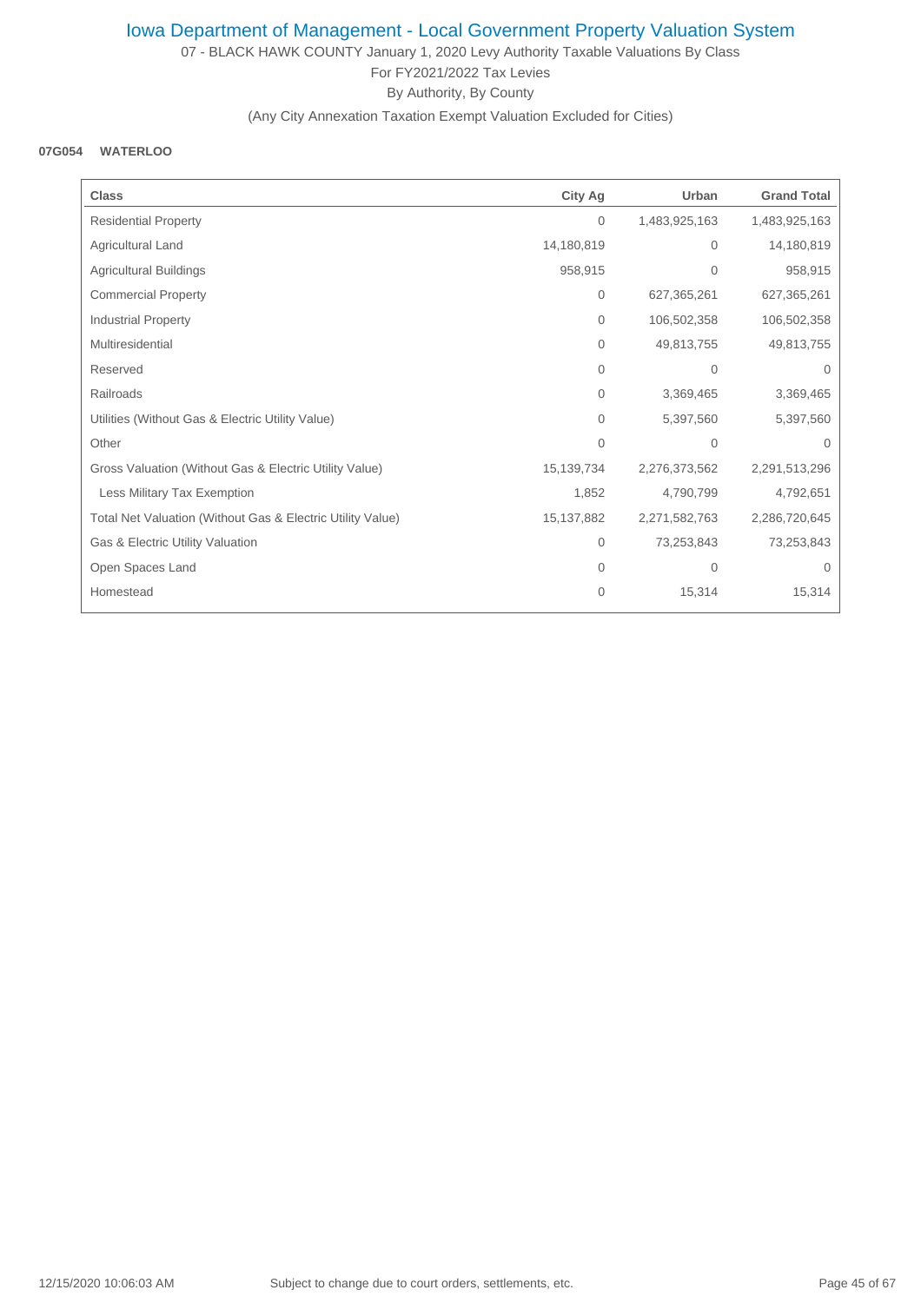07 - BLACK HAWK COUNTY January 1, 2020 Levy Authority Taxable Valuations By Class For FY2021/2022 Tax Levies By Authority, By County

### (Any City Annexation Taxation Exempt Valuation Excluded for Cities)

#### **07G054 WATERLOO**

| <b>Class</b>                                               | <b>City Ag</b> | Urban         | <b>Grand Total</b> |
|------------------------------------------------------------|----------------|---------------|--------------------|
| <b>Residential Property</b>                                | $\mathbf{0}$   | 1,483,925,163 | 1,483,925,163      |
| Agricultural Land                                          | 14,180,819     | $\mathbf{0}$  | 14,180,819         |
| Agricultural Buildings                                     | 958,915        | $\mathbf 0$   | 958,915            |
| <b>Commercial Property</b>                                 | 0              | 627,365,261   | 627,365,261        |
| <b>Industrial Property</b>                                 | $\mathbf{0}$   | 106,502,358   | 106,502,358        |
| Multiresidential                                           | $\mathbf{0}$   | 49,813,755    | 49,813,755         |
| Reserved                                                   | $\mathbf{0}$   | $\mathbf{0}$  | $\mathbf{0}$       |
| Railroads                                                  | $\mathbf{0}$   | 3,369,465     | 3,369,465          |
| Utilities (Without Gas & Electric Utility Value)           | 0              | 5,397,560     | 5,397,560          |
| Other                                                      | $\Omega$       | $\mathbf{0}$  | $\Omega$           |
| Gross Valuation (Without Gas & Electric Utility Value)     | 15,139,734     | 2,276,373,562 | 2,291,513,296      |
| Less Military Tax Exemption                                | 1,852          | 4,790,799     | 4,792,651          |
| Total Net Valuation (Without Gas & Electric Utility Value) | 15,137,882     | 2,271,582,763 | 2,286,720,645      |
| Gas & Electric Utility Valuation                           | $\mathbf 0$    | 73,253,843    | 73,253,843         |
| Open Spaces Land                                           | $\mathbf{0}$   | $\mathbf 0$   | $\Omega$           |
| Homestead                                                  | $\mathbf{0}$   | 15,314        | 15,314             |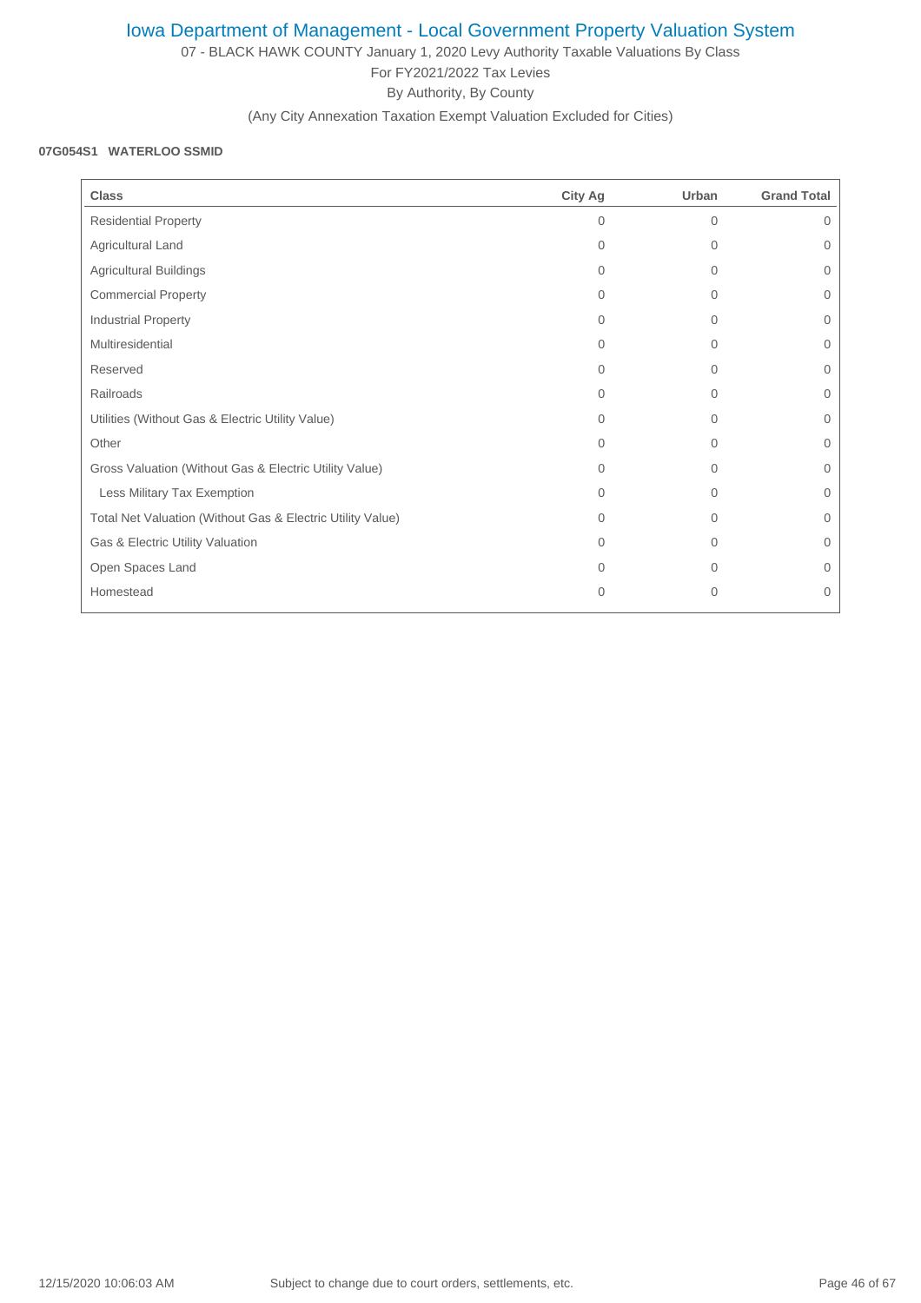07 - BLACK HAWK COUNTY January 1, 2020 Levy Authority Taxable Valuations By Class For FY2021/2022 Tax Levies By Authority, By County

(Any City Annexation Taxation Exempt Valuation Excluded for Cities)

#### **07G054S1 WATERLOO SSMID**

| <b>Class</b>                                               | City Ag  | Urban    | <b>Grand Total</b> |
|------------------------------------------------------------|----------|----------|--------------------|
| <b>Residential Property</b>                                | 0        | $\Omega$ | 0                  |
| Agricultural Land                                          | $\Omega$ | $\Omega$ | $\Omega$           |
| <b>Agricultural Buildings</b>                              | $\Omega$ | $\Omega$ | 0                  |
| <b>Commercial Property</b>                                 | $\Omega$ | $\Omega$ | $\Omega$           |
| <b>Industrial Property</b>                                 | $\Omega$ | 0        | $\mathbf{0}$       |
| Multiresidential                                           | $\Omega$ | $\Omega$ | $\Omega$           |
| Reserved                                                   | $\Omega$ | $\Omega$ | $\Omega$           |
| Railroads                                                  | $\Omega$ | $\Omega$ | 0                  |
| Utilities (Without Gas & Electric Utility Value)           | $\Omega$ | $\Omega$ | $\mathbf{0}$       |
| Other                                                      | $\Omega$ | $\Omega$ | $\Omega$           |
| Gross Valuation (Without Gas & Electric Utility Value)     | $\Omega$ | $\Omega$ | $\Omega$           |
| Less Military Tax Exemption                                | $\Omega$ | 0        | $\overline{0}$     |
| Total Net Valuation (Without Gas & Electric Utility Value) | $\Omega$ | $\Omega$ | $\overline{0}$     |
| Gas & Electric Utility Valuation                           | $\Omega$ | $\Omega$ | $\Omega$           |
| Open Spaces Land                                           | $\Omega$ | $\Omega$ | 0                  |
| Homestead                                                  | $\Omega$ | $\Omega$ | $\Omega$           |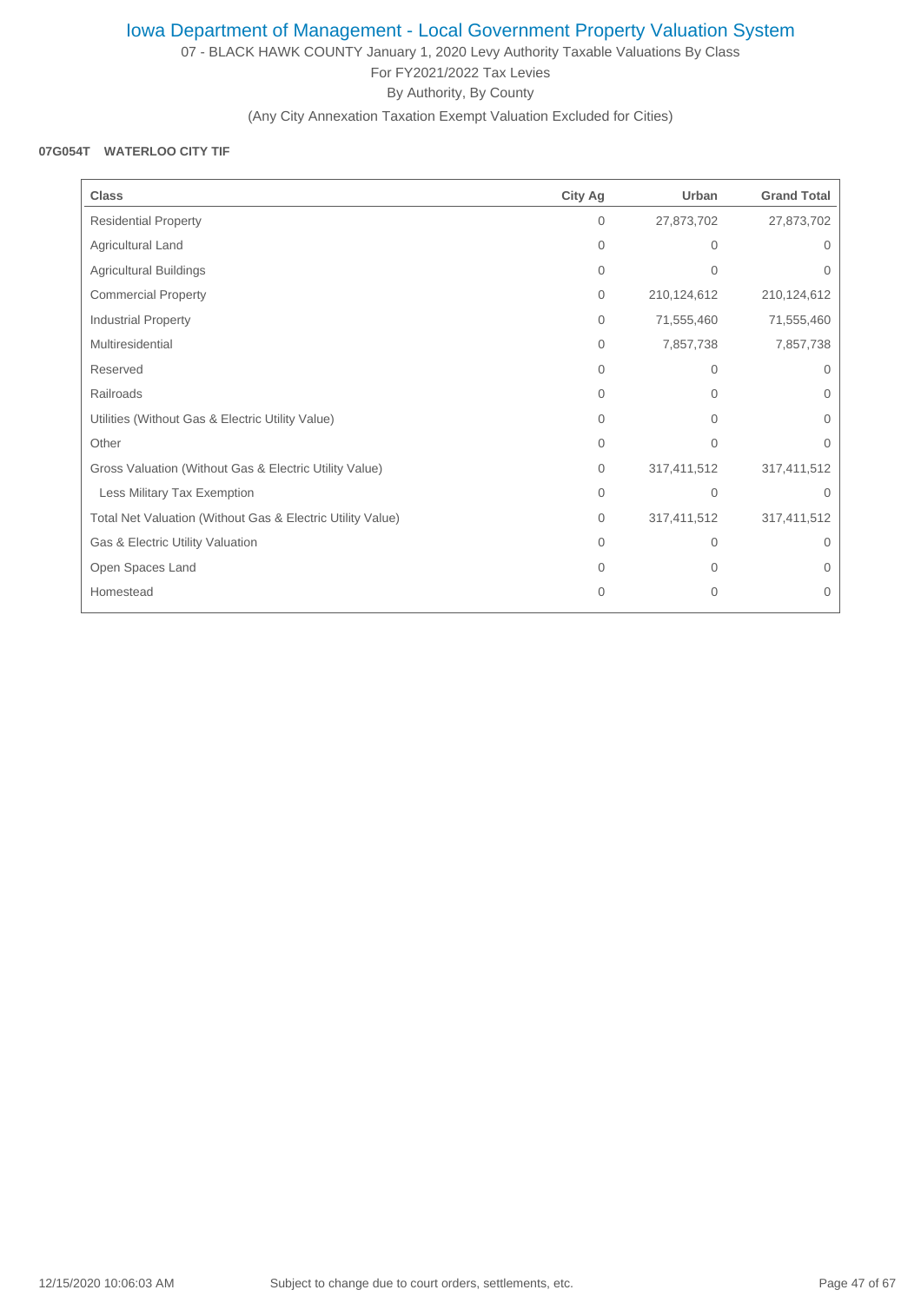07 - BLACK HAWK COUNTY January 1, 2020 Levy Authority Taxable Valuations By Class For FY2021/2022 Tax Levies By Authority, By County

(Any City Annexation Taxation Exempt Valuation Excluded for Cities)

#### **07G054T WATERLOO CITY TIF**

| <b>Class</b>                                               | <b>City Ag</b> | Urban          | <b>Grand Total</b> |
|------------------------------------------------------------|----------------|----------------|--------------------|
| <b>Residential Property</b>                                | $\mathbf{0}$   | 27,873,702     | 27,873,702         |
| Agricultural Land                                          | $\Omega$       | $\Omega$       | 0                  |
| Agricultural Buildings                                     | $\mathbf{0}$   | $\mathbf{0}$   | 0                  |
| <b>Commercial Property</b>                                 | $\mathbf{0}$   | 210,124,612    | 210,124,612        |
| Industrial Property                                        | $\mathbf{0}$   | 71,555,460     | 71,555,460         |
| Multiresidential                                           | $\mathbf{0}$   | 7,857,738      | 7,857,738          |
| Reserved                                                   | $\Omega$       | 0              | $\Omega$           |
| Railroads                                                  | $\Omega$       | 0              | $\Omega$           |
| Utilities (Without Gas & Electric Utility Value)           | $\Omega$       | $\Omega$       | 0                  |
| Other                                                      | $\mathbf{0}$   | $\Omega$       | $\Omega$           |
| Gross Valuation (Without Gas & Electric Utility Value)     | $\mathbf{0}$   | 317,411,512    | 317,411,512        |
| Less Military Tax Exemption                                | $\Omega$       | $\Omega$       | $\Omega$           |
| Total Net Valuation (Without Gas & Electric Utility Value) | $\mathbf{0}$   | 317,411,512    | 317,411,512        |
| Gas & Electric Utility Valuation                           | $\Omega$       | $\Omega$       | 0                  |
| Open Spaces Land                                           | $\Omega$       | 0              | $\Omega$           |
| Homestead                                                  | $\Omega$       | $\overline{0}$ | $\Omega$           |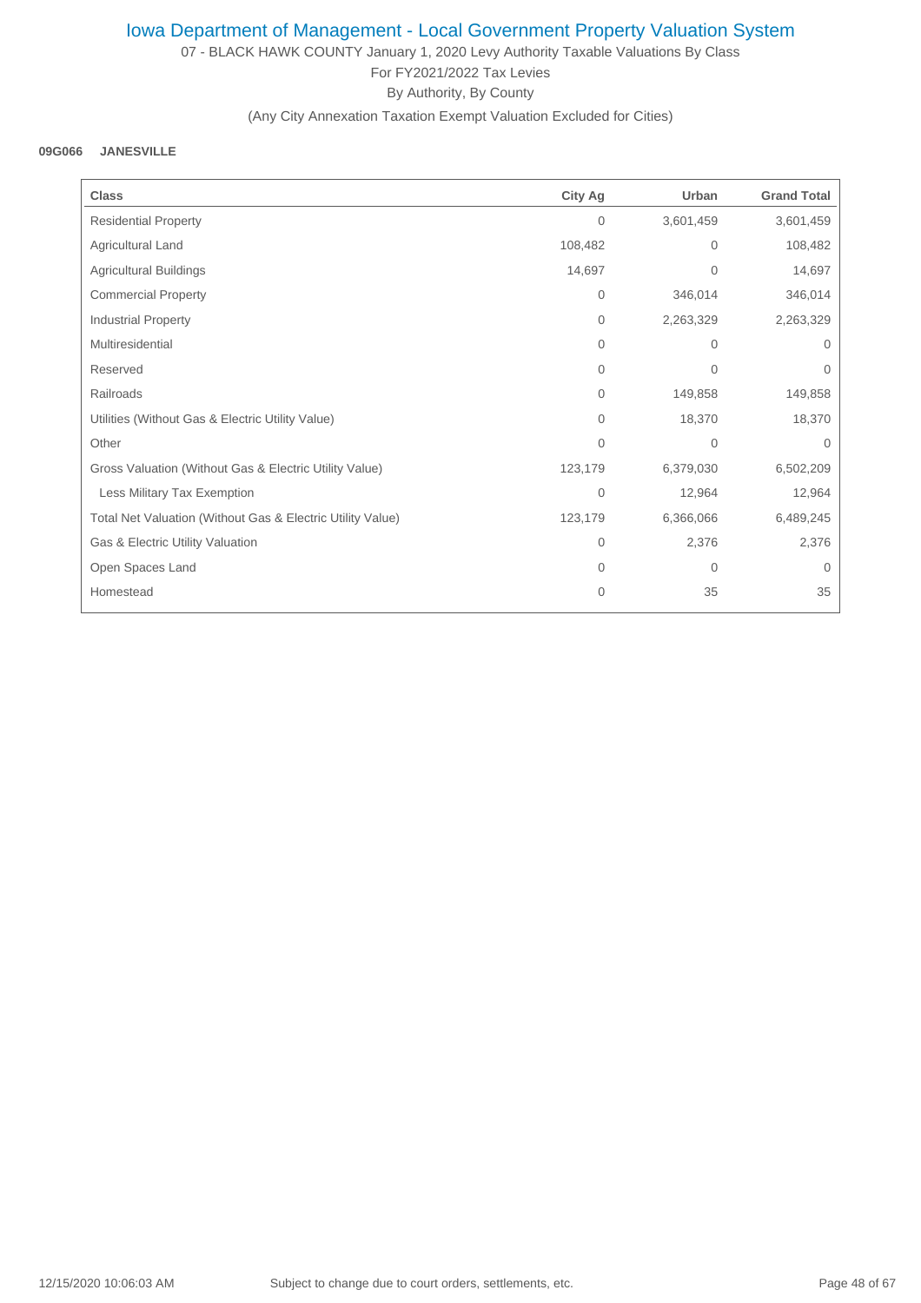07 - BLACK HAWK COUNTY January 1, 2020 Levy Authority Taxable Valuations By Class For FY2021/2022 Tax Levies By Authority, By County

### (Any City Annexation Taxation Exempt Valuation Excluded for Cities)

#### **09G066 JANESVILLE**

| <b>Class</b>                                               | <b>City Ag</b> | Urban        | <b>Grand Total</b> |
|------------------------------------------------------------|----------------|--------------|--------------------|
| <b>Residential Property</b>                                | $\mathbf{0}$   | 3,601,459    | 3,601,459          |
| Agricultural Land                                          | 108,482        | $\mathbf{0}$ | 108,482            |
| Agricultural Buildings                                     | 14,697         | $\mathbf{0}$ | 14,697             |
| <b>Commercial Property</b>                                 | $\mathbf{0}$   | 346,014      | 346,014            |
| Industrial Property                                        | $\mathbf{0}$   | 2,263,329    | 2,263,329          |
| Multiresidential                                           | $\mathbf{0}$   | $\mathbf{0}$ | $\Omega$           |
| Reserved                                                   | $\mathbf{0}$   | $\mathbf{0}$ | $\Omega$           |
| Railroads                                                  | $\mathbf{0}$   | 149,858      | 149,858            |
| Utilities (Without Gas & Electric Utility Value)           | $\mathbf{0}$   | 18,370       | 18,370             |
| Other                                                      | $\Omega$       | $\mathbf 0$  | $\Omega$           |
| Gross Valuation (Without Gas & Electric Utility Value)     | 123,179        | 6,379,030    | 6,502,209          |
| Less Military Tax Exemption                                | $\mathbf{0}$   | 12,964       | 12,964             |
| Total Net Valuation (Without Gas & Electric Utility Value) | 123,179        | 6,366,066    | 6,489,245          |
| Gas & Electric Utility Valuation                           | $\mathbf{0}$   | 2,376        | 2,376              |
| Open Spaces Land                                           | $\mathbf{0}$   | $\mathbf{0}$ | $\mathbf{0}$       |
| Homestead                                                  | $\mathbf{0}$   | 35           | 35                 |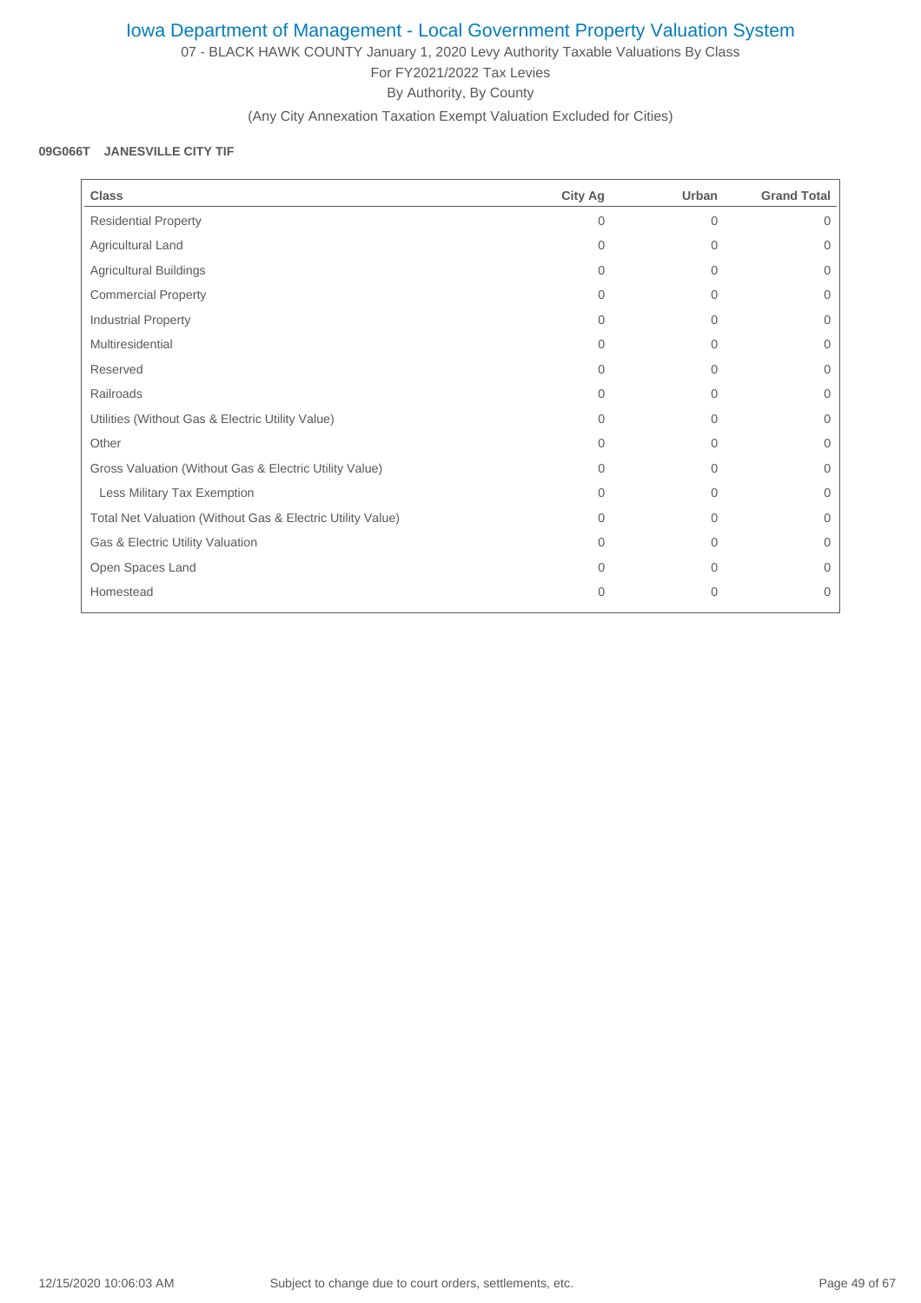07 - BLACK HAWK COUNTY January 1, 2020 Levy Authority Taxable Valuations By Class For FY2021/2022 Tax Levies By Authority, By County

(Any City Annexation Taxation Exempt Valuation Excluded for Cities)

#### **09G066T JANESVILLE CITY TIF**

| <b>Class</b>                                               | City Ag      | Urban        | <b>Grand Total</b> |
|------------------------------------------------------------|--------------|--------------|--------------------|
| <b>Residential Property</b>                                | $\Omega$     | $\Omega$     | $\Omega$           |
| Agricultural Land                                          | $\Omega$     | $\Omega$     | $\Omega$           |
| <b>Agricultural Buildings</b>                              | 0            | $\mathbf{0}$ | $\mathbf{0}$       |
| <b>Commercial Property</b>                                 | $\Omega$     | $\Omega$     | $\Omega$           |
| <b>Industrial Property</b>                                 | $\Omega$     | $\Omega$     | $\Omega$           |
| Multiresidential                                           | $\Omega$     | $\Omega$     | $\overline{0}$     |
| Reserved                                                   | $\Omega$     | $\Omega$     | $\Omega$           |
| Railroads                                                  | $\Omega$     | $\Omega$     | $\Omega$           |
| Utilities (Without Gas & Electric Utility Value)           | $\Omega$     | $\Omega$     | $\mathbf{0}$       |
| Other                                                      | $\Omega$     | $\Omega$     | $\Omega$           |
| Gross Valuation (Without Gas & Electric Utility Value)     | $\Omega$     | $\Omega$     | $\Omega$           |
| Less Military Tax Exemption                                | $\Omega$     | $\Omega$     | $\Omega$           |
| Total Net Valuation (Without Gas & Electric Utility Value) | $\Omega$     | $\Omega$     | $\overline{0}$     |
| Gas & Electric Utility Valuation                           | $\Omega$     | $\Omega$     | $\Omega$           |
| Open Spaces Land                                           | $\Omega$     | $\Omega$     | $\Omega$           |
| Homestead                                                  | $\mathbf{0}$ | 0            | $\mathbf{0}$       |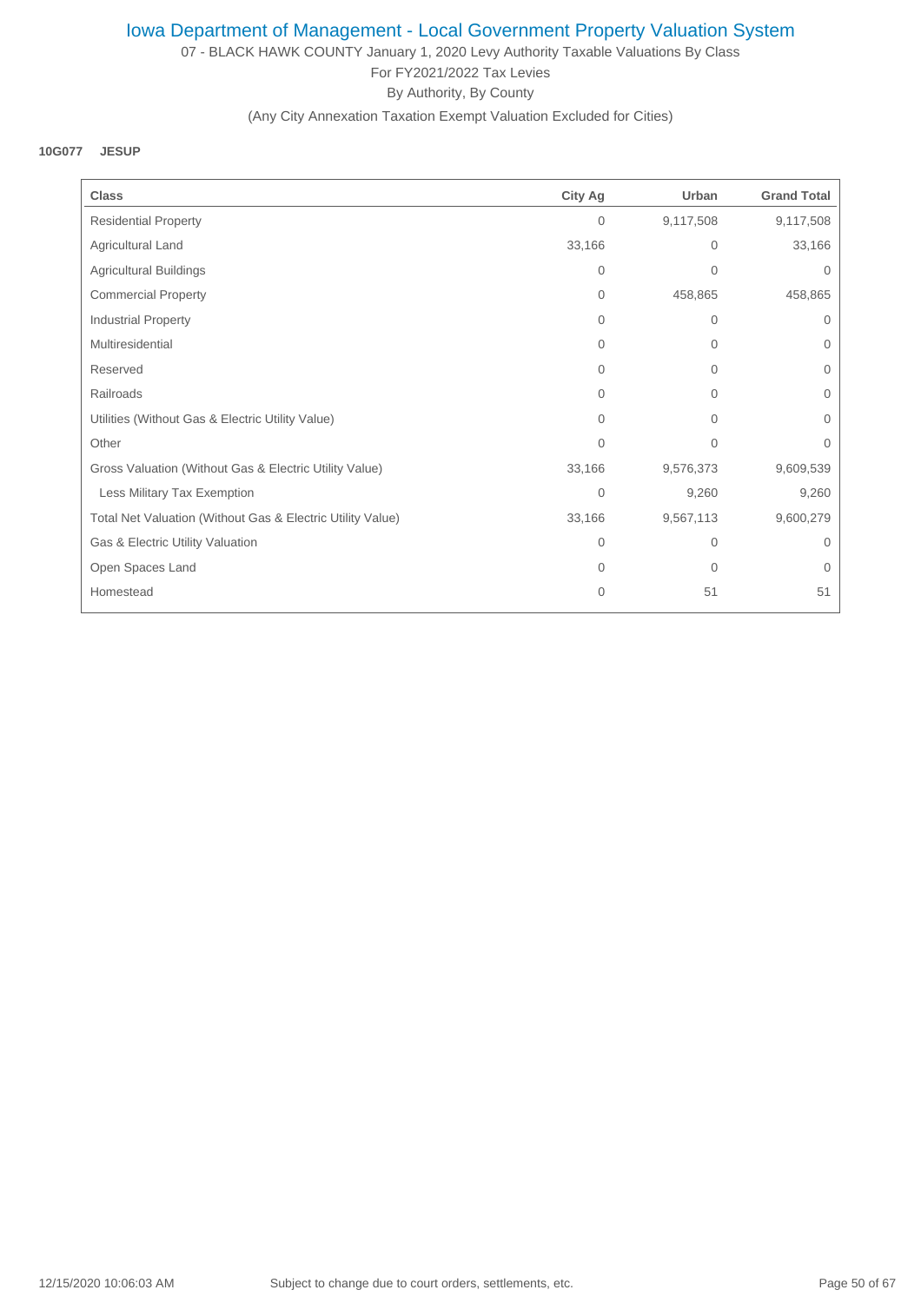07 - BLACK HAWK COUNTY January 1, 2020 Levy Authority Taxable Valuations By Class For FY2021/2022 Tax Levies By Authority, By County

## (Any City Annexation Taxation Exempt Valuation Excluded for Cities)

#### **10G077 JESUP**

| <b>Class</b>                                               | <b>City Ag</b> | Urban        | <b>Grand Total</b> |
|------------------------------------------------------------|----------------|--------------|--------------------|
| <b>Residential Property</b>                                | $\mathbf{0}$   | 9,117,508    | 9,117,508          |
| Agricultural Land                                          | 33,166         | 0            | 33,166             |
| <b>Agricultural Buildings</b>                              | $\mathbf{0}$   | 0            | 0                  |
| <b>Commercial Property</b>                                 | 0              | 458,865      | 458,865            |
| <b>Industrial Property</b>                                 | 0              | $\mathbf{0}$ | 0                  |
| Multiresidential                                           | $\Omega$       | 0            | $\Omega$           |
| Reserved                                                   | $\Omega$       | $\mathbf{0}$ | $\Omega$           |
| Railroads                                                  | 0              | 0            | $\Omega$           |
| Utilities (Without Gas & Electric Utility Value)           | $\overline{0}$ | 0            | 0                  |
| Other                                                      | $\mathbf{0}$   | 0            | 0                  |
| Gross Valuation (Without Gas & Electric Utility Value)     | 33,166         | 9,576,373    | 9,609,539          |
| Less Military Tax Exemption                                | $\overline{0}$ | 9,260        | 9,260              |
| Total Net Valuation (Without Gas & Electric Utility Value) | 33,166         | 9,567,113    | 9,600,279          |
| Gas & Electric Utility Valuation                           | $\overline{0}$ | 0            | 0                  |
| Open Spaces Land                                           | $\overline{0}$ | 0            | 0                  |
| Homestead                                                  | $\mathbf{0}$   | 51           | 51                 |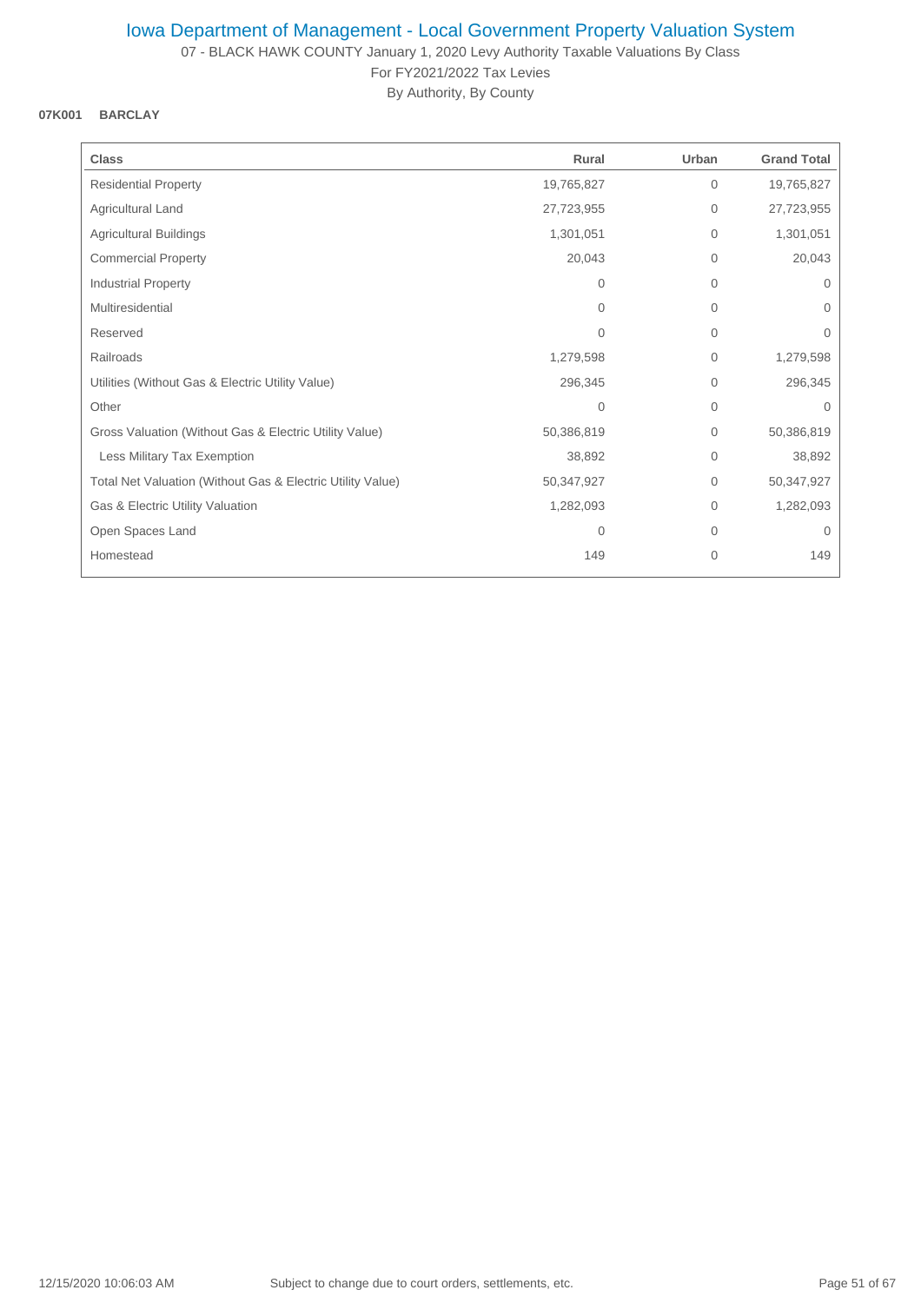07 - BLACK HAWK COUNTY January 1, 2020 Levy Authority Taxable Valuations By Class For FY2021/2022 Tax Levies

By Authority, By County

### **07K001 BARCLAY**

| <b>Class</b>                                               | Rural      | Urban        | <b>Grand Total</b> |
|------------------------------------------------------------|------------|--------------|--------------------|
| <b>Residential Property</b>                                | 19,765,827 | $\mathbf{0}$ | 19,765,827         |
| Agricultural Land                                          | 27,723,955 | $\mathbf 0$  | 27,723,955         |
| <b>Agricultural Buildings</b>                              | 1,301,051  | $\mathbf 0$  | 1,301,051          |
| <b>Commercial Property</b>                                 | 20,043     | $\mathbf{0}$ | 20,043             |
| <b>Industrial Property</b>                                 | $\Omega$   | $\mathbf{0}$ | 0                  |
| Multiresidential                                           | $\Omega$   | $\Omega$     | $\Omega$           |
| Reserved                                                   | $\Omega$   | $\mathbf{0}$ | $\Omega$           |
| Railroads                                                  | 1,279,598  | 0            | 1,279,598          |
| Utilities (Without Gas & Electric Utility Value)           | 296,345    | $\mathbf{0}$ | 296,345            |
| Other                                                      | 0          | $\mathbf{0}$ | $\Omega$           |
| Gross Valuation (Without Gas & Electric Utility Value)     | 50,386,819 | $\mathbf 0$  | 50,386,819         |
| Less Military Tax Exemption                                | 38,892     | $\mathbf 0$  | 38,892             |
| Total Net Valuation (Without Gas & Electric Utility Value) | 50,347,927 | 0            | 50,347,927         |
| Gas & Electric Utility Valuation                           | 1,282,093  | $\mathbf 0$  | 1,282,093          |
| Open Spaces Land                                           | 0          | $\mathbf 0$  | $\mathbf{0}$       |
| Homestead                                                  | 149        | $\mathbf{0}$ | 149                |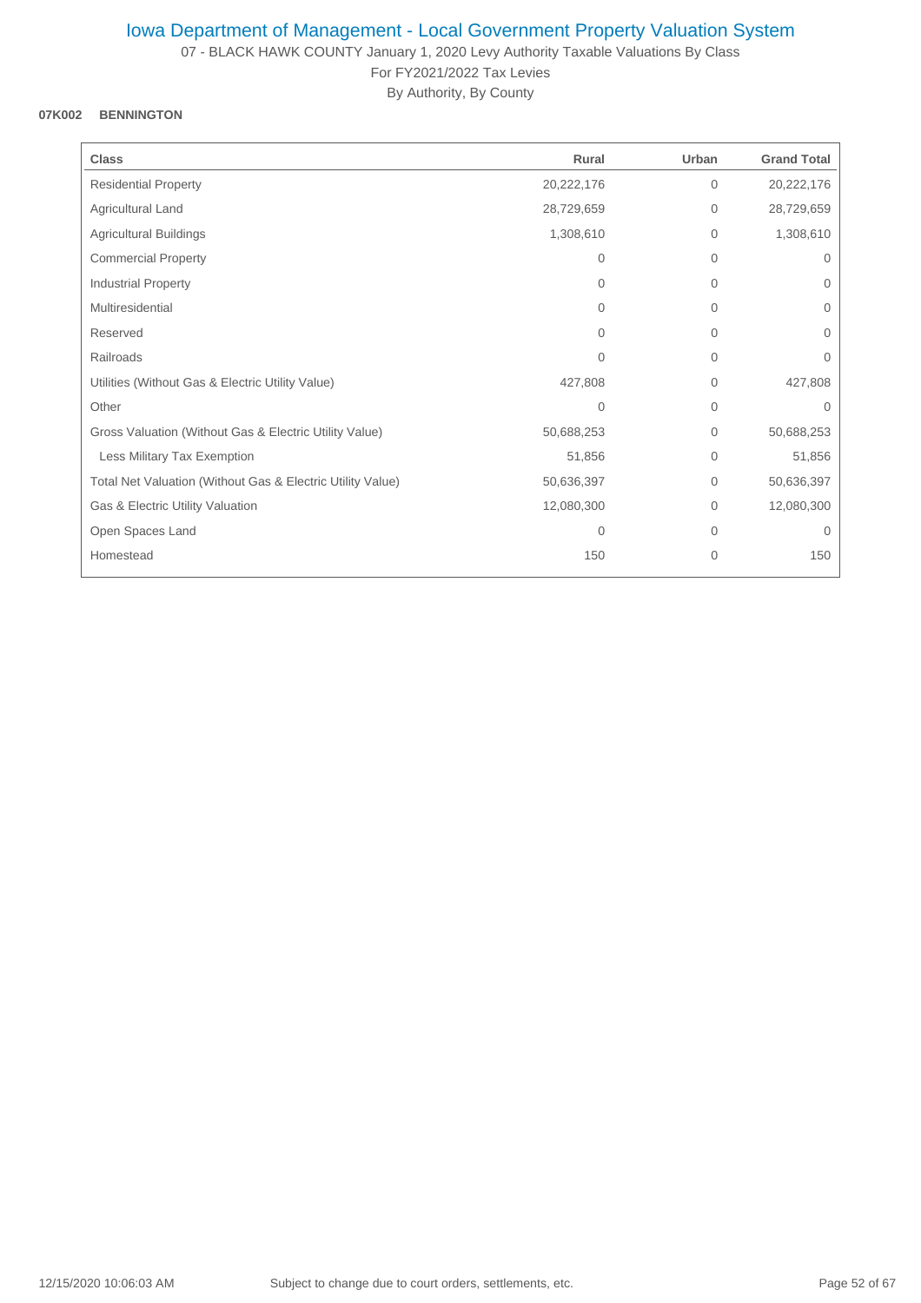07 - BLACK HAWK COUNTY January 1, 2020 Levy Authority Taxable Valuations By Class For FY2021/2022 Tax Levies

By Authority, By County

### **07K002 BENNINGTON**

| <b>Class</b>                                               | Rural      | Urban        | <b>Grand Total</b> |
|------------------------------------------------------------|------------|--------------|--------------------|
| <b>Residential Property</b>                                | 20,222,176 | $\mathbf 0$  | 20,222,176         |
| Agricultural Land                                          | 28,729,659 | $\mathbf 0$  | 28,729,659         |
| <b>Agricultural Buildings</b>                              | 1,308,610  | $\mathbf 0$  | 1,308,610          |
| <b>Commercial Property</b>                                 | 0          | $\mathbf{0}$ | $\mathbf 0$        |
| Industrial Property                                        | $\Omega$   | $\mathbf{0}$ | $\overline{0}$     |
| Multiresidential                                           | $\Omega$   | $\Omega$     | $\Omega$           |
| Reserved                                                   | $\Omega$   | $\Omega$     | $\Omega$           |
| Railroads                                                  | 0          | $\mathbf{0}$ | 0                  |
| Utilities (Without Gas & Electric Utility Value)           | 427,808    | $\mathbf 0$  | 427,808            |
| Other                                                      | 0          | $\mathbf{0}$ | $\Omega$           |
| Gross Valuation (Without Gas & Electric Utility Value)     | 50,688,253 | $\mathbf 0$  | 50,688,253         |
| Less Military Tax Exemption                                | 51,856     | $\mathbf{0}$ | 51,856             |
| Total Net Valuation (Without Gas & Electric Utility Value) | 50,636,397 | $\mathbf{0}$ | 50,636,397         |
| Gas & Electric Utility Valuation                           | 12,080,300 | $\mathbf{0}$ | 12,080,300         |
| Open Spaces Land                                           | 0          | $\mathbf{0}$ | $\mathbf{0}$       |
| Homestead                                                  | 150        | 0            | 150                |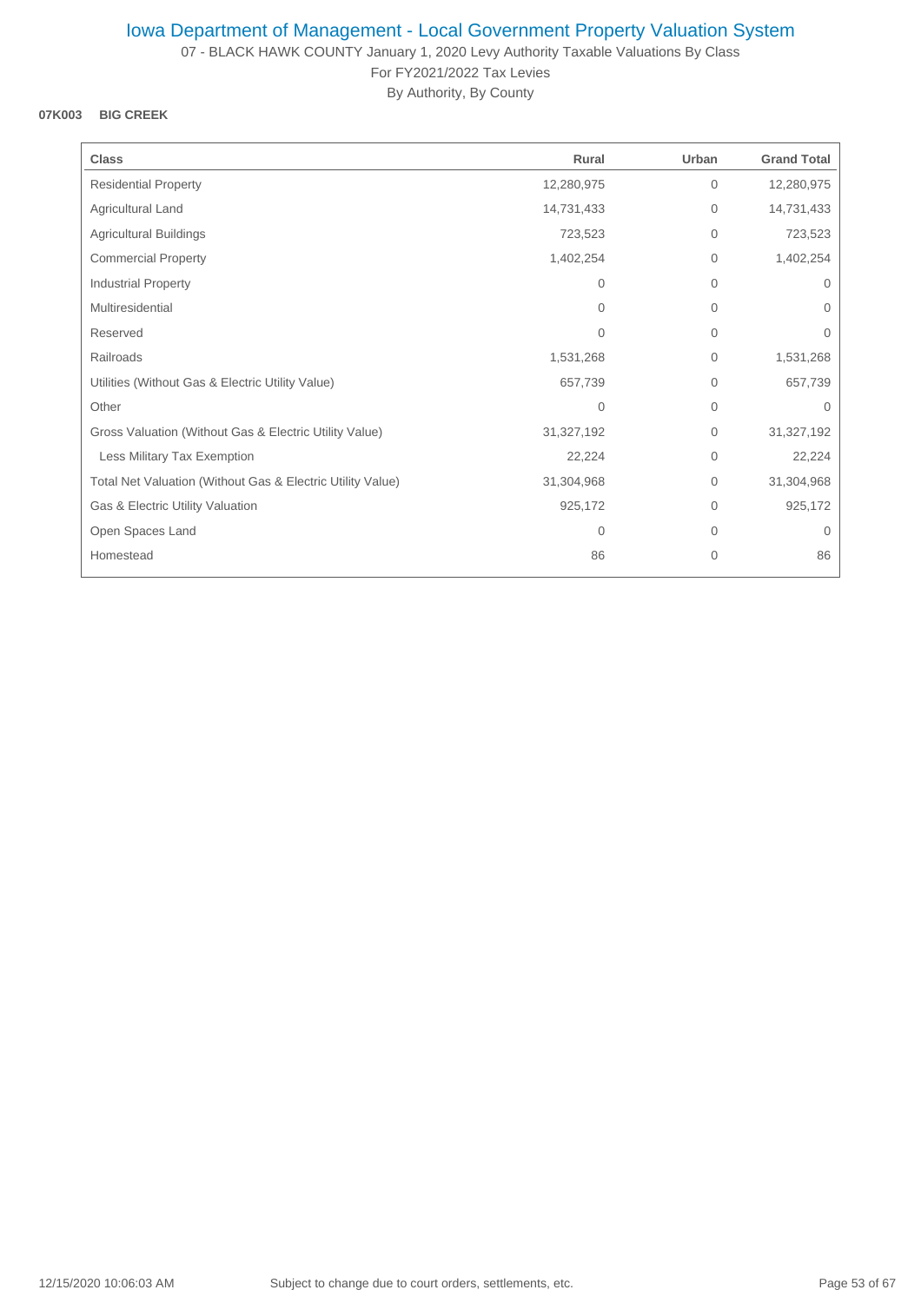07 - BLACK HAWK COUNTY January 1, 2020 Levy Authority Taxable Valuations By Class For FY2021/2022 Tax Levies

By Authority, By County

### **07K003 BIG CREEK**

| <b>Class</b>                                               | Rural      | Urban        | <b>Grand Total</b> |
|------------------------------------------------------------|------------|--------------|--------------------|
| <b>Residential Property</b>                                | 12,280,975 | $\mathbf{0}$ | 12,280,975         |
| Agricultural Land                                          | 14,731,433 | $\mathbf 0$  | 14,731,433         |
| <b>Agricultural Buildings</b>                              | 723,523    | $\mathbf{0}$ | 723,523            |
| <b>Commercial Property</b>                                 | 1,402,254  | $\mathbf{0}$ | 1,402,254          |
| Industrial Property                                        | $\Omega$   | $\mathbf{0}$ | $\Omega$           |
| Multiresidential                                           | $\Omega$   | $\Omega$     | $\Omega$           |
| Reserved                                                   | $\Omega$   | $\mathbf{0}$ | $\mathbf 0$        |
| Railroads                                                  | 1,531,268  | 0            | 1,531,268          |
| Utilities (Without Gas & Electric Utility Value)           | 657,739    | $\mathbf 0$  | 657,739            |
| Other                                                      | $\Omega$   | $\mathbf{0}$ | $\Omega$           |
| Gross Valuation (Without Gas & Electric Utility Value)     | 31,327,192 | $\mathbf{0}$ | 31,327,192         |
| Less Military Tax Exemption                                | 22,224     | $\mathbf{0}$ | 22,224             |
| Total Net Valuation (Without Gas & Electric Utility Value) | 31,304,968 | $\Omega$     | 31,304,968         |
| Gas & Electric Utility Valuation                           | 925,172    | $\mathbf{0}$ | 925,172            |
| Open Spaces Land                                           | 0          | $\mathbf{0}$ | $\mathbf{0}$       |
| Homestead                                                  | 86         | 0            | 86                 |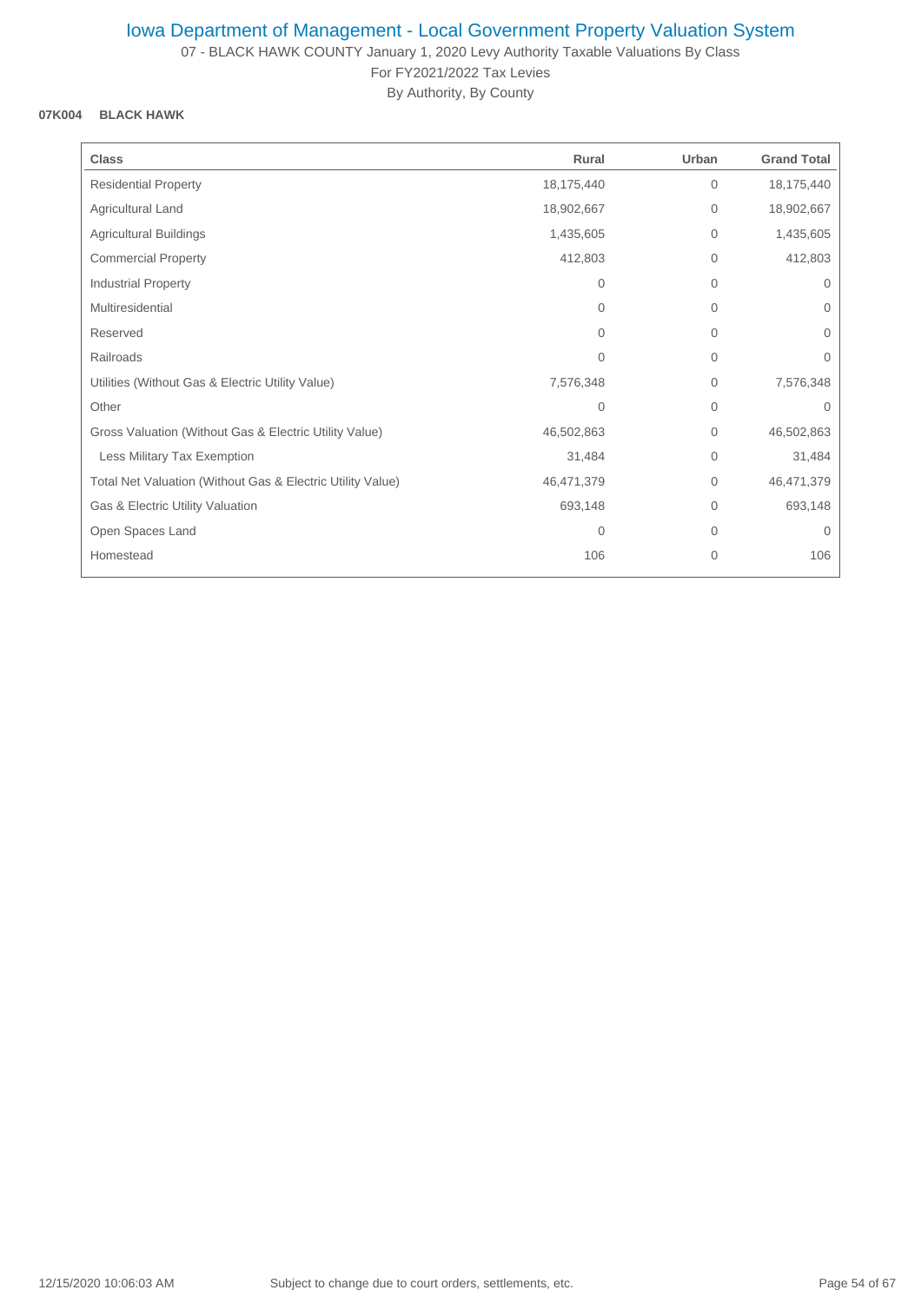07 - BLACK HAWK COUNTY January 1, 2020 Levy Authority Taxable Valuations By Class For FY2021/2022 Tax Levies

By Authority, By County

## **07K004 BLACK HAWK**

| <b>Class</b>                                               | Rural          | Urban          | <b>Grand Total</b> |
|------------------------------------------------------------|----------------|----------------|--------------------|
| <b>Residential Property</b>                                | 18,175,440     | 0              | 18,175,440         |
| Agricultural Land                                          | 18,902,667     | 0              | 18,902,667         |
| <b>Agricultural Buildings</b>                              | 1,435,605      | 0              | 1,435,605          |
| <b>Commercial Property</b>                                 | 412,803        | $\mathbf{0}$   | 412,803            |
| Industrial Property                                        | 0              | 0              | $\mathbf 0$        |
| Multiresidential                                           | $\Omega$       | $\overline{0}$ | $\mathbf{0}$       |
| Reserved                                                   | $\Omega$       | 0              | $\Omega$           |
| Railroads                                                  | $\Omega$       | 0              | $\Omega$           |
| Utilities (Without Gas & Electric Utility Value)           | 7,576,348      | 0              | 7,576,348          |
| Other                                                      | $\overline{0}$ | $\overline{0}$ | $\Omega$           |
| Gross Valuation (Without Gas & Electric Utility Value)     | 46,502,863     | $\mathbf{0}$   | 46,502,863         |
| Less Military Tax Exemption                                | 31,484         | 0              | 31,484             |
| Total Net Valuation (Without Gas & Electric Utility Value) | 46,471,379     | 0              | 46,471,379         |
| Gas & Electric Utility Valuation                           | 693,148        | $\Omega$       | 693,148            |
| Open Spaces Land                                           | $\Omega$       | $\Omega$       | $\Omega$           |
| Homestead                                                  | 106            | 0              | 106                |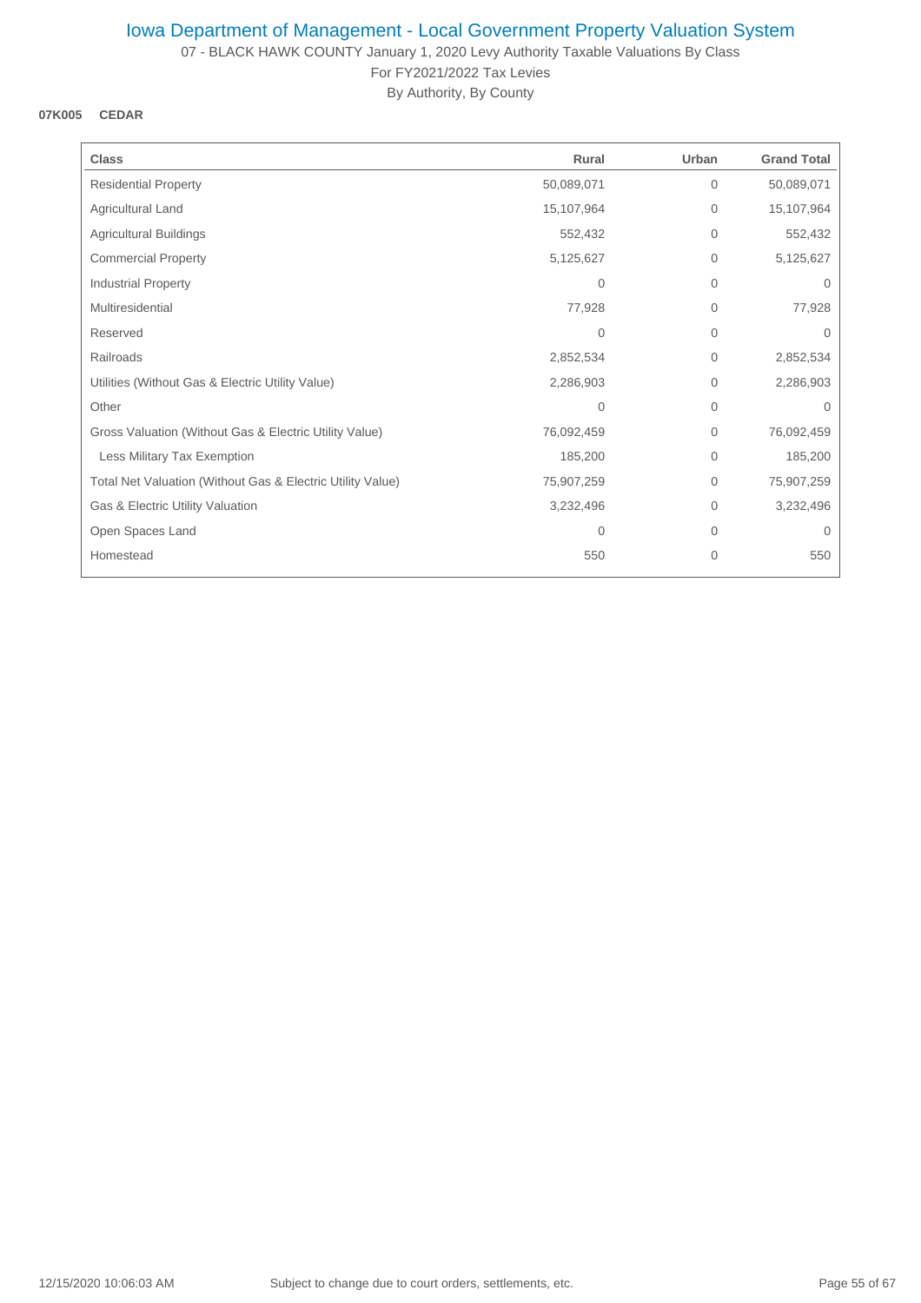07 - BLACK HAWK COUNTY January 1, 2020 Levy Authority Taxable Valuations By Class For FY2021/2022 Tax Levies

By Authority, By County

## **07K005 CEDAR**

| <b>Class</b>                                               | Rural      | Urban        | <b>Grand Total</b> |
|------------------------------------------------------------|------------|--------------|--------------------|
| <b>Residential Property</b>                                | 50,089,071 | $\mathbf{0}$ | 50,089,071         |
| Agricultural Land                                          | 15,107,964 | $\mathbf{0}$ | 15,107,964         |
| <b>Agricultural Buildings</b>                              | 552,432    | $\mathbf{0}$ | 552,432            |
| <b>Commercial Property</b>                                 | 5,125,627  | $\mathbf{0}$ | 5,125,627          |
| Industrial Property                                        | 0          | $\mathbf{0}$ | $\mathbf{0}$       |
| Multiresidential                                           | 77,928     | $\Omega$     | 77,928             |
| Reserved                                                   | $\Omega$   | $\mathbf{0}$ | $\Omega$           |
| Railroads                                                  | 2,852,534  | 0            | 2,852,534          |
| Utilities (Without Gas & Electric Utility Value)           | 2,286,903  | 0            | 2,286,903          |
| Other                                                      | 0          | $\mathbf{0}$ | $\Omega$           |
| Gross Valuation (Without Gas & Electric Utility Value)     | 76,092,459 | $\mathbf{0}$ | 76,092,459         |
| Less Military Tax Exemption                                | 185,200    | $\mathbf{0}$ | 185,200            |
| Total Net Valuation (Without Gas & Electric Utility Value) | 75,907,259 | $\mathbf{0}$ | 75,907,259         |
| Gas & Electric Utility Valuation                           | 3,232,496  | $\Omega$     | 3,232,496          |
| Open Spaces Land                                           | 0          | $\mathbf{0}$ | $\mathbf{0}$       |
| Homestead                                                  | 550        | 0            | 550                |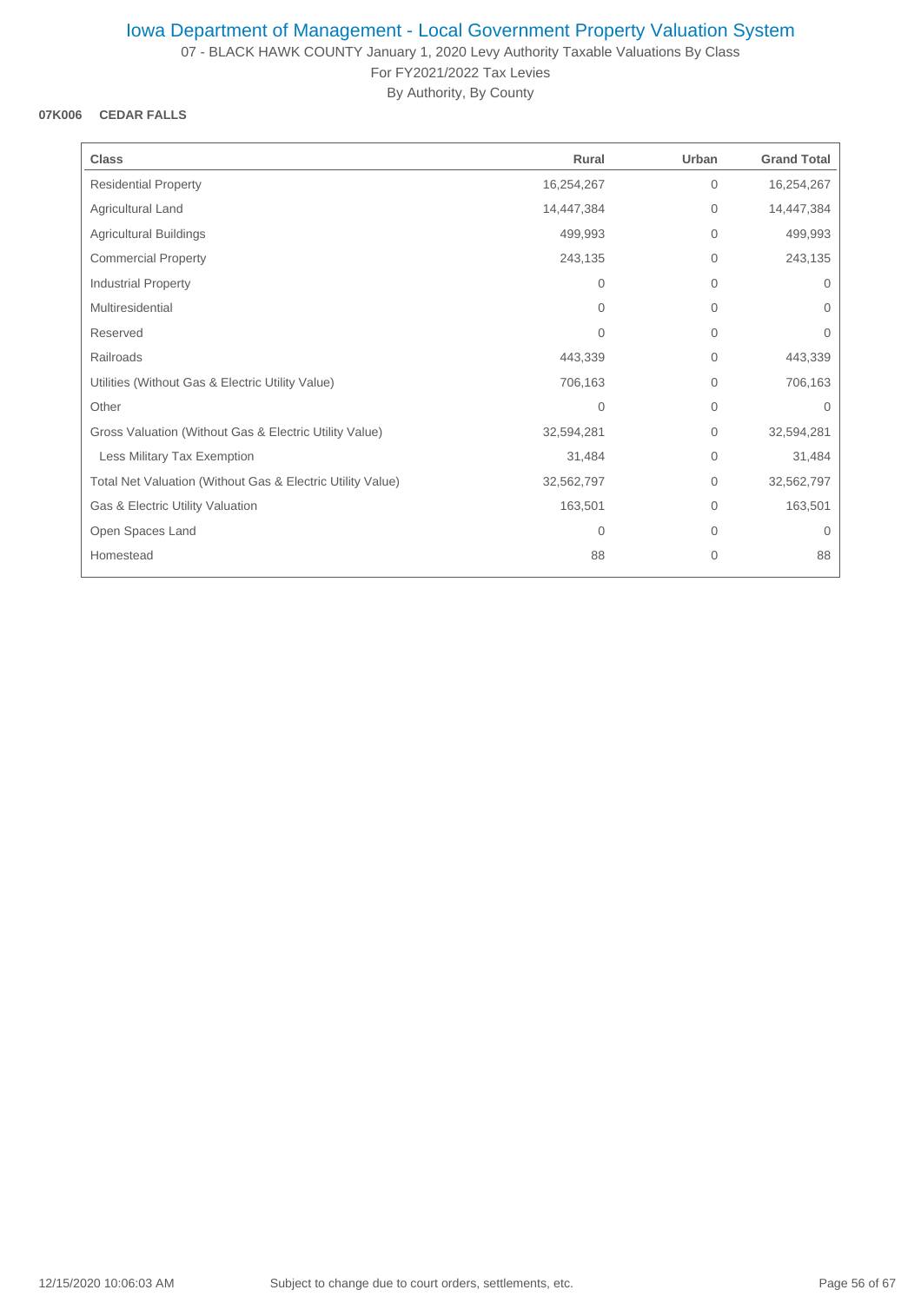07 - BLACK HAWK COUNTY January 1, 2020 Levy Authority Taxable Valuations By Class For FY2021/2022 Tax Levies

By Authority, By County

### **07K006 CEDAR FALLS**

| <b>Class</b>                                               | Rural      | Urban          | <b>Grand Total</b> |
|------------------------------------------------------------|------------|----------------|--------------------|
| <b>Residential Property</b>                                | 16,254,267 | $\mathbf{0}$   | 16,254,267         |
| Agricultural Land                                          | 14,447,384 | 0              | 14,447,384         |
| <b>Agricultural Buildings</b>                              | 499,993    | $\mathbf 0$    | 499,993            |
| <b>Commercial Property</b>                                 | 243,135    | 0              | 243,135            |
| Industrial Property                                        | 0          | 0              | $\mathbf{0}$       |
| Multiresidential                                           | $\Omega$   | $\Omega$       | $\Omega$           |
| Reserved                                                   | $\Omega$   | $\overline{0}$ | $\Omega$           |
| Railroads                                                  | 443,339    | 0              | 443,339            |
| Utilities (Without Gas & Electric Utility Value)           | 706,163    | 0              | 706,163            |
| Other                                                      | 0          | $\overline{0}$ | $\Omega$           |
| Gross Valuation (Without Gas & Electric Utility Value)     | 32,594,281 | 0              | 32,594,281         |
| Less Military Tax Exemption                                | 31,484     | 0              | 31,484             |
| Total Net Valuation (Without Gas & Electric Utility Value) | 32,562,797 | $\overline{0}$ | 32,562,797         |
| Gas & Electric Utility Valuation                           | 163,501    | $\Omega$       | 163,501            |
| Open Spaces Land                                           | 0          | 0              | $\mathbf{0}$       |
| Homestead                                                  | 88         | 0              | 88                 |
|                                                            |            |                |                    |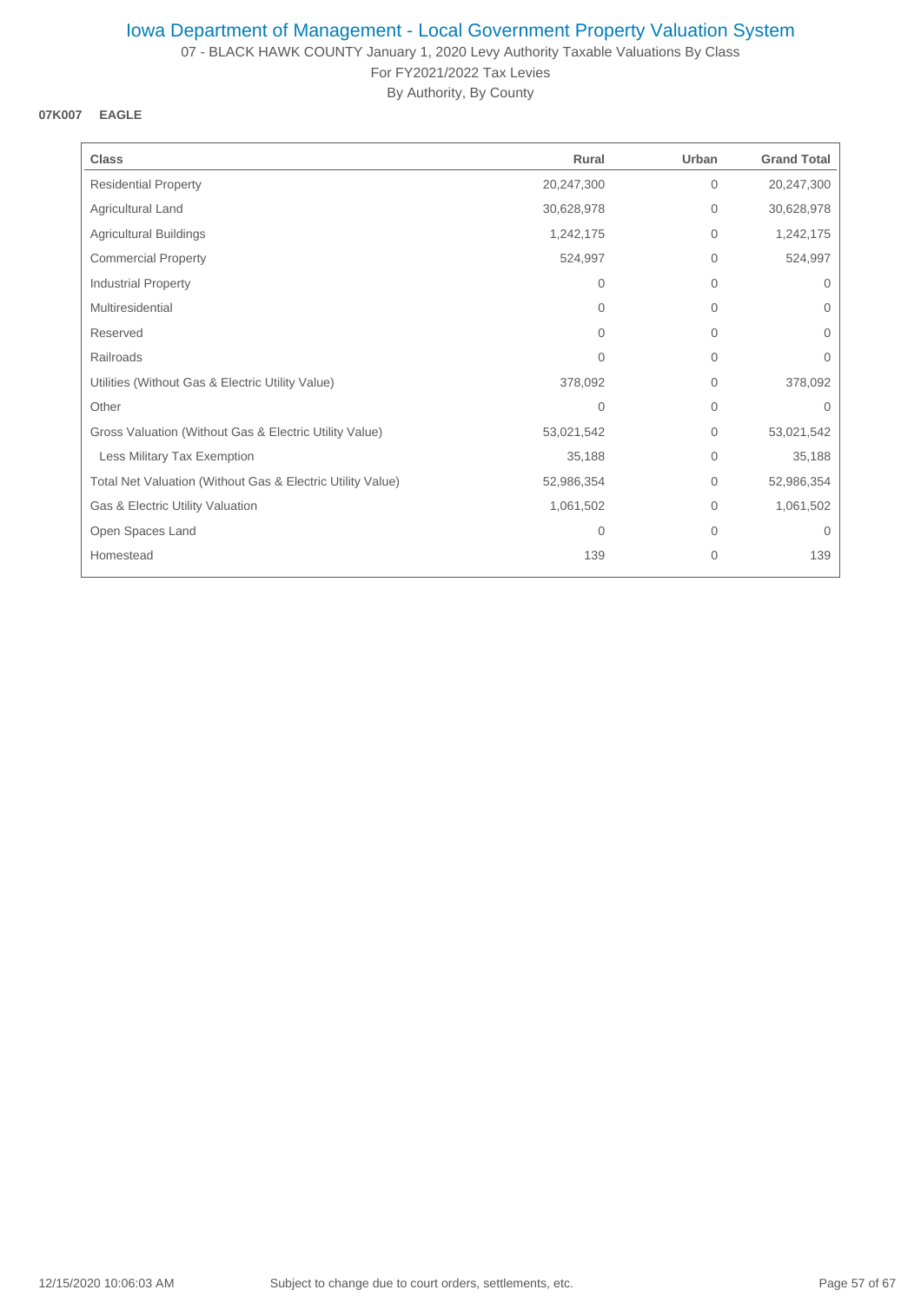07 - BLACK HAWK COUNTY January 1, 2020 Levy Authority Taxable Valuations By Class For FY2021/2022 Tax Levies

By Authority, By County

### **07K007 EAGLE**

| <b>Class</b>                                               | Rural      | Urban        | <b>Grand Total</b> |
|------------------------------------------------------------|------------|--------------|--------------------|
| <b>Residential Property</b>                                | 20,247,300 | $\mathbf{0}$ | 20,247,300         |
| Agricultural Land                                          | 30,628,978 | $\mathbf 0$  | 30,628,978         |
| <b>Agricultural Buildings</b>                              | 1,242,175  | 0            | 1,242,175          |
| <b>Commercial Property</b>                                 | 524,997    | $\mathbf 0$  | 524,997            |
| <b>Industrial Property</b>                                 | $\Omega$   | $\mathbf 0$  | 0                  |
| Multiresidential                                           | $\Omega$   | $\mathbf{0}$ | $\Omega$           |
| Reserved                                                   | $\Omega$   | $\mathbf 0$  | $\Omega$           |
| Railroads                                                  | $\Omega$   | $\mathbf 0$  | 0                  |
| Utilities (Without Gas & Electric Utility Value)           | 378,092    | $\mathbf 0$  | 378,092            |
| Other                                                      | $\Omega$   | $\mathbf 0$  | $\Omega$           |
| Gross Valuation (Without Gas & Electric Utility Value)     | 53,021,542 | $\mathbf 0$  | 53,021,542         |
| Less Military Tax Exemption                                | 35,188     | $\mathbf 0$  | 35,188             |
| Total Net Valuation (Without Gas & Electric Utility Value) | 52,986,354 | $\mathbf 0$  | 52,986,354         |
| Gas & Electric Utility Valuation                           | 1,061,502  | $\mathbf 0$  | 1,061,502          |
| Open Spaces Land                                           | 0          | $\mathbf 0$  | $\mathbf{0}$       |
| Homestead                                                  | 139        | $\mathbf{0}$ | 139                |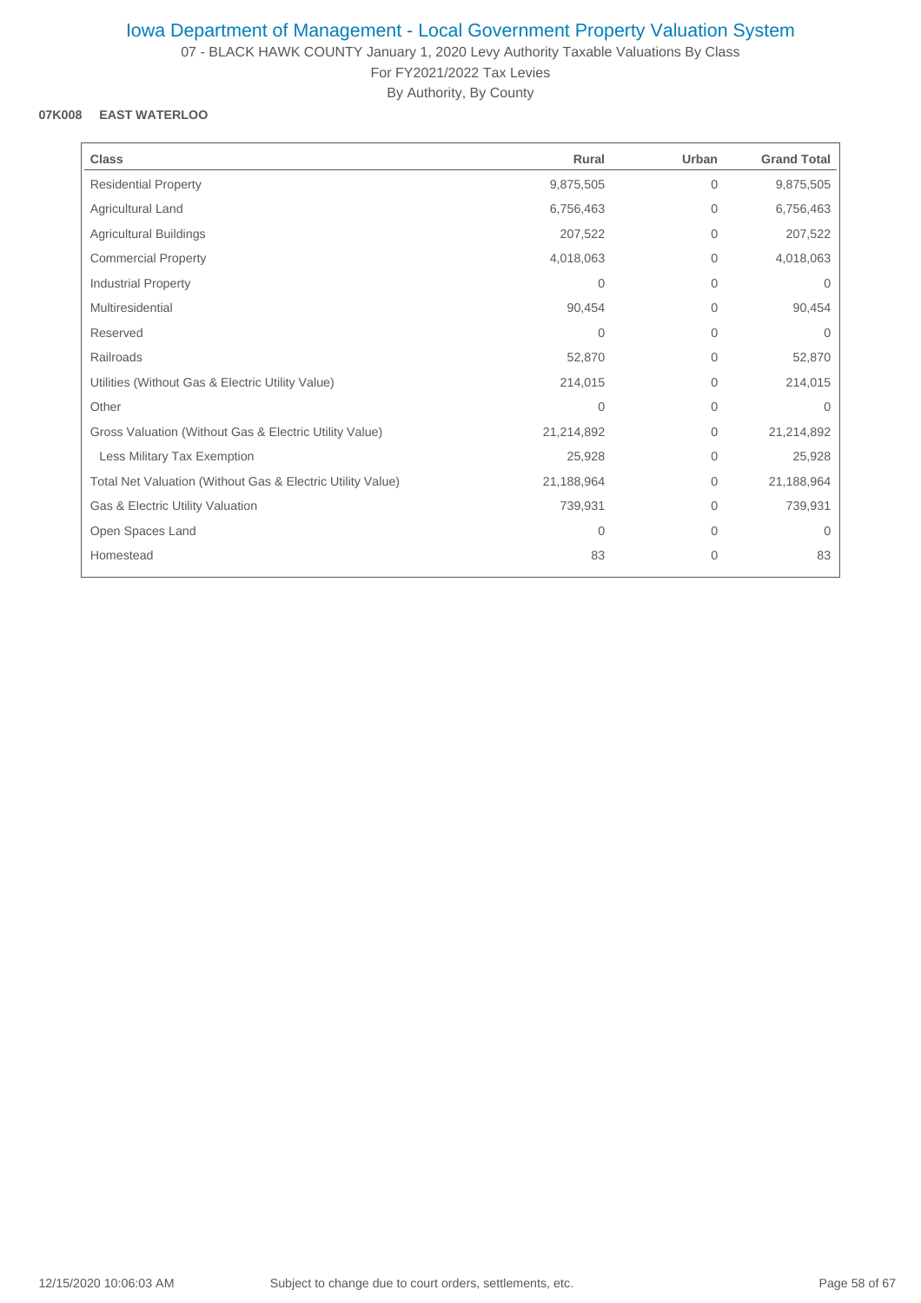07 - BLACK HAWK COUNTY January 1, 2020 Levy Authority Taxable Valuations By Class For FY2021/2022 Tax Levies

By Authority, By County

## **07K008 EAST WATERLOO**

| <b>Class</b>                                               | Rural          | Urban        | <b>Grand Total</b> |
|------------------------------------------------------------|----------------|--------------|--------------------|
| <b>Residential Property</b>                                | 9,875,505      | $\mathbf 0$  | 9,875,505          |
| Agricultural Land                                          | 6,756,463      | $\mathbf 0$  | 6,756,463          |
| <b>Agricultural Buildings</b>                              | 207,522        | $\mathbf{0}$ | 207,522            |
| <b>Commercial Property</b>                                 | 4,018,063      | $\mathbf 0$  | 4,018,063          |
| Industrial Property                                        | $\Omega$       | $\mathbf{0}$ | $\Omega$           |
| Multiresidential                                           | 90,454         | $\mathbf{0}$ | 90,454             |
| Reserved                                                   | $\Omega$       | $\mathbf 0$  | $\Omega$           |
| Railroads                                                  | 52,870         | $\mathbf 0$  | 52,870             |
| Utilities (Without Gas & Electric Utility Value)           | 214,015        | $\mathbf{0}$ | 214,015            |
| Other                                                      | $\overline{0}$ | $\mathbf{0}$ | $\Omega$           |
| Gross Valuation (Without Gas & Electric Utility Value)     | 21,214,892     | $\mathbf 0$  | 21,214,892         |
| Less Military Tax Exemption                                | 25,928         | $\mathbf 0$  | 25,928             |
| Total Net Valuation (Without Gas & Electric Utility Value) | 21,188,964     | $\mathbf 0$  | 21,188,964         |
| Gas & Electric Utility Valuation                           | 739,931        | $\mathbf{0}$ | 739,931            |
| Open Spaces Land                                           | $\mathbf{0}$   | $\mathbf 0$  | $\Omega$           |
| Homestead                                                  | 83             | $\mathbf 0$  | 83                 |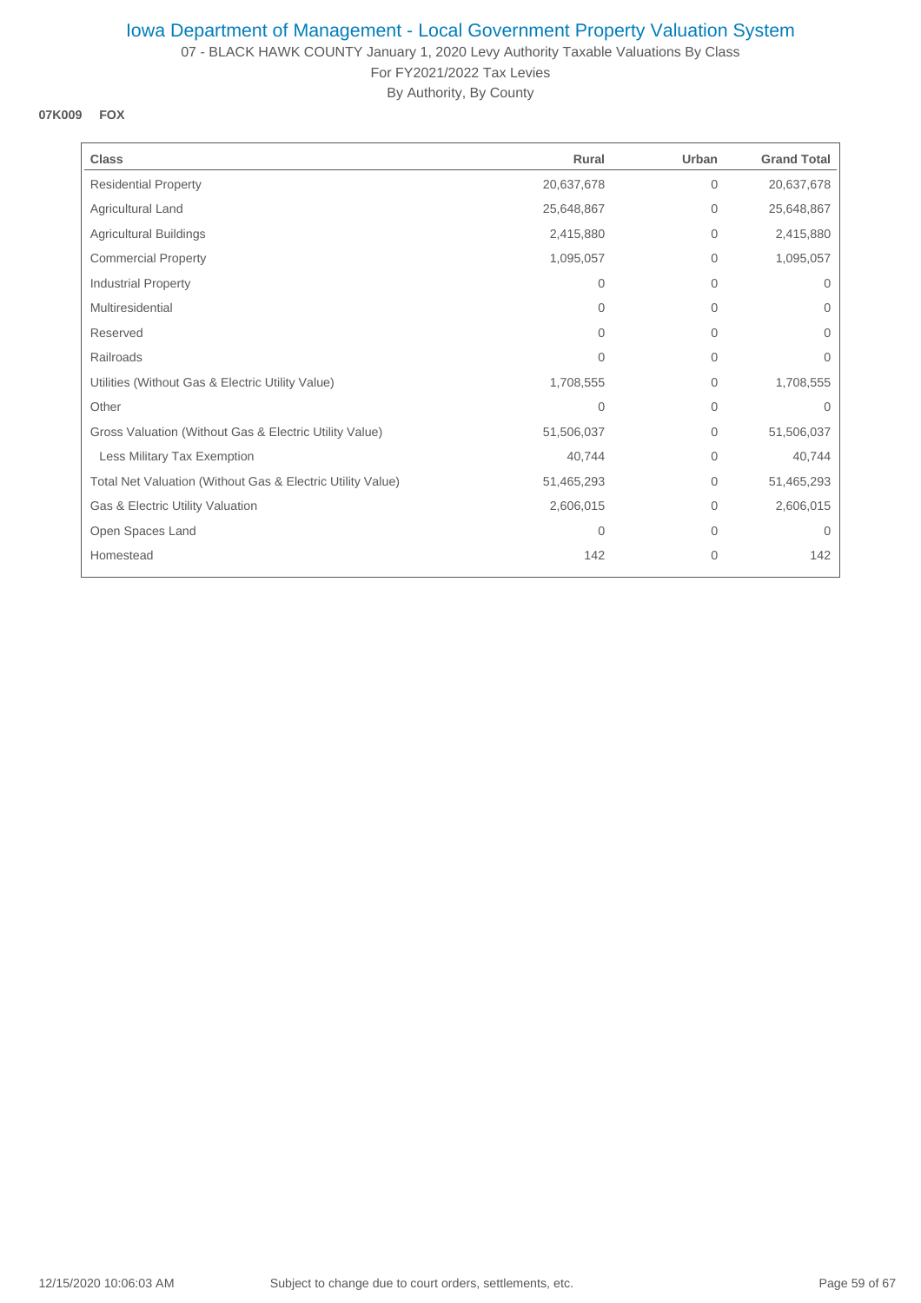07 - BLACK HAWK COUNTY January 1, 2020 Levy Authority Taxable Valuations By Class For FY2021/2022 Tax Levies

By Authority, By County

#### **07K009 FOX**

| <b>Class</b>                                               | Rural          | Urban        | <b>Grand Total</b> |
|------------------------------------------------------------|----------------|--------------|--------------------|
| <b>Residential Property</b>                                | 20,637,678     | $\mathbf 0$  | 20,637,678         |
| Agricultural Land                                          | 25,648,867     | 0            | 25,648,867         |
| <b>Agricultural Buildings</b>                              | 2,415,880      | $\mathbf{0}$ | 2,415,880          |
| <b>Commercial Property</b>                                 | 1,095,057      | $\mathbf 0$  | 1,095,057          |
| Industrial Property                                        | 0              | $\mathbf 0$  | 0                  |
| Multiresidential                                           | $\Omega$       | $\mathbf 0$  | $\Omega$           |
| Reserved                                                   | $\Omega$       | $\mathbf 0$  | $\Omega$           |
| Railroads                                                  | $\Omega$       | $\mathbf 0$  | 0                  |
| Utilities (Without Gas & Electric Utility Value)           | 1,708,555      | $\mathbf 0$  | 1,708,555          |
| Other                                                      | $\overline{0}$ | $\mathbf{0}$ | $\Omega$           |
| Gross Valuation (Without Gas & Electric Utility Value)     | 51,506,037     | $\mathbf 0$  | 51,506,037         |
| Less Military Tax Exemption                                | 40,744         | $\mathbf 0$  | 40,744             |
| Total Net Valuation (Without Gas & Electric Utility Value) | 51,465,293     | $\mathbf 0$  | 51,465,293         |
| Gas & Electric Utility Valuation                           | 2,606,015      | $\mathbf 0$  | 2,606,015          |
| Open Spaces Land                                           | 0              | $\mathbf 0$  | $\mathbf{0}$       |
| Homestead                                                  | 142            | $\mathbf{0}$ | 142                |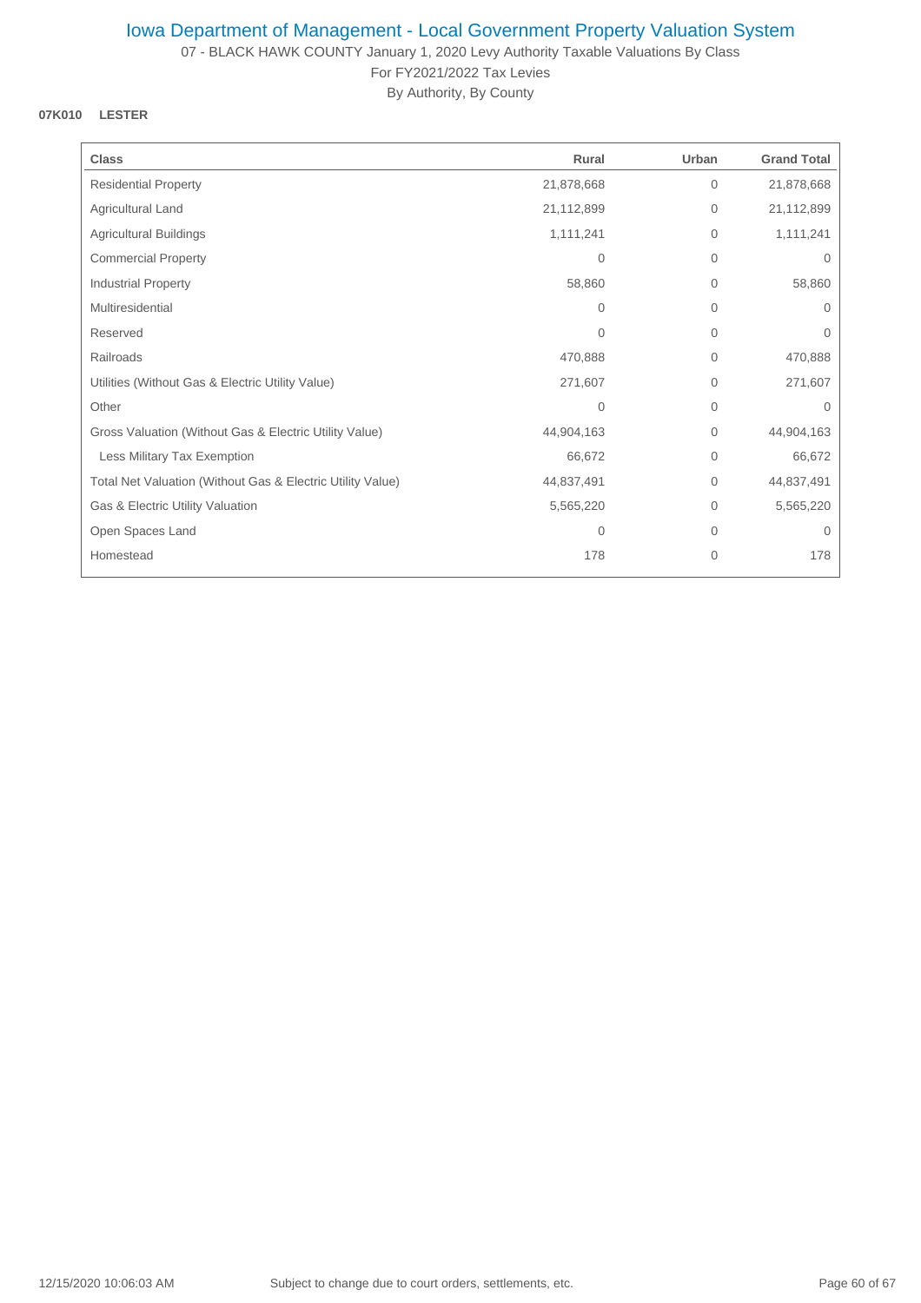07 - BLACK HAWK COUNTY January 1, 2020 Levy Authority Taxable Valuations By Class For FY2021/2022 Tax Levies

By Authority, By County

### **07K010 LESTER**

| <b>Class</b>                                               | Rural      | Urban        | <b>Grand Total</b> |
|------------------------------------------------------------|------------|--------------|--------------------|
| <b>Residential Property</b>                                | 21,878,668 | $\mathbf{0}$ | 21,878,668         |
| Agricultural Land                                          | 21,112,899 | $\mathbf{0}$ | 21,112,899         |
| <b>Agricultural Buildings</b>                              | 1,111,241  | $\mathbf{0}$ | 1,111,241          |
| <b>Commercial Property</b>                                 | 0          | $\mathbf{0}$ | 0                  |
| Industrial Property                                        | 58,860     | $\mathbf{0}$ | 58,860             |
| Multiresidential                                           | $\Omega$   | $\Omega$     | $\Omega$           |
| Reserved                                                   | $\Omega$   | $\mathbf{0}$ | $\Omega$           |
| Railroads                                                  | 470,888    | $\mathbf{0}$ | 470,888            |
| Utilities (Without Gas & Electric Utility Value)           | 271,607    | $\mathbf{0}$ | 271,607            |
| Other                                                      | 0          | $\mathbf{0}$ | $\Omega$           |
| Gross Valuation (Without Gas & Electric Utility Value)     | 44,904,163 | $\mathbf{0}$ | 44,904,163         |
| Less Military Tax Exemption                                | 66,672     | $\mathbf{0}$ | 66,672             |
| Total Net Valuation (Without Gas & Electric Utility Value) | 44,837,491 | $\mathbf{0}$ | 44,837,491         |
| Gas & Electric Utility Valuation                           | 5,565,220  | $\mathbf{0}$ | 5,565,220          |
| Open Spaces Land                                           | 0          | $\mathbf{0}$ | $\mathbf{0}$       |
| Homestead                                                  | 178        | 0            | 178                |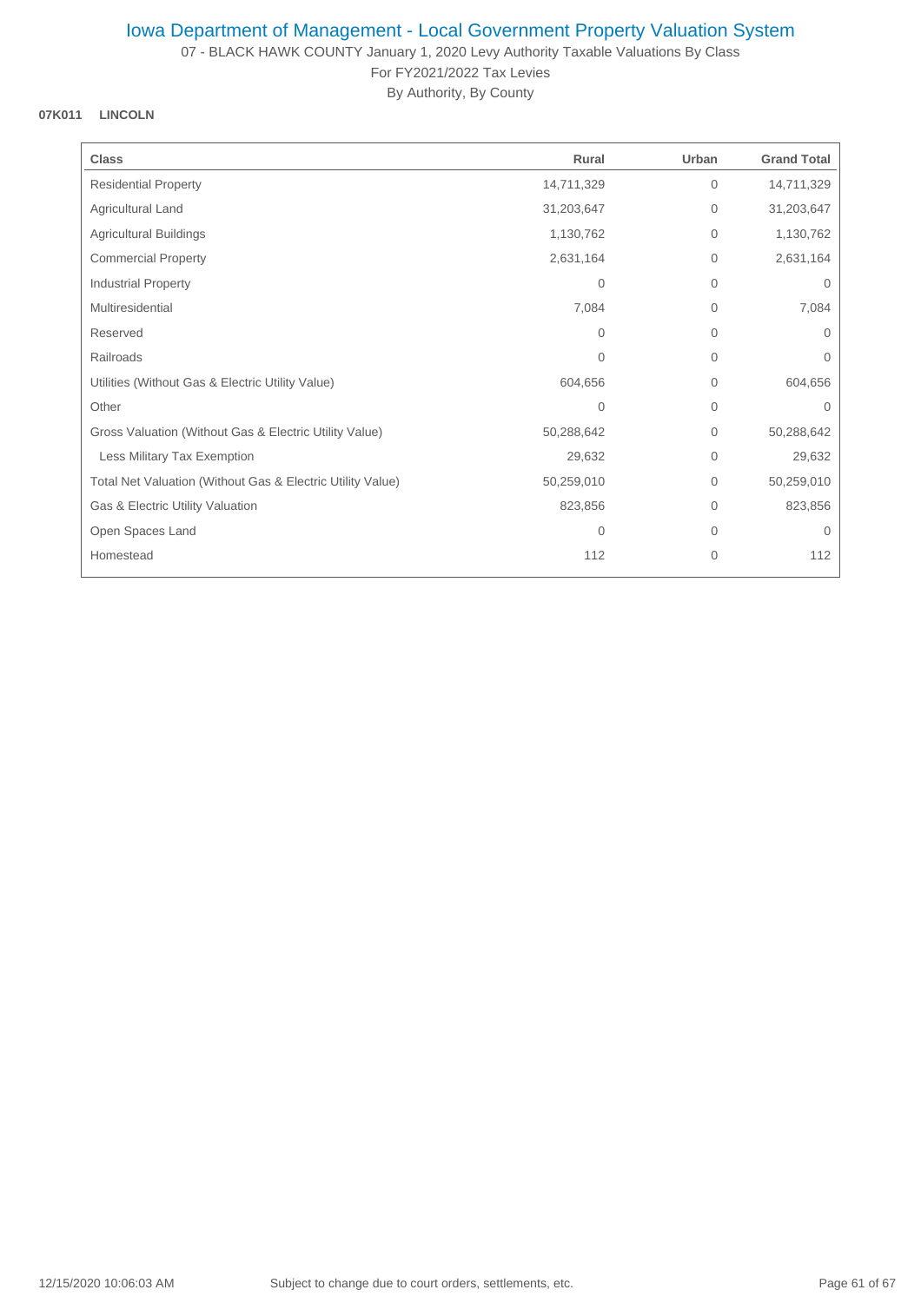07 - BLACK HAWK COUNTY January 1, 2020 Levy Authority Taxable Valuations By Class For FY2021/2022 Tax Levies

By Authority, By County

## **07K011 LINCOLN**

| <b>Class</b>                                               | Rural      | Urban        | <b>Grand Total</b> |
|------------------------------------------------------------|------------|--------------|--------------------|
| <b>Residential Property</b>                                | 14,711,329 | $\mathbf{0}$ | 14,711,329         |
| <b>Agricultural Land</b>                                   | 31,203,647 | $\mathbf 0$  | 31,203,647         |
| <b>Agricultural Buildings</b>                              | 1,130,762  | $\mathbf 0$  | 1,130,762          |
| <b>Commercial Property</b>                                 | 2,631,164  | $\mathbf{0}$ | 2,631,164          |
| <b>Industrial Property</b>                                 | $\Omega$   | $\mathbf{0}$ | $\mathbf{0}$       |
| Multiresidential                                           | 7,084      | $\mathbf 0$  | 7,084              |
| Reserved                                                   | $\Omega$   | $\mathbf{0}$ | $\Omega$           |
| Railroads                                                  | 0          | $\mathbf 0$  | 0                  |
| Utilities (Without Gas & Electric Utility Value)           | 604,656    | $\mathbf{0}$ | 604,656            |
| Other                                                      | 0          | $\mathbf{0}$ | $\Omega$           |
| Gross Valuation (Without Gas & Electric Utility Value)     | 50,288,642 | $\mathbf 0$  | 50,288,642         |
| Less Military Tax Exemption                                | 29,632     | $\mathbf{0}$ | 29,632             |
| Total Net Valuation (Without Gas & Electric Utility Value) | 50,259,010 | $\mathbf{0}$ | 50,259,010         |
| Gas & Electric Utility Valuation                           | 823,856    | $\mathbf 0$  | 823,856            |
| Open Spaces Land                                           | 0          | $\mathbf 0$  | $\mathbf{0}$       |
| Homestead                                                  | 112        | 0            | 112                |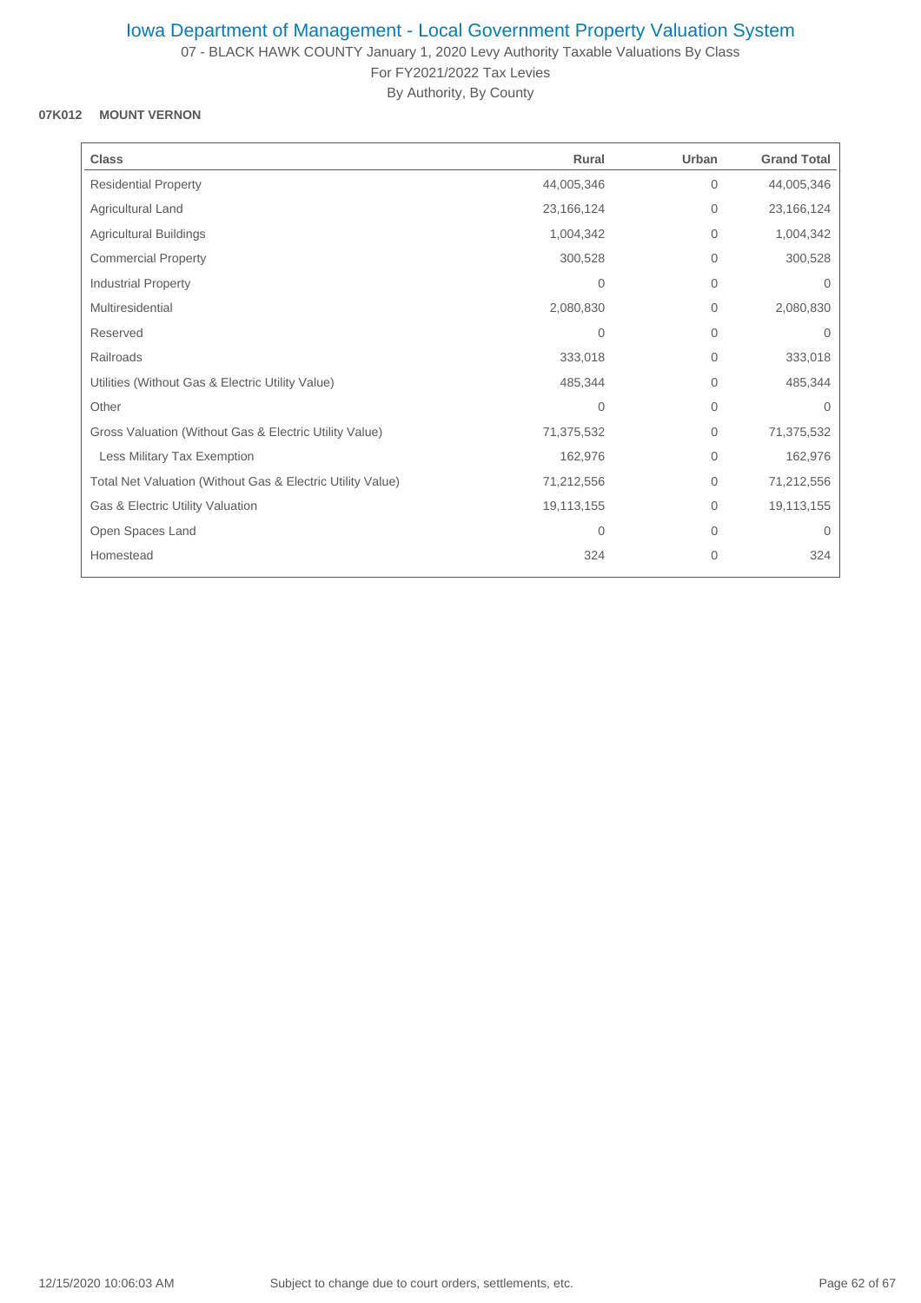07 - BLACK HAWK COUNTY January 1, 2020 Levy Authority Taxable Valuations By Class For FY2021/2022 Tax Levies

By Authority, By County

## **07K012 MOUNT VERNON**

| <b>Class</b>                                               | Rural        | Urban          | <b>Grand Total</b> |
|------------------------------------------------------------|--------------|----------------|--------------------|
| <b>Residential Property</b>                                | 44,005,346   | 0              | 44,005,346         |
| Agricultural Land                                          | 23, 166, 124 | $\mathbf{0}$   | 23, 166, 124       |
| Agricultural Buildings                                     | 1,004,342    | $\mathbf{0}$   | 1,004,342          |
| <b>Commercial Property</b>                                 | 300,528      | $\mathbf{0}$   | 300,528            |
| <b>Industrial Property</b>                                 | $\mathbf{0}$ | $\overline{0}$ | $\Omega$           |
| Multiresidential                                           | 2,080,830    | 0              | 2,080,830          |
| Reserved                                                   | $\Omega$     | $\mathbf{0}$   | $\Omega$           |
| Railroads                                                  | 333,018      | $\mathbf{0}$   | 333,018            |
| Utilities (Without Gas & Electric Utility Value)           | 485,344      | 0              | 485,344            |
| Other                                                      | $\mathbf{0}$ | $\overline{0}$ | $\Omega$           |
| Gross Valuation (Without Gas & Electric Utility Value)     | 71,375,532   | $\mathbf{0}$   | 71,375,532         |
| Less Military Tax Exemption                                | 162,976      | 0              | 162,976            |
| Total Net Valuation (Without Gas & Electric Utility Value) | 71,212,556   | 0              | 71,212,556         |
| Gas & Electric Utility Valuation                           | 19,113,155   | 0              | 19,113,155         |
| Open Spaces Land                                           | $\mathbf{0}$ | 0              | $\Omega$           |
| Homestead                                                  | 324          | 0              | 324                |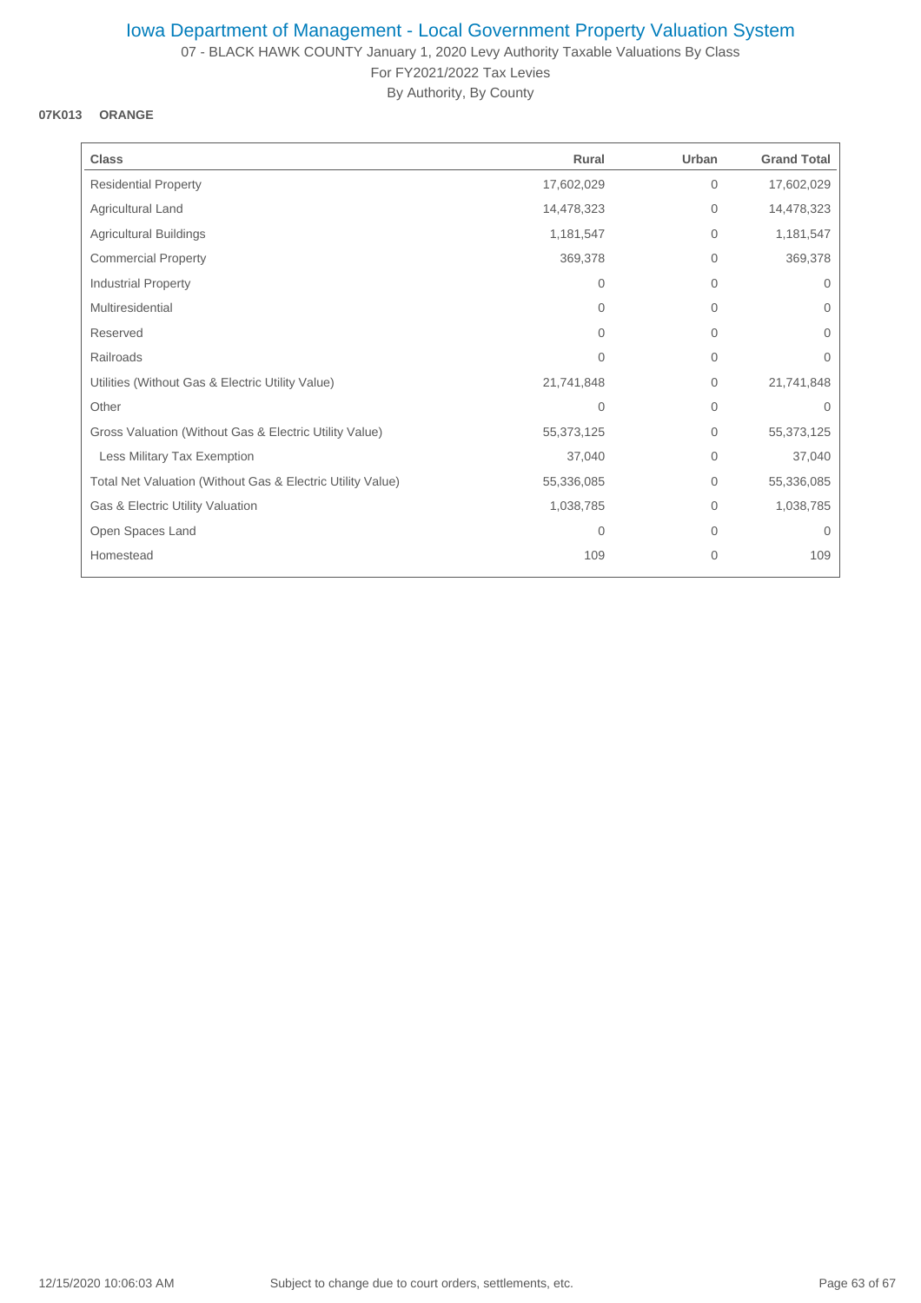07 - BLACK HAWK COUNTY January 1, 2020 Levy Authority Taxable Valuations By Class For FY2021/2022 Tax Levies

By Authority, By County

### **07K013 ORANGE**

| <b>Class</b>                                               | Rural      | Urban        | <b>Grand Total</b> |
|------------------------------------------------------------|------------|--------------|--------------------|
| <b>Residential Property</b>                                | 17,602,029 | $\mathbf{0}$ | 17,602,029         |
| Agricultural Land                                          | 14,478,323 | $\mathbf 0$  | 14,478,323         |
| <b>Agricultural Buildings</b>                              | 1,181,547  | $\mathbf 0$  | 1,181,547          |
| <b>Commercial Property</b>                                 | 369,378    | $\mathbf{0}$ | 369,378            |
| Industrial Property                                        | $\Omega$   | $\mathbf{0}$ | $\mathbf{0}$       |
| Multiresidential                                           | $\Omega$   | $\Omega$     | $\Omega$           |
| Reserved                                                   | $\Omega$   | $\mathbf{0}$ | $\Omega$           |
| Railroads                                                  | 0          | $\mathbf{0}$ | 0                  |
| Utilities (Without Gas & Electric Utility Value)           | 21,741,848 | $\mathbf 0$  | 21,741,848         |
| Other                                                      | 0          | $\mathbf 0$  | $\Omega$           |
| Gross Valuation (Without Gas & Electric Utility Value)     | 55,373,125 | $\mathbf{0}$ | 55,373,125         |
| Less Military Tax Exemption                                | 37,040     | $\Omega$     | 37,040             |
| Total Net Valuation (Without Gas & Electric Utility Value) | 55,336,085 | $\Omega$     | 55,336,085         |
| Gas & Electric Utility Valuation                           | 1,038,785  | $\mathbf{0}$ | 1,038,785          |
| Open Spaces Land                                           | 0          | $\mathbf{0}$ | $\mathbf{0}$       |
| Homestead                                                  | 109        | 0            | 109                |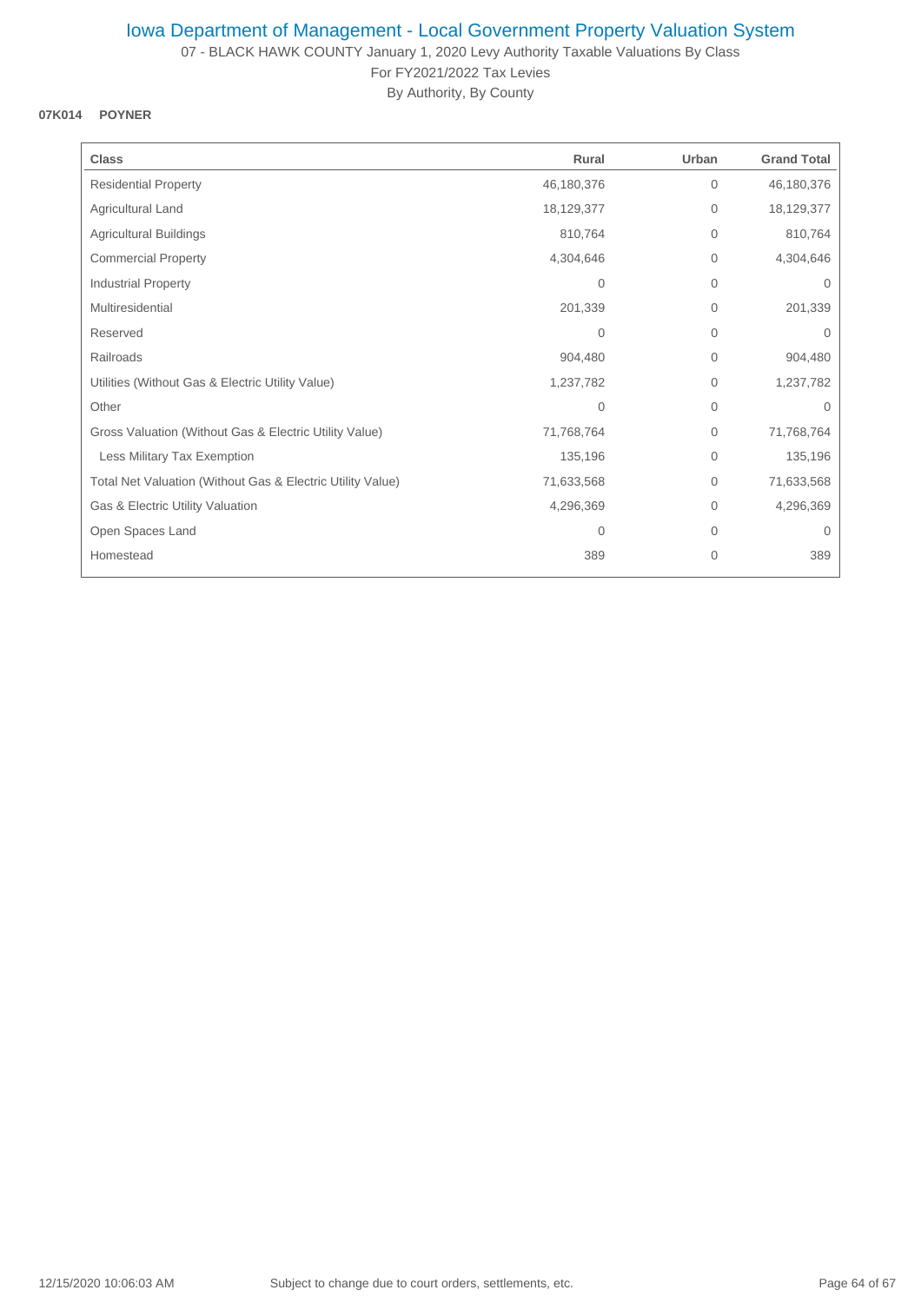07 - BLACK HAWK COUNTY January 1, 2020 Levy Authority Taxable Valuations By Class For FY2021/2022 Tax Levies

By Authority, By County

### **07K014 POYNER**

| <b>Class</b>                                               | Rural      | Urban        | <b>Grand Total</b> |
|------------------------------------------------------------|------------|--------------|--------------------|
| <b>Residential Property</b>                                | 46,180,376 | 0            | 46,180,376         |
| Agricultural Land                                          | 18,129,377 | 0            | 18,129,377         |
| Agricultural Buildings                                     | 810,764    | $\mathbf 0$  | 810,764            |
| <b>Commercial Property</b>                                 | 4,304,646  | 0            | 4,304,646          |
| <b>Industrial Property</b>                                 | 0          | 0            | $\mathbf 0$        |
| Multiresidential                                           | 201,339    | $\Omega$     | 201,339            |
| Reserved                                                   | $\Omega$   | $\mathbf{0}$ | $\Omega$           |
| Railroads                                                  | 904,480    | 0            | 904,480            |
| Utilities (Without Gas & Electric Utility Value)           | 1,237,782  | 0            | 1,237,782          |
| Other                                                      | 0          | 0            | $\Omega$           |
| Gross Valuation (Without Gas & Electric Utility Value)     | 71,768,764 | $\mathbf{0}$ | 71,768,764         |
| Less Military Tax Exemption                                | 135,196    | 0            | 135,196            |
| Total Net Valuation (Without Gas & Electric Utility Value) | 71,633,568 | 0            | 71,633,568         |
| Gas & Electric Utility Valuation                           | 4,296,369  | 0            | 4,296,369          |
| Open Spaces Land                                           | 0          | 0            | $\mathbf 0$        |
| Homestead                                                  | 389        | 0            | 389                |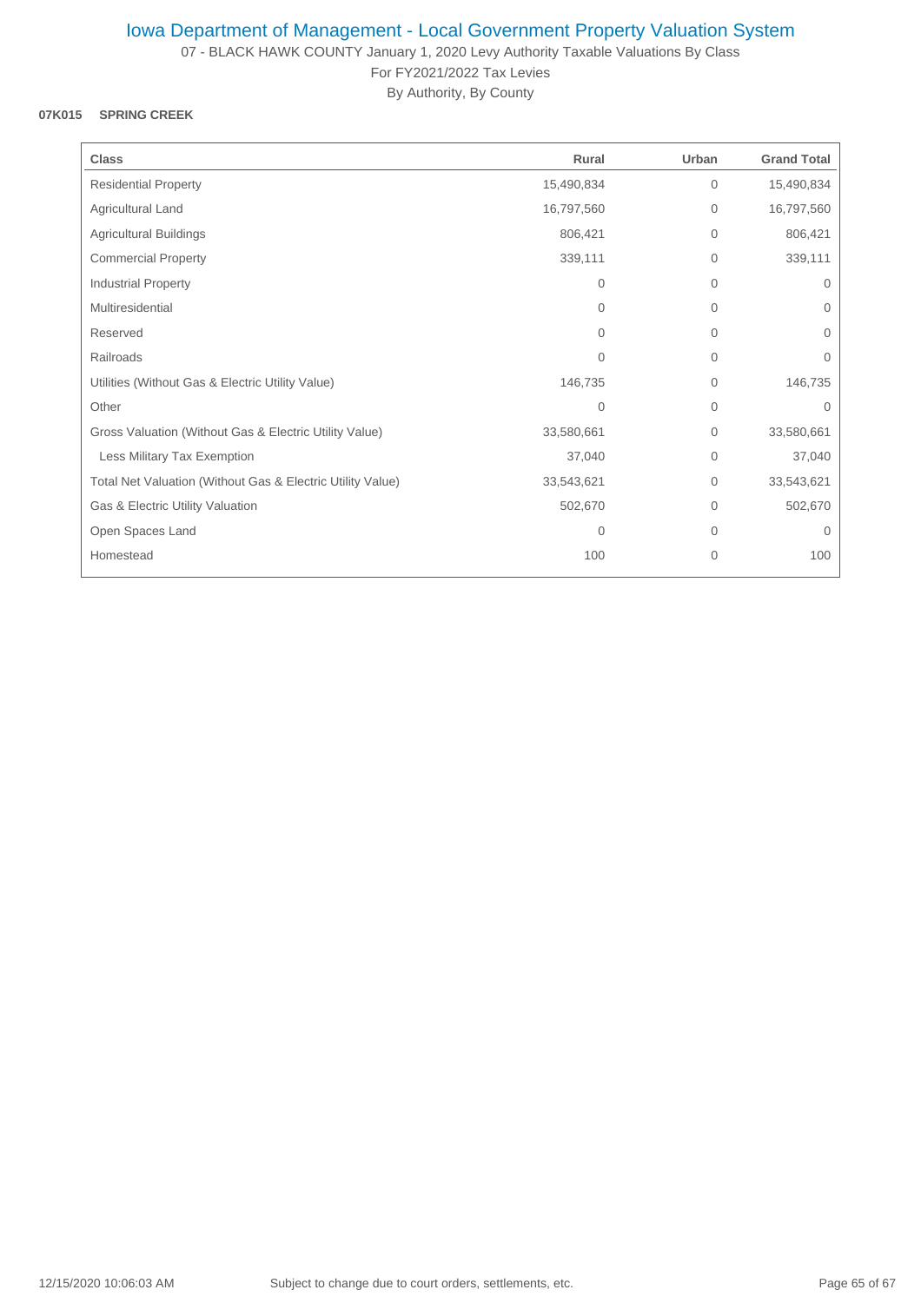07 - BLACK HAWK COUNTY January 1, 2020 Levy Authority Taxable Valuations By Class For FY2021/2022 Tax Levies

By Authority, By County

### **07K015 SPRING CREEK**

| <b>Class</b>                                               | Rural          | Urban          | <b>Grand Total</b> |
|------------------------------------------------------------|----------------|----------------|--------------------|
| <b>Residential Property</b>                                | 15,490,834     | $\mathbf{0}$   | 15,490,834         |
| Agricultural Land                                          | 16,797,560     | $\mathbf{0}$   | 16,797,560         |
| Agricultural Buildings                                     | 806,421        | $\overline{0}$ | 806,421            |
| <b>Commercial Property</b>                                 | 339,111        | $\mathbf 0$    | 339,111            |
| Industrial Property                                        | $\Omega$       | $\mathbf{0}$   | $\mathbf{0}$       |
| Multiresidential                                           | $\Omega$       | $\mathbf 0$    | $\mathbf{0}$       |
| Reserved                                                   | $\Omega$       | $\mathbf{0}$   | $\Omega$           |
| Railroads                                                  | $\Omega$       | $\mathbf 0$    | 0                  |
| Utilities (Without Gas & Electric Utility Value)           | 146,735        | $\overline{0}$ | 146,735            |
| Other                                                      | $\overline{0}$ | $\mathbf{0}$   | $\mathbf{0}$       |
| Gross Valuation (Without Gas & Electric Utility Value)     | 33,580,661     | $\overline{0}$ | 33,580,661         |
| Less Military Tax Exemption                                | 37,040         | $\mathbf 0$    | 37,040             |
| Total Net Valuation (Without Gas & Electric Utility Value) | 33,543,621     | $\mathbf 0$    | 33,543,621         |
| Gas & Electric Utility Valuation                           | 502,670        | $\mathbf 0$    | 502,670            |
| Open Spaces Land                                           | $\mathbf{0}$   | $\mathbf 0$    | $\Omega$           |
| Homestead                                                  | 100            | $\mathbf 0$    | 100                |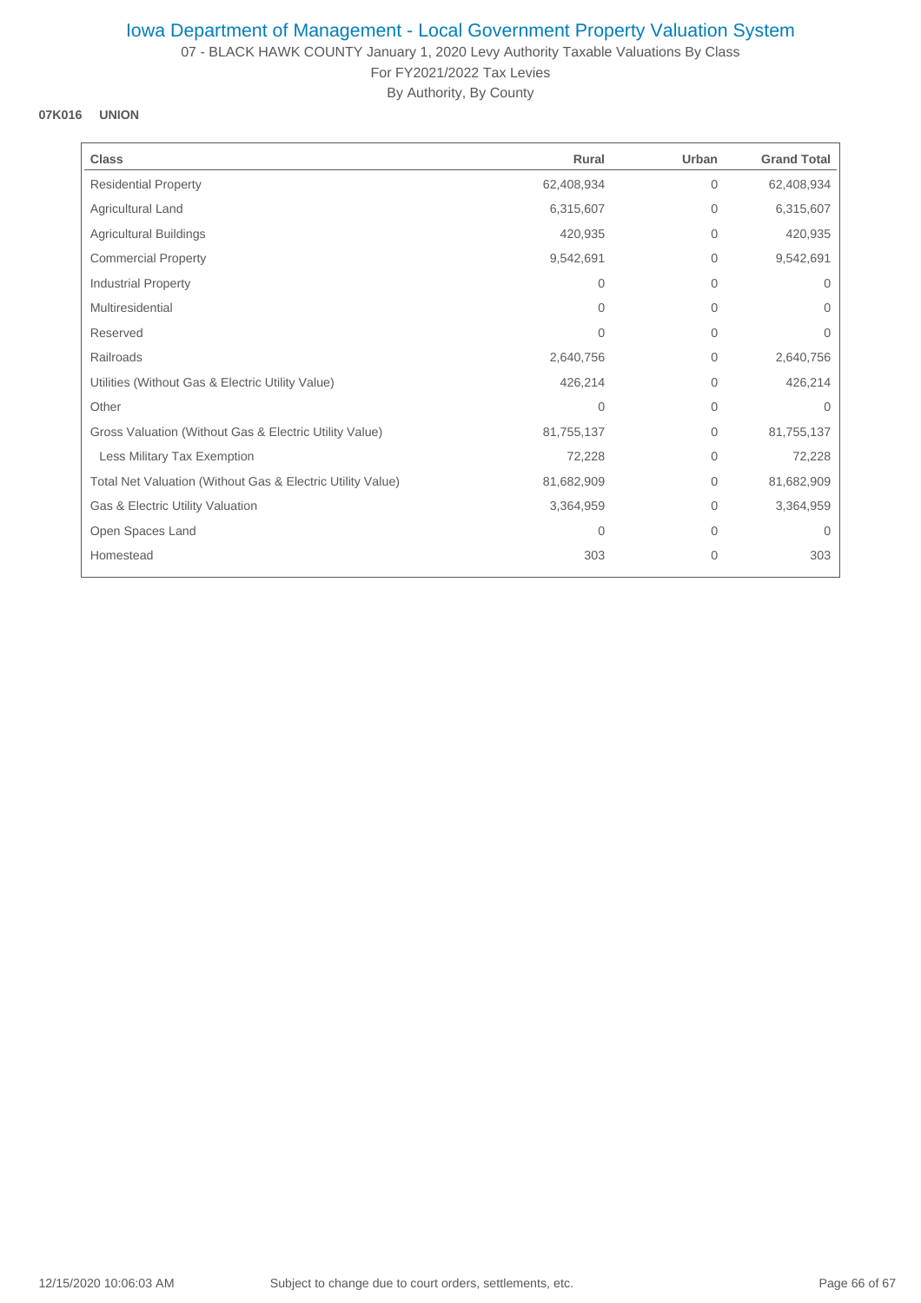07 - BLACK HAWK COUNTY January 1, 2020 Levy Authority Taxable Valuations By Class For FY2021/2022 Tax Levies

By Authority, By County

#### **07K016 UNION**

| <b>Class</b>                                               | Rural          | Urban          | <b>Grand Total</b> |
|------------------------------------------------------------|----------------|----------------|--------------------|
| <b>Residential Property</b>                                | 62,408,934     | $\mathbf{0}$   | 62,408,934         |
| Agricultural Land                                          | 6,315,607      | 0              | 6,315,607          |
| <b>Agricultural Buildings</b>                              | 420,935        | $\mathbf{0}$   | 420,935            |
| <b>Commercial Property</b>                                 | 9,542,691      | 0              | 9,542,691          |
| Industrial Property                                        | 0              | 0              | 0                  |
| Multiresidential                                           | $\Omega$       | 0              | $\Omega$           |
| Reserved                                                   | $\Omega$       | 0              | $\mathbf{0}$       |
| Railroads                                                  | 2,640,756      | 0              | 2,640,756          |
| Utilities (Without Gas & Electric Utility Value)           | 426,214        | $\overline{0}$ | 426,214            |
| Other                                                      | $\overline{0}$ | $\overline{0}$ | $\Omega$           |
| Gross Valuation (Without Gas & Electric Utility Value)     | 81,755,137     | 0              | 81,755,137         |
| Less Military Tax Exemption                                | 72,228         | 0              | 72,228             |
| Total Net Valuation (Without Gas & Electric Utility Value) | 81,682,909     | 0              | 81,682,909         |
| Gas & Electric Utility Valuation                           | 3,364,959      | 0              | 3,364,959          |
| Open Spaces Land                                           | 0              | 0              | $\mathbf 0$        |
| Homestead                                                  | 303            | 0              | 303                |